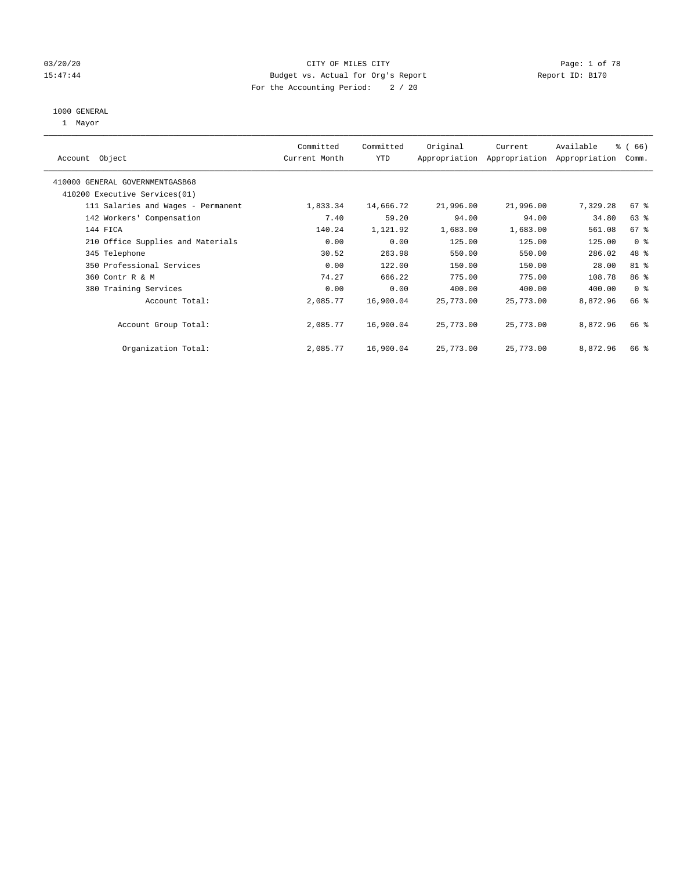### 03/20/20 **Page: 1 of 78** CITY OF MILES CITY CITY CONTROL Page: 1 of 78 15:47:44 Budget vs. Actual for Org's Report Report ID: B170 For the Accounting Period: 2 / 20

#### 1000 GENERAL

1 Mayor

| Object<br>Account                  | Committed<br>Current Month | Committed<br><b>YTD</b> | Original  | Current<br>Appropriation Appropriation | Available<br>Appropriation | % (66)<br>Comm. |
|------------------------------------|----------------------------|-------------------------|-----------|----------------------------------------|----------------------------|-----------------|
| 410000 GENERAL GOVERNMENTGASB68    |                            |                         |           |                                        |                            |                 |
| 410200 Executive Services (01)     |                            |                         |           |                                        |                            |                 |
| 111 Salaries and Wages - Permanent | 1,833.34                   | 14,666.72               | 21,996.00 | 21,996.00                              | 7,329.28                   | 67%             |
| 142 Workers' Compensation          | 7.40                       | 59.20                   | 94.00     | 94.00                                  | 34.80                      | $63$ $%$        |
| 144 FICA                           | 140.24                     | 1,121.92                | 1,683.00  | 1,683.00                               | 561.08                     | 67%             |
| 210 Office Supplies and Materials  | 0.00                       | 0.00                    | 125.00    | 125.00                                 | 125.00                     | 0 <sup>8</sup>  |
| 345 Telephone                      | 30.52                      | 263.98                  | 550.00    | 550.00                                 | 286.02                     | 48 %            |
| 350 Professional Services          | 0.00                       | 122.00                  | 150.00    | 150.00                                 | 28.00                      | 81 %            |
| 360 Contr R & M                    | 74.27                      | 666.22                  | 775.00    | 775.00                                 | 108.78                     | 86 %            |
| 380 Training Services              | 0.00                       | 0.00                    | 400.00    | 400.00                                 | 400.00                     | 0 <sup>8</sup>  |
| Account Total:                     | 2,085.77                   | 16,900.04               | 25,773.00 | 25,773.00                              | 8,872.96                   | 66 %            |
| Account Group Total:               | 2,085.77                   | 16,900.04               | 25,773.00 | 25,773.00                              | 8,872.96                   | 66 %            |
| Organization Total:                | 2,085.77                   | 16,900.04               | 25,773.00 | 25,773.00                              | 8,872.96                   | 66 %            |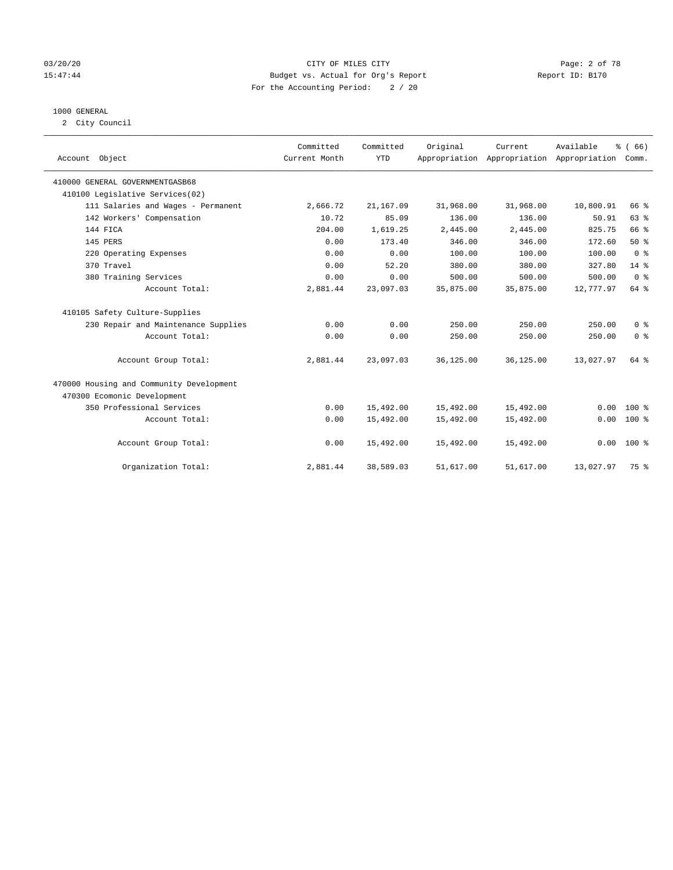#### 03/20/20 Page: 2 of 78 15:47:44 Budget vs. Actual for Org's Report Report ID: B170 For the Accounting Period: 2 / 20

#### 1000 GENERAL

2 City Council

| Account Object                           | Committed<br>Current Month | Committed<br><b>YTD</b> | Original  | Current<br>Appropriation Appropriation Appropriation | Available | % (66)<br>Comm. |
|------------------------------------------|----------------------------|-------------------------|-----------|------------------------------------------------------|-----------|-----------------|
| 410000 GENERAL GOVERNMENTGASB68          |                            |                         |           |                                                      |           |                 |
| 410100 Legislative Services(02)          |                            |                         |           |                                                      |           |                 |
| 111 Salaries and Wages - Permanent       | 2,666.72                   | 21,167.09               | 31,968.00 | 31,968.00                                            | 10,800.91 | 66 %            |
| 142 Workers' Compensation                | 10.72                      | 85.09                   | 136.00    | 136.00                                               | 50.91     | 63 %            |
| 144 FICA                                 | 204.00                     | 1,619.25                | 2,445.00  | 2,445.00                                             | 825.75    | 66 %            |
| 145 PERS                                 | 0.00                       | 173.40                  | 346.00    | 346.00                                               | 172.60    | 50%             |
| 220 Operating Expenses                   | 0.00                       | 0.00                    | 100.00    | 100.00                                               | 100.00    | 0 <sup>8</sup>  |
| 370 Travel                               | 0.00                       | 52.20                   | 380.00    | 380.00                                               | 327.80    | $14*$           |
| 380 Training Services                    | 0.00                       | 0.00                    | 500.00    | 500.00                                               | 500.00    | 0 <sup>8</sup>  |
| Account Total:                           | 2,881.44                   | 23,097.03               | 35,875.00 | 35,875.00                                            | 12,777.97 | 64 %            |
| 410105 Safety Culture-Supplies           |                            |                         |           |                                                      |           |                 |
| 230 Repair and Maintenance Supplies      | 0.00                       | 0.00                    | 250.00    | 250.00                                               | 250.00    | 0 <sup>8</sup>  |
| Account Total:                           | 0.00                       | 0.00                    | 250.00    | 250.00                                               | 250.00    | 0 <sup>8</sup>  |
| Account Group Total:                     | 2,881.44                   | 23,097.03               | 36,125.00 | 36,125.00                                            | 13,027.97 | 64 %            |
| 470000 Housing and Community Development |                            |                         |           |                                                      |           |                 |
| 470300 Ecomonic Development              |                            |                         |           |                                                      |           |                 |
| 350 Professional Services                | 0.00                       | 15,492.00               | 15,492.00 | 15,492.00                                            | 0.00      | $100*$          |
| Account Total:                           | 0.00                       | 15,492.00               | 15,492.00 | 15,492.00                                            | 0.00      | $100*$          |
| Account Group Total:                     | 0.00                       | 15,492.00               | 15,492.00 | 15,492.00                                            |           | $0.00 100$ %    |
| Organization Total:                      | 2,881.44                   | 38,589.03               | 51,617.00 | 51,617.00                                            | 13,027.97 | 75 %            |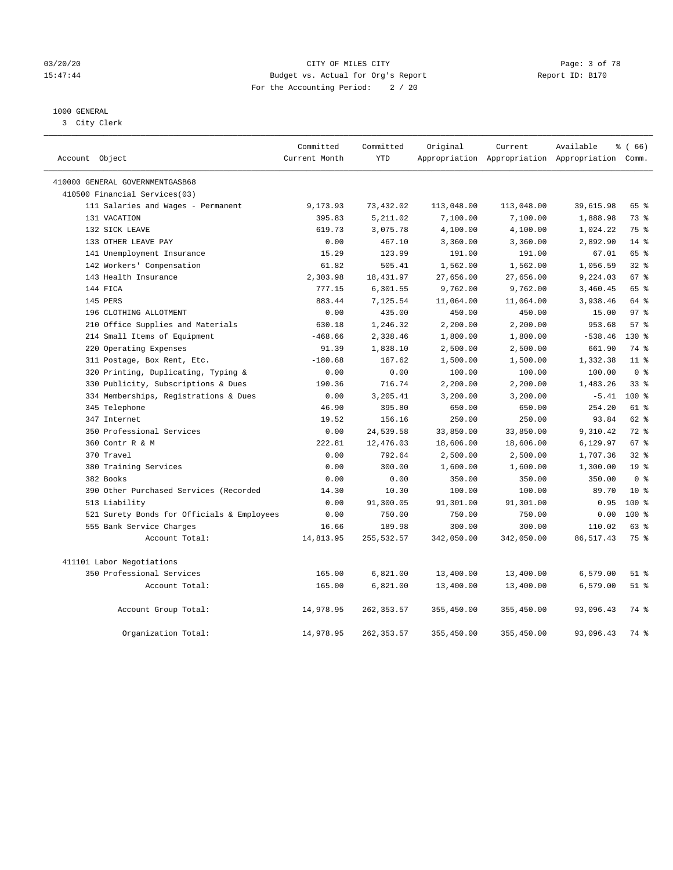#### 03/20/20 **Page: 3 of 78** CITY OF MILES CITY CITY CONTROL Page: 3 of 78 15:47:44 Budget vs. Actual for Org's Report Report ID: B170 For the Accounting Period: 2 / 20

### 1000 GENERAL

3 City Clerk

| Account Object                             | Committed<br>Current Month | Committed<br><b>YTD</b> | Original   | Current    | Available<br>Appropriation Appropriation Appropriation Comm. | % (66)          |
|--------------------------------------------|----------------------------|-------------------------|------------|------------|--------------------------------------------------------------|-----------------|
| 410000 GENERAL GOVERNMENTGASB68            |                            |                         |            |            |                                                              |                 |
| 410500 Financial Services(03)              |                            |                         |            |            |                                                              |                 |
| 111 Salaries and Wages - Permanent         | 9,173.93                   | 73,432.02               | 113,048.00 | 113,048.00 | 39,615.98                                                    | 65 %            |
| 131 VACATION                               | 395.83                     | 5,211.02                | 7,100.00   | 7,100.00   | 1,888.98                                                     | 73 %            |
| 132 SICK LEAVE                             | 619.73                     | 3,075.78                | 4,100.00   | 4,100.00   | 1,024.22                                                     | 75 %            |
| 133 OTHER LEAVE PAY                        | 0.00                       | 467.10                  | 3,360.00   | 3,360.00   | 2,892.90                                                     | $14$ %          |
| 141 Unemployment Insurance                 | 15.29                      | 123.99                  | 191.00     | 191.00     | 67.01                                                        | 65 %            |
| 142 Workers' Compensation                  | 61.82                      | 505.41                  | 1,562.00   | 1,562.00   | 1,056.59                                                     | 32%             |
| 143 Health Insurance                       | 2,303.98                   | 18,431.97               | 27,656.00  | 27,656.00  | 9,224.03                                                     | 67%             |
| 144 FICA                                   | 777.15                     | 6,301.55                | 9,762.00   | 9,762.00   | 3,460.45                                                     | 65 %            |
| 145 PERS                                   | 883.44                     | 7,125.54                | 11,064.00  | 11,064.00  | 3,938.46                                                     | 64 %            |
| 196 CLOTHING ALLOTMENT                     | 0.00                       | 435.00                  | 450.00     | 450.00     | 15.00                                                        | 97 <sub>8</sub> |
| 210 Office Supplies and Materials          | 630.18                     | 1,246.32                | 2,200.00   | 2,200.00   | 953.68                                                       | 57%             |
| 214 Small Items of Equipment               | $-468.66$                  | 2,338.46                | 1,800.00   | 1,800.00   | $-538.46$                                                    | 130 %           |
| 220 Operating Expenses                     | 91.39                      | 1,838.10                | 2,500.00   | 2,500.00   | 661.90                                                       | 74 %            |
| 311 Postage, Box Rent, Etc.                | $-180.68$                  | 167.62                  | 1,500.00   | 1,500.00   | 1,332.38                                                     | 11 <sup>8</sup> |
| 320 Printing, Duplicating, Typing &        | 0.00                       | 0.00                    | 100.00     | 100.00     | 100.00                                                       | 0 <sup>8</sup>  |
| 330 Publicity, Subscriptions & Dues        | 190.36                     | 716.74                  | 2,200.00   | 2,200.00   | 1,483.26                                                     | 33%             |
| 334 Memberships, Registrations & Dues      | 0.00                       | 3,205.41                | 3,200.00   | 3,200.00   | $-5.41$                                                      | $100*$          |
| 345 Telephone                              | 46.90                      | 395.80                  | 650.00     | 650.00     | 254.20                                                       | $61$ %          |
| 347 Internet                               | 19.52                      | 156.16                  | 250.00     | 250.00     | 93.84                                                        | 62 %            |
| 350 Professional Services                  | 0.00                       | 24,539.58               | 33,850.00  | 33,850.00  | 9,310.42                                                     | $72$ $%$        |
| 360 Contr R & M                            | 222.81                     | 12,476.03               | 18,606.00  | 18,606.00  | 6,129.97                                                     | 67%             |
| 370 Travel                                 | 0.00                       | 792.64                  | 2,500.00   | 2,500.00   | 1,707.36                                                     | 32%             |
| 380 Training Services                      | 0.00                       | 300.00                  | 1,600.00   | 1,600.00   | 1,300.00                                                     | 19 <sup>°</sup> |
| 382 Books                                  | 0.00                       | 0.00                    | 350.00     | 350.00     | 350.00                                                       | 0 <sup>8</sup>  |
| 390 Other Purchased Services (Recorded     | 14.30                      | 10.30                   | 100.00     | 100.00     | 89.70                                                        | $10*$           |
| 513 Liability                              | 0.00                       | 91,300.05               | 91,301.00  | 91,301.00  | 0.95                                                         | $100*$          |
| 521 Surety Bonds for Officials & Employees | 0.00                       | 750.00                  | 750.00     | 750.00     | 0.00                                                         | $100*$          |
| 555 Bank Service Charges                   | 16.66                      | 189.98                  | 300.00     | 300.00     | 110.02                                                       | 63 %            |
| Account Total:                             | 14,813.95                  | 255,532.57              | 342,050.00 | 342,050.00 | 86,517.43                                                    | 75 %            |
| 411101 Labor Negotiations                  |                            |                         |            |            |                                                              |                 |
| 350 Professional Services                  | 165.00                     | 6,821.00                | 13,400.00  | 13,400.00  | 6,579.00                                                     | $51$ %          |
| Account Total:                             | 165.00                     | 6,821.00                | 13,400.00  | 13,400.00  | 6,579.00                                                     | $51$ %          |
| Account Group Total:                       | 14,978.95                  | 262, 353.57             | 355,450.00 | 355,450.00 | 93,096.43                                                    | 74 %            |
| Organization Total:                        | 14,978.95                  | 262, 353.57             | 355,450.00 | 355,450.00 | 93,096.43                                                    | 74%             |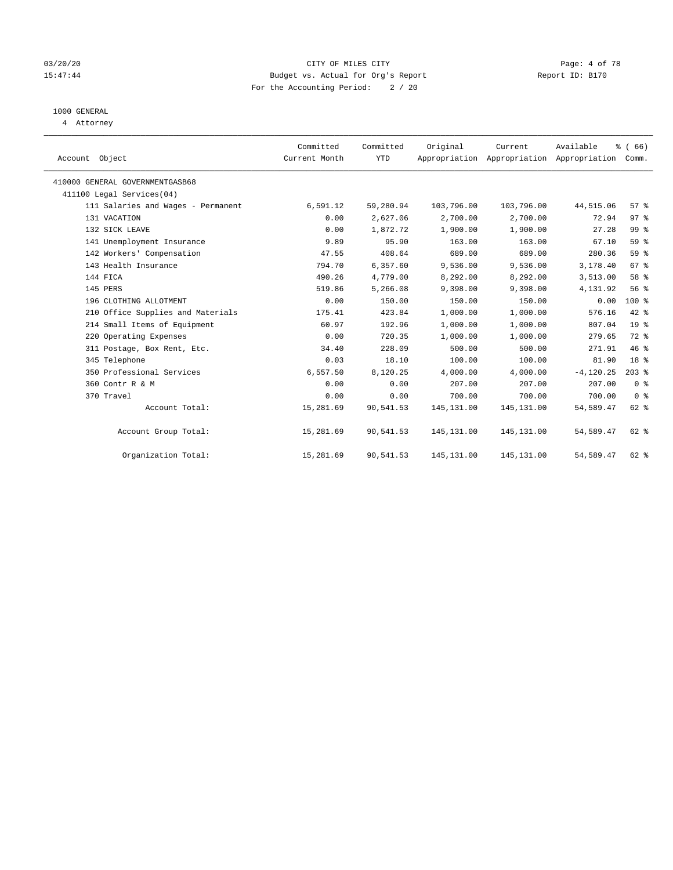#### 03/20/20 CITY OF MILES CITY Page: 4 of 78 15:47:44 Budget vs. Actual for Org's Report Report ID: B170 For the Accounting Period: 2 / 20

# 1000 GENERAL

4 Attorney

| Account Object                     | Committed<br>Current Month | Committed<br><b>YTD</b> | Original    | Current<br>Appropriation Appropriation Appropriation | Available    | % (66)<br>Comm. |  |
|------------------------------------|----------------------------|-------------------------|-------------|------------------------------------------------------|--------------|-----------------|--|
| 410000 GENERAL GOVERNMENTGASB68    |                            |                         |             |                                                      |              |                 |  |
| 411100 Legal Services(04)          |                            |                         |             |                                                      |              |                 |  |
| 111 Salaries and Wages - Permanent | 6,591.12                   | 59,280.94               | 103,796.00  | 103,796.00                                           | 44,515.06    | 57%             |  |
| 131 VACATION                       | 0.00                       | 2,627.06                | 2,700.00    | 2,700.00                                             | 72.94        | 97%             |  |
| 132 SICK LEAVE                     | 0.00                       | 1,872.72                | 1,900.00    | 1,900.00                                             | 27.28        | 99 %            |  |
| 141 Unemployment Insurance         | 9.89                       | 95.90                   | 163.00      | 163.00                                               | 67.10        | 59 %            |  |
| 142 Workers' Compensation          | 47.55                      | 408.64                  | 689.00      | 689.00                                               | 280.36       | 59 %            |  |
| 143 Health Insurance               | 794.70                     | 6,357.60                | 9,536.00    | 9,536.00                                             | 3,178.40     | 67 <sup>°</sup> |  |
| 144 FICA                           | 490.26                     | 4,779.00                | 8,292.00    | 8,292.00                                             | 3,513.00     | 58 %            |  |
| 145 PERS                           | 519.86                     | 5,266.08                | 9,398.00    | 9,398.00                                             | 4,131.92     | 56 %            |  |
| 196 CLOTHING ALLOTMENT             | 0.00                       | 150.00                  | 150.00      | 150.00                                               | 0.00         | 100 %           |  |
| 210 Office Supplies and Materials  | 175.41                     | 423.84                  | 1,000.00    | 1,000.00                                             | 576.16       | 42 %            |  |
| 214 Small Items of Equipment       | 60.97                      | 192.96                  | 1,000.00    | 1,000.00                                             | 807.04       | 19 <sup>8</sup> |  |
| 220 Operating Expenses             | 0.00                       | 720.35                  | 1,000.00    | 1,000.00                                             | 279.65       | 72 %            |  |
| 311 Postage, Box Rent, Etc.        | 34.40                      | 228.09                  | 500.00      | 500.00                                               | 271.91       | 46 %            |  |
| 345 Telephone                      | 0.03                       | 18.10                   | 100.00      | 100.00                                               | 81.90        | 18 <sup>8</sup> |  |
| 350 Professional Services          | 6,557.50                   | 8,120.25                | 4,000.00    | 4,000.00                                             | $-4, 120.25$ | $203$ %         |  |
| 360 Contr R & M                    | 0.00                       | 0.00                    | 207.00      | 207.00                                               | 207.00       | 0 <sup>8</sup>  |  |
| 370 Travel                         | 0.00                       | 0.00                    | 700.00      | 700.00                                               | 700.00       | 0 <sup>8</sup>  |  |
| Account Total:                     | 15,281.69                  | 90,541.53               | 145, 131.00 | 145, 131.00                                          | 54,589.47    | 62 %            |  |
| Account Group Total:               | 15,281.69                  | 90,541.53               | 145, 131.00 | 145, 131.00                                          | 54,589.47    | 62 %            |  |
| Organization Total:                | 15,281.69                  | 90,541.53               | 145,131.00  | 145,131.00                                           | 54,589.47    | 62 %            |  |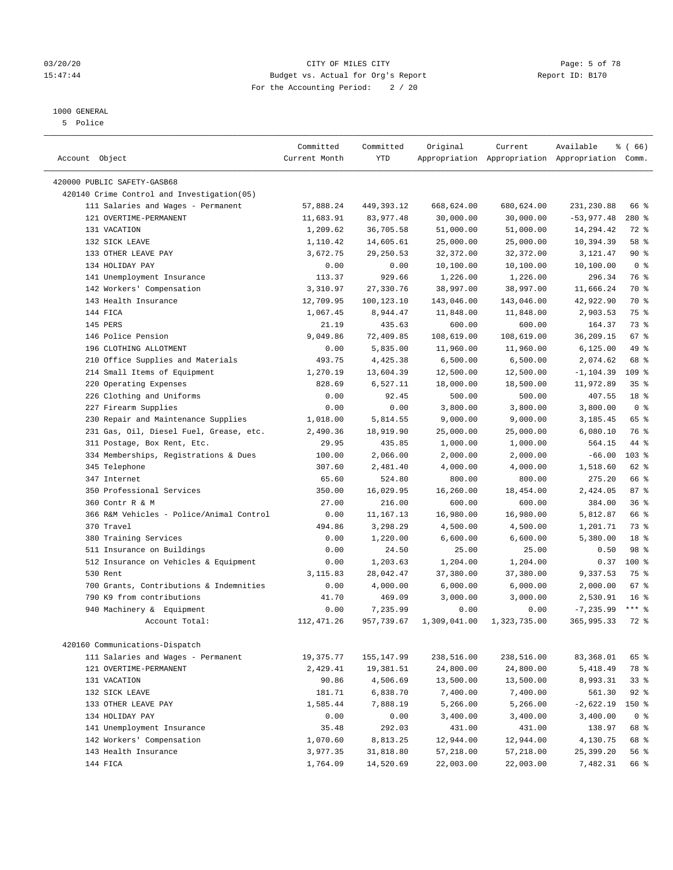#### 1000 GENERAL

5 Police

| Account Object                              | Committed<br>Current Month | Committed<br>YTD | Original     | Current      | Available<br>Appropriation Appropriation Appropriation Comm. | % (66)          |
|---------------------------------------------|----------------------------|------------------|--------------|--------------|--------------------------------------------------------------|-----------------|
|                                             |                            |                  |              |              |                                                              |                 |
| 420000 PUBLIC SAFETY-GASB68                 |                            |                  |              |              |                                                              |                 |
| 420140 Crime Control and Investigation (05) |                            |                  |              |              |                                                              |                 |
| 111 Salaries and Wages - Permanent          | 57,888.24                  | 449,393.12       | 668,624.00   | 680,624.00   | 231,230.88                                                   | 66 %            |
| 121 OVERTIME-PERMANENT                      | 11,683.91                  | 83,977.48        | 30,000.00    | 30,000.00    | $-53,977.48$                                                 | 280 %           |
| 131 VACATION                                | 1,209.62                   | 36,705.58        | 51,000.00    | 51,000.00    | 14,294.42                                                    | 72 %            |
| 132 SICK LEAVE                              | 1,110.42                   | 14,605.61        | 25,000.00    | 25,000.00    | 10,394.39                                                    | 58 %            |
| 133 OTHER LEAVE PAY                         | 3,672.75                   | 29, 250.53       | 32,372.00    | 32,372.00    | 3,121.47                                                     | 90%             |
| 134 HOLIDAY PAY                             | 0.00                       | 0.00             | 10,100.00    | 10,100.00    | 10,100.00                                                    | 0 <sup>8</sup>  |
| 141 Unemployment Insurance                  | 113.37                     | 929.66           | 1,226.00     | 1,226.00     | 296.34                                                       | 76 %            |
| 142 Workers' Compensation                   | 3,310.97                   | 27,330.76        | 38,997.00    | 38,997.00    | 11,666.24                                                    | 70 %            |
| 143 Health Insurance                        | 12,709.95                  | 100,123.10       | 143,046.00   | 143,046.00   | 42,922.90                                                    | 70 %            |
| 144 FICA                                    | 1,067.45                   | 8,944.47         | 11,848.00    | 11,848.00    | 2,903.53                                                     | 75 %            |
| 145 PERS                                    | 21.19                      | 435.63           | 600.00       | 600.00       | 164.37                                                       | 73 %            |
| 146 Police Pension                          | 9,049.86                   | 72,409.85        | 108,619.00   | 108,619.00   | 36,209.15                                                    | 67 %            |
| 196 CLOTHING ALLOTMENT                      | 0.00                       | 5,835.00         | 11,960.00    | 11,960.00    | 6, 125.00                                                    | 49 %            |
| 210 Office Supplies and Materials           | 493.75                     | 4,425.38         | 6,500.00     | 6,500.00     | 2,074.62                                                     | 68 %            |
| 214 Small Items of Equipment                | 1,270.19                   | 13,604.39        | 12,500.00    | 12,500.00    | $-1, 104.39$                                                 | 109 %           |
| 220 Operating Expenses                      | 828.69                     | 6,527.11         | 18,000.00    | 18,500.00    | 11,972.89                                                    | 35%             |
| 226 Clothing and Uniforms                   | 0.00                       | 92.45            | 500.00       | 500.00       | 407.55                                                       | 18 %            |
| 227 Firearm Supplies                        | 0.00                       | 0.00             | 3,800.00     | 3,800.00     | 3,800.00                                                     | 0 <sup>8</sup>  |
| 230 Repair and Maintenance Supplies         | 1,018.00                   | 5,814.55         | 9,000.00     | 9,000.00     | 3,185.45                                                     | 65 %            |
| 231 Gas, Oil, Diesel Fuel, Grease, etc.     | 2,490.36                   | 18,919.90        | 25,000.00    | 25,000.00    | 6,080.10                                                     | 76 %            |
| 311 Postage, Box Rent, Etc.                 | 29.95                      | 435.85           | 1,000.00     | 1,000.00     | 564.15                                                       | 44 %            |
| 334 Memberships, Registrations & Dues       | 100.00                     | 2,066.00         | 2,000.00     | 2,000.00     | $-66.00$                                                     | 103 %           |
| 345 Telephone                               | 307.60                     | 2,481.40         | 4,000.00     | 4,000.00     | 1,518.60                                                     | 62 %            |
| 347 Internet                                | 65.60                      | 524.80           | 800.00       | 800.00       | 275.20                                                       | 66 %            |
| 350 Professional Services                   | 350.00                     | 16,029.95        | 16,260.00    | 18,454.00    | 2,424.05                                                     | 87%             |
| 360 Contr R & M                             | 27.00                      | 216.00           | 600.00       | 600.00       | 384.00                                                       | 36%             |
| 366 R&M Vehicles - Police/Animal Control    | 0.00                       | 11,167.13        | 16,980.00    | 16,980.00    | 5,812.87                                                     | 66 %            |
| 370 Travel                                  | 494.86                     | 3,298.29         | 4,500.00     | 4,500.00     | 1,201.71                                                     | 73 %            |
| 380 Training Services                       | 0.00                       | 1,220.00         | 6,600.00     | 6,600.00     | 5,380.00                                                     | 18 %            |
| 511 Insurance on Buildings                  | 0.00                       | 24.50            | 25.00        | 25.00        | 0.50                                                         | 98 %            |
| 512 Insurance on Vehicles & Equipment       | 0.00                       | 1,203.63         | 1,204.00     | 1,204.00     | 0.37                                                         | 100%            |
| 530 Rent                                    | 3,115.83                   | 28,042.47        | 37,380.00    | 37,380.00    | 9,337.53                                                     | 75 %            |
| 700 Grants, Contributions & Indemnities     | 0.00                       | 4,000.00         | 6,000.00     | 6,000.00     | 2,000.00                                                     | 67 %            |
| 790 K9 from contributions                   | 41.70                      | 469.09           | 3,000.00     | 3,000.00     | 2,530.91                                                     | 16 <sup>°</sup> |
| 940 Machinery & Equipment                   | 0.00                       | 7,235.99         | 0.00         | 0.00         | $-7, 235.99$                                                 | $***$ $-$       |
| Account Total:                              | 112, 471.26                | 957,739.67       | 1,309,041.00 | 1,323,735.00 | 365,995.33                                                   | 72 %            |
| 420160 Communications-Dispatch              |                            |                  |              |              |                                                              |                 |
| 111 Salaries and Wages - Permanent          | 19,375.77                  | 155, 147.99      | 238,516.00   | 238,516.00   | 83,368.01                                                    | 65 %            |
| 121 OVERTIME-PERMANENT                      | 2,429.41                   | 19,381.51        | 24,800.00    | 24,800.00    | 5,418.49                                                     | 78 %            |
| 131 VACATION                                | 90.86                      | 4,506.69         | 13,500.00    | 13,500.00    | 8,993.31                                                     | 33%             |
| 132 SICK LEAVE                              | 181.71                     | 6,838.70         | 7,400.00     | 7,400.00     | 561.30                                                       | $92$ %          |
| 133 OTHER LEAVE PAY                         | 1,585.44                   | 7,888.19         | 5,266.00     | 5,266.00     | $-2,622.19$                                                  | 150 %           |
| 134 HOLIDAY PAY                             | 0.00                       | 0.00             | 3,400.00     | 3,400.00     | 3,400.00                                                     | 0 <sup>8</sup>  |
| 141 Unemployment Insurance                  | 35.48                      | 292.03           | 431.00       | 431.00       | 138.97                                                       | 68 %            |
| 142 Workers' Compensation                   | 1,070.60                   | 8,813.25         | 12,944.00    | 12,944.00    | 4,130.75                                                     | 68 %            |
| 143 Health Insurance                        | 3,977.35                   | 31,818.80        | 57,218.00    | 57,218.00    | 25,399.20                                                    | 56 %            |
| 144 FICA                                    | 1,764.09                   | 14,520.69        | 22,003.00    | 22,003.00    | 7,482.31                                                     | 66 %            |

### 03/20/20 **Page: 5 of 78** CITY OF MILES CITY CITY CONTROL Page: 5 of 78 15:47:44 Budget vs. Actual for Org's Report Report ID: B170 For the Accounting Period: 2 / 20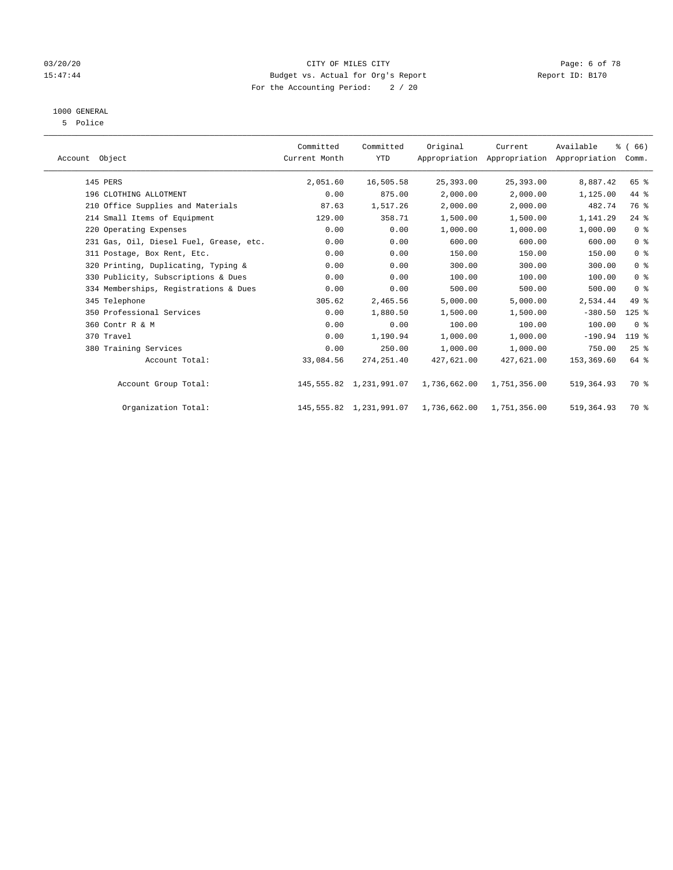#### 03/20/20 **Page: 6 of 78** CITY OF MILES CITY CITY CONTROL Page: 6 of 78 15:47:44 Budget vs. Actual for Org's Report Report ID: B170 For the Accounting Period: 2 / 20

# 1000 GENERAL

5 Police

| Account Object                          | Committed<br>Current Month | Committed<br><b>YTD</b>    | Original     | Current      | Available<br>Appropriation Appropriation Appropriation | % (66)<br>Comm. |  |
|-----------------------------------------|----------------------------|----------------------------|--------------|--------------|--------------------------------------------------------|-----------------|--|
| 145 PERS                                | 2,051.60                   | 16,505.58                  | 25,393.00    | 25,393.00    | 8,887.42                                               | 65 %            |  |
| 196 CLOTHING ALLOTMENT                  | 0.00                       | 875.00                     | 2,000.00     | 2,000.00     | 1,125.00                                               | 44 %            |  |
| 210 Office Supplies and Materials       | 87.63                      | 1,517.26                   | 2,000.00     | 2,000.00     | 482.74                                                 | 76 %            |  |
| 214 Small Items of Equipment            | 129.00                     | 358.71                     | 1,500.00     | 1,500.00     | 1,141.29                                               | $24$ %          |  |
| 220 Operating Expenses                  | 0.00                       | 0.00                       | 1,000.00     | 1,000.00     | 1,000.00                                               | 0 <sup>8</sup>  |  |
| 231 Gas, Oil, Diesel Fuel, Grease, etc. | 0.00                       | 0.00                       | 600.00       | 600.00       | 600.00                                                 | 0 <sup>8</sup>  |  |
| 311 Postage, Box Rent, Etc.             | 0.00                       | 0.00                       | 150.00       | 150.00       | 150.00                                                 | 0 <sup>8</sup>  |  |
| 320 Printing, Duplicating, Typing &     | 0.00                       | 0.00                       | 300.00       | 300.00       | 300.00                                                 | 0 <sup>8</sup>  |  |
| 330 Publicity, Subscriptions & Dues     | 0.00                       | 0.00                       | 100.00       | 100.00       | 100.00                                                 | 0 <sup>8</sup>  |  |
| 334 Memberships, Registrations & Dues   | 0.00                       | 0.00                       | 500.00       | 500.00       | 500.00                                                 | 0 <sup>8</sup>  |  |
| 345 Telephone                           | 305.62                     | 2,465.56                   | 5,000.00     | 5,000.00     | 2,534.44                                               | 49 %            |  |
| 350 Professional Services               | 0.00                       | 1,880.50                   | 1,500.00     | 1,500.00     | $-380.50$                                              | $125$ %         |  |
| 360 Contr R & M                         | 0.00                       | 0.00                       | 100.00       | 100.00       | 100.00                                                 | 0 <sup>8</sup>  |  |
| 370 Travel                              | 0.00                       | 1,190.94                   | 1,000.00     | 1,000.00     | $-190.94$                                              | 119 %           |  |
| 380 Training Services                   | 0.00                       | 250.00                     | 1,000.00     | 1,000.00     | 750.00                                                 | 25%             |  |
| Account Total:                          | 33,084.56                  | 274, 251.40                | 427,621.00   | 427,621.00   | 153,369.60                                             | $64$ $%$        |  |
| Account Group Total:                    |                            | 145,555.82 1,231,991.07    | 1,736,662.00 | 1,751,356.00 | 519,364.93                                             | 70 %            |  |
| Organization Total:                     |                            | 145, 555.82 1, 231, 991.07 | 1,736,662.00 | 1,751,356.00 | 519,364.93                                             | 70 %            |  |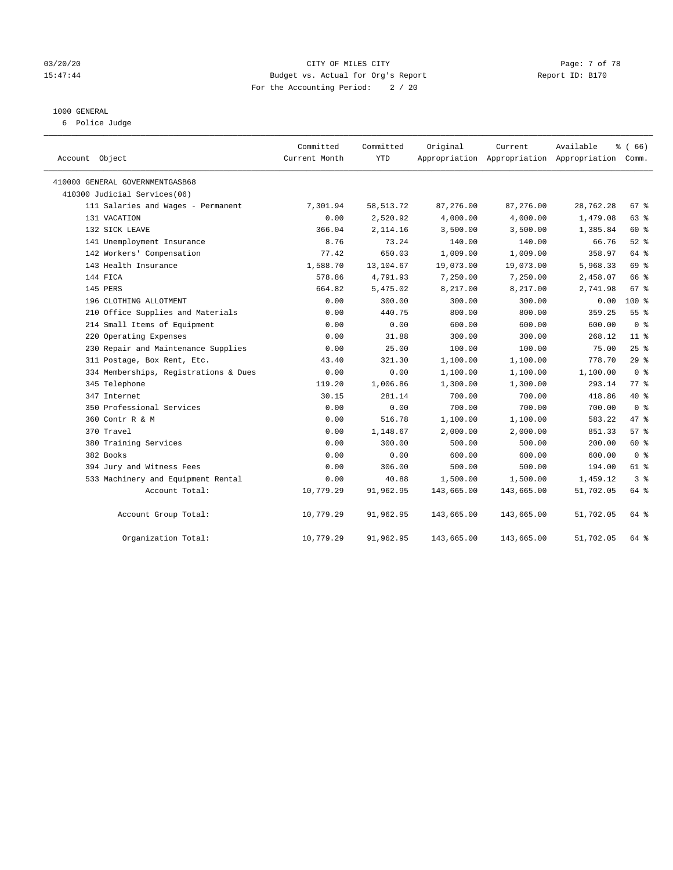#### 03/20/20 **Page: 7 of 78** CITY OF MILES CITY CITY CONTROL Page: 7 of 78 15:47:44 Budget vs. Actual for Org's Report Report ID: B170 For the Accounting Period: 2 / 20

#### 1000 GENERAL

6 Police Judge

| Account Object                        | Committed<br>Current Month | Committed<br><b>YTD</b> | Original   | Current    | Available<br>Appropriation Appropriation Appropriation Comm. | % (66)          |
|---------------------------------------|----------------------------|-------------------------|------------|------------|--------------------------------------------------------------|-----------------|
| 410000 GENERAL GOVERNMENTGASB68       |                            |                         |            |            |                                                              |                 |
| 410300 Judicial Services(06)          |                            |                         |            |            |                                                              |                 |
| 111 Salaries and Wages - Permanent    | 7,301.94                   | 58, 513. 72             | 87,276.00  | 87,276.00  | 28,762.28                                                    | 67 %            |
| 131 VACATION                          | 0.00                       | 2,520.92                | 4,000.00   | 4,000.00   | 1,479.08                                                     | 63 %            |
| 132 SICK LEAVE                        | 366.04                     | 2,114.16                | 3,500.00   | 3,500.00   | 1,385.84                                                     | 60 %            |
| 141 Unemployment Insurance            | 8.76                       | 73.24                   | 140.00     | 140.00     | 66.76                                                        | 52%             |
| 142 Workers' Compensation             | 77.42                      | 650.03                  | 1,009.00   | 1,009.00   | 358.97                                                       | 64 %            |
| 143 Health Insurance                  | 1,588.70                   | 13, 104.67              | 19,073.00  | 19,073.00  | 5,968.33                                                     | 69 %            |
| 144 FICA                              | 578.86                     | 4,791.93                | 7,250.00   | 7,250.00   | 2,458.07                                                     | 66 %            |
| 145 PERS                              | 664.82                     | 5,475.02                | 8,217.00   | 8,217.00   | 2,741.98                                                     | 67 %            |
| 196 CLOTHING ALLOTMENT                | 0.00                       | 300.00                  | 300.00     | 300.00     | 0.00                                                         | $100*$          |
| 210 Office Supplies and Materials     | 0.00                       | 440.75                  | 800.00     | 800.00     | 359.25                                                       | 55 <sup>8</sup> |
| 214 Small Items of Equipment          | 0.00                       | 0.00                    | 600.00     | 600.00     | 600.00                                                       | 0 <sup>8</sup>  |
| 220 Operating Expenses                | 0.00                       | 31.88                   | 300.00     | 300.00     | 268.12                                                       | 11 <sup>°</sup> |
| 230 Repair and Maintenance Supplies   | 0.00                       | 25.00                   | 100.00     | 100.00     | 75.00                                                        | 25%             |
| 311 Postage, Box Rent, Etc.           | 43.40                      | 321.30                  | 1,100.00   | 1,100.00   | 778.70                                                       | 29%             |
| 334 Memberships, Registrations & Dues | 0.00                       | 0.00                    | 1,100.00   | 1,100.00   | 1,100.00                                                     | 0 <sup>8</sup>  |
| 345 Telephone                         | 119.20                     | 1,006.86                | 1,300.00   | 1,300.00   | 293.14                                                       | 77.8            |
| 347 Internet                          | 30.15                      | 281.14                  | 700.00     | 700.00     | 418.86                                                       | 40 %            |
| 350 Professional Services             | 0.00                       | 0.00                    | 700.00     | 700.00     | 700.00                                                       | 0 <sup>8</sup>  |
| 360 Contr R & M                       | 0.00                       | 516.78                  | 1,100.00   | 1,100.00   | 583.22                                                       | 47.8            |
| 370 Travel                            | 0.00                       | 1,148.67                | 2,000.00   | 2,000.00   | 851.33                                                       | 57%             |
| 380 Training Services                 | 0.00                       | 300.00                  | 500.00     | 500.00     | 200.00                                                       | 60 %            |
| 382 Books                             | 0.00                       | 0.00                    | 600.00     | 600.00     | 600.00                                                       | 0 <sup>8</sup>  |
| 394 Jury and Witness Fees             | 0.00                       | 306.00                  | 500.00     | 500.00     | 194.00                                                       | 61 %            |
| 533 Machinery and Equipment Rental    | 0.00                       | 40.88                   | 1,500.00   | 1,500.00   | 1,459.12                                                     | 3 <sup>8</sup>  |
| Account Total:                        | 10,779.29                  | 91,962.95               | 143,665.00 | 143,665.00 | 51,702.05                                                    | 64 %            |
| Account Group Total:                  | 10,779.29                  | 91,962.95               | 143,665.00 | 143,665.00 | 51,702.05                                                    | 64 %            |
| Organization Total:                   | 10,779.29                  | 91,962.95               | 143,665.00 | 143,665.00 | 51,702.05                                                    | 64 %            |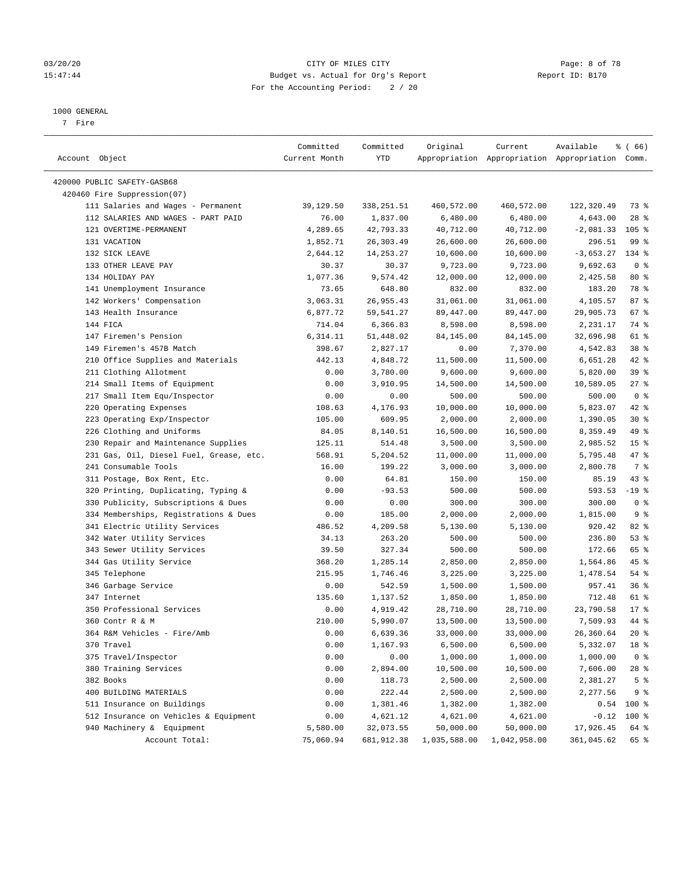#### 03/20/20 CITY OF MILES CITY Page: 8 of 78 15:47:44 Budget vs. Actual for Org's Report Report ID: B170 For the Accounting Period: 2 / 20

————————————————————————————————————————————————————————————————————————————————————————————————————————————————————————————————————

#### 1000 GENERAL

7 Fire

|                                         | Committed     | Committed   | Original     | Current      | Available                                       | $\frac{1}{6}$ (66) |
|-----------------------------------------|---------------|-------------|--------------|--------------|-------------------------------------------------|--------------------|
| Account Object                          | Current Month | YTD         |              |              | Appropriation Appropriation Appropriation Comm. |                    |
|                                         |               |             |              |              |                                                 |                    |
| 420000 PUBLIC SAFETY-GASB68             |               |             |              |              |                                                 |                    |
| 420460 Fire Suppression(07)             |               |             |              |              |                                                 |                    |
| 111 Salaries and Wages - Permanent      | 39,129.50     | 338,251.51  | 460,572.00   | 460,572.00   | 122,320.49                                      | 73%                |
| 112 SALARIES AND WAGES - PART PAID      | 76.00         | 1,837.00    | 6,480.00     | 6,480.00     | 4,643.00                                        | $28$ %             |
| 121 OVERTIME-PERMANENT                  | 4,289.65      | 42,793.33   | 40,712.00    | 40,712.00    | $-2,081.33$                                     | $105$ %            |
| 131 VACATION                            | 1,852.71      | 26,303.49   | 26,600.00    | 26,600.00    | 296.51                                          | 99 %               |
| 132 SICK LEAVE                          | 2,644.12      | 14, 253. 27 | 10,600.00    | 10,600.00    | $-3,653.27$                                     | 134 %              |
| 133 OTHER LEAVE PAY                     | 30.37         | 30.37       | 9,723.00     | 9,723.00     | 9,692.63                                        | 0 <sup>8</sup>     |
| 134 HOLIDAY PAY                         | 1,077.36      | 9,574.42    | 12,000.00    | 12,000.00    | 2,425.58                                        | $80*$              |
| 141 Unemployment Insurance              | 73.65         | 648.80      | 832.00       | 832.00       | 183.20                                          | 78 %               |
| 142 Workers' Compensation               | 3,063.31      | 26,955.43   | 31,061.00    | 31,061.00    | 4,105.57                                        | 87%                |
| 143 Health Insurance                    | 6,877.72      | 59,541.27   | 89,447.00    | 89,447.00    | 29,905.73                                       | 67%                |
| 144 FICA                                | 714.04        | 6,366.83    | 8,598.00     | 8,598.00     | 2,231.17                                        | 74 %               |
| 147 Firemen's Pension                   | 6,314.11      | 51,448.02   | 84,145.00    | 84,145.00    | 32,696.98                                       | 61 %               |
| 149 Firemen's 457B Match                | 398.67        | 2,827.17    | 0.00         | 7,370.00     | 4,542.83                                        | 38 <sup>8</sup>    |
| 210 Office Supplies and Materials       | 442.13        | 4,848.72    | 11,500.00    | 11,500.00    | 6,651.28                                        | $42$ %             |
| 211 Clothing Allotment                  | 0.00          | 3,780.00    | 9,600.00     | 9,600.00     | 5,820.00                                        | 39 %               |
| 214 Small Items of Equipment            | 0.00          | 3,910.95    | 14,500.00    | 14,500.00    | 10,589.05                                       | $27$ %             |
| 217 Small Item Equ/Inspector            | 0.00          | 0.00        | 500.00       | 500.00       | 500.00                                          | 0 <sup>8</sup>     |
| 220 Operating Expenses                  | 108.63        | 4,176.93    | 10,000.00    | 10,000.00    | 5,823.07                                        | 42 %               |
| 223 Operating Exp/Inspector             | 105.00        | 609.95      | 2,000.00     | 2,000.00     | 1,390.05                                        | $30*$              |
| 226 Clothing and Uniforms               | 84.05         | 8,140.51    | 16,500.00    | 16,500.00    | 8,359.49                                        | 49 %               |
| 230 Repair and Maintenance Supplies     | 125.11        | 514.48      | 3,500.00     | 3,500.00     | 2,985.52                                        | 15 <sup>8</sup>    |
| 231 Gas, Oil, Diesel Fuel, Grease, etc. | 568.91        | 5,204.52    | 11,000.00    | 11,000.00    | 5,795.48                                        | 47 %               |
| 241 Consumable Tools                    | 16.00         | 199.22      | 3,000.00     | 3,000.00     | 2,800.78                                        | 7 %                |
| 311 Postage, Box Rent, Etc.             | 0.00          | 64.81       | 150.00       | 150.00       | 85.19                                           | $43$ %             |
| 320 Printing, Duplicating, Typing &     | 0.00          | $-93.53$    | 500.00       | 500.00       | 593.53                                          | $-19$ %            |
| 330 Publicity, Subscriptions & Dues     | 0.00          | 0.00        | 300.00       | 300.00       | 300.00                                          | 0 <sup>8</sup>     |
| 334 Memberships, Registrations & Dues   | 0.00          | 185.00      | 2,000.00     | 2,000.00     | 1,815.00                                        | 9%                 |
| 341 Electric Utility Services           | 486.52        | 4,209.58    | 5,130.00     | 5,130.00     | 920.42                                          | 82%                |
| 342 Water Utility Services              | 34.13         | 263.20      | 500.00       | 500.00       | 236.80                                          | 53%                |
| 343 Sewer Utility Services              | 39.50         | 327.34      | 500.00       | 500.00       | 172.66                                          | 65 %               |
| 344 Gas Utility Service                 | 368.20        | 1,285.14    | 2,850.00     | 2,850.00     | 1,564.86                                        | 45 %               |
| 345 Telephone                           | 215.95        | 1,746.46    | 3,225.00     | 3,225.00     | 1,478.54                                        | 54 %               |
| 346 Garbage Service                     | 0.00          | 542.59      | 1,500.00     | 1,500.00     | 957.41                                          | 36%                |
| 347 Internet                            | 135.60        | 1,137.52    | 1,850.00     | 1,850.00     | 712.48                                          | 61 %               |
| 350 Professional Services               | 0.00          | 4,919.42    | 28,710.00    | 28,710.00    | 23,790.58                                       | $17*$              |
| 360 Contr R & M                         | 210.00        | 5,990.07    | 13,500.00    | 13,500.00    | 7,509.93                                        | 44 %               |
| 364 R&M Vehicles - Fire/Amb             | 0.00          | 6,639.36    | 33,000.00    | 33,000.00    | 26,360.64                                       | $20*$              |
| 370 Travel                              | 0.00          | 1,167.93    | 6,500.00     | 6,500.00     | 5,332.07                                        | 18 %               |
| 375 Travel/Inspector                    | 0.00          | 0.00        | 1,000.00     | 1,000.00     | 1,000.00                                        | 0 <sup>8</sup>     |
| 380 Training Services                   | 0.00          | 2,894.00    | 10,500.00    | 10,500.00    | 7,606.00                                        | 28 %               |
| 382 Books                               | 0.00          | 118.73      | 2,500.00     | 2,500.00     | 2,381.27                                        | 5 <sup>°</sup>     |
| 400 BUILDING MATERIALS                  | 0.00          | 222.44      | 2,500.00     | 2,500.00     | 2,277.56                                        | 9 %                |
| 511 Insurance on Buildings              | 0.00          | 1,381.46    | 1,382.00     | 1,382.00     |                                                 | $0.54$ 100 %       |
| 512 Insurance on Vehicles & Equipment   | 0.00          | 4,621.12    | 4,621.00     | 4,621.00     | $-0.12$                                         | $100$ %            |
| 940 Machinery & Equipment               | 5,580.00      | 32,073.55   | 50,000.00    | 50,000.00    | 17,926.45                                       | 64 %               |
| Account Total:                          | 75,060.94     | 681,912.38  | 1,035,588.00 | 1,042,958.00 | 361,045.62                                      | 65 %               |
|                                         |               |             |              |              |                                                 |                    |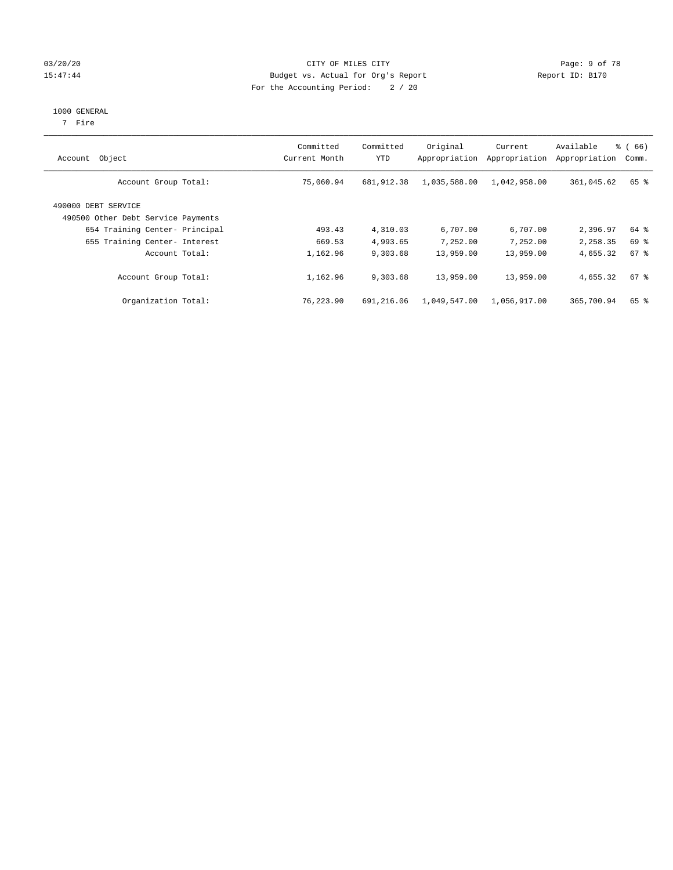#### 03/20/20 Page: 9 of 78 15:47:44 Budget vs. Actual for Org's Report Report ID: B170 For the Accounting Period: 2 / 20

#### 1000 GENERAL

7 Fire

| Object<br>Account                                         | Committed<br>Current Month | Committed<br><b>YTD</b> | Original<br>Appropriation | Current<br>Appropriation | Available<br>Appropriation | $\frac{3}{6}$ (66)<br>Comm. |
|-----------------------------------------------------------|----------------------------|-------------------------|---------------------------|--------------------------|----------------------------|-----------------------------|
| Account Group Total:                                      | 75,060.94                  | 681,912.38              | 1,035,588.00              | 1,042,958.00             | 361,045.62                 | 65 %                        |
| 490000 DEBT SERVICE<br>490500 Other Debt Service Payments |                            |                         |                           |                          |                            |                             |
| 654 Training Center- Principal                            | 493.43                     | 4,310.03                | 6,707.00                  | 6,707.00                 | 2,396.97                   | 64 %                        |
| 655 Training Center- Interest                             | 669.53                     | 4,993.65                | 7.252.00                  | 7.252.00                 | 2,258.35                   | 69 %                        |
| Account Total:                                            | 1,162.96                   | 9,303.68                | 13,959.00                 | 13,959.00                | 4,655.32                   | $67$ $%$                    |
| Account Group Total:                                      | 1,162.96                   | 9,303.68                | 13,959.00                 | 13,959.00                | 4,655.32                   | $67$ $%$                    |
| Organization Total:                                       | 76,223.90                  | 691,216.06              | 1,049,547.00              | 1,056,917.00             | 365,700.94                 | 65 %                        |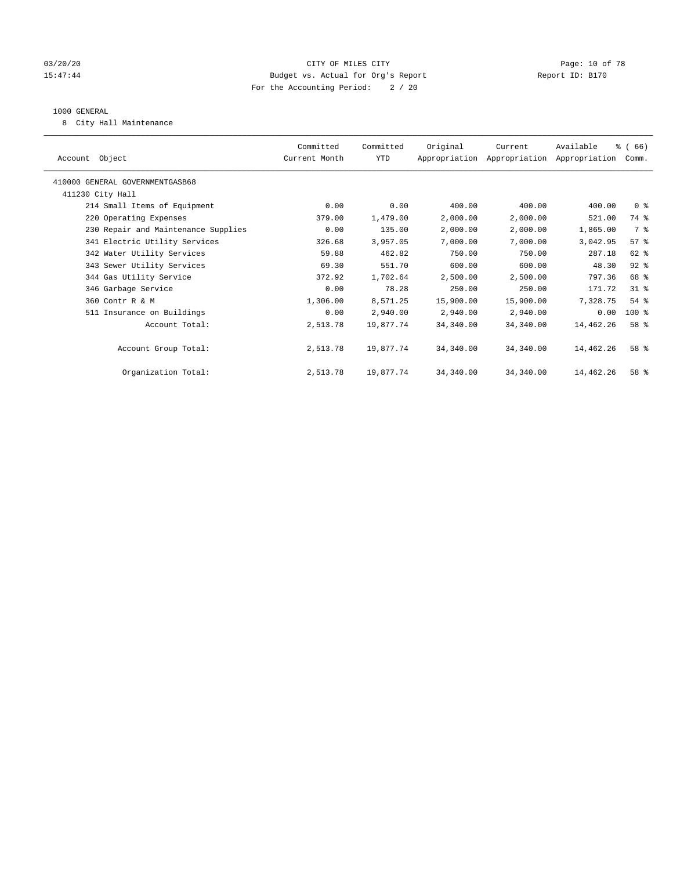#### 03/20/20 Page: 10 of 78 15:47:44 Budget vs. Actual for Org's Report Report ID: B170 For the Accounting Period: 2 / 20

#### 1000 GENERAL

8 City Hall Maintenance

| Account Object                      | Committed<br>Current Month | Committed<br>YTD | Original  | Current<br>Appropriation Appropriation Appropriation | Available | % (66)<br>Comm. |  |
|-------------------------------------|----------------------------|------------------|-----------|------------------------------------------------------|-----------|-----------------|--|
| 410000 GENERAL GOVERNMENTGASB68     |                            |                  |           |                                                      |           |                 |  |
| 411230 City Hall                    |                            |                  |           |                                                      |           |                 |  |
| 214 Small Items of Equipment        | 0.00                       | 0.00             | 400.00    | 400.00                                               | 400.00    | 0 <sup>8</sup>  |  |
| 220 Operating Expenses              | 379.00                     | 1,479.00         | 2,000.00  | 2,000.00                                             | 521.00    | 74 %            |  |
| 230 Repair and Maintenance Supplies | 0.00                       | 135.00           | 2,000.00  | 2,000.00                                             | 1,865.00  | 7 %             |  |
| 341 Electric Utility Services       | 326.68                     | 3,957.05         | 7,000.00  | 7,000.00                                             | 3,042.95  | 57%             |  |
| 342 Water Utility Services          | 59.88                      | 462.82           | 750.00    | 750.00                                               | 287.18    | $62$ $%$        |  |
| 343 Sewer Utility Services          | 69.30                      | 551.70           | 600.00    | 600.00                                               | 48.30     | $92$ $%$        |  |
| 344 Gas Utility Service             | 372.92                     | 1,702.64         | 2,500.00  | 2,500.00                                             | 797.36    | 68 %            |  |
| 346 Garbage Service                 | 0.00                       | 78.28            | 250.00    | 250.00                                               | 171.72    | 31.8            |  |
| 360 Contr R & M                     | 1,306.00                   | 8,571.25         | 15,900.00 | 15,900.00                                            | 7,328.75  | $54$ %          |  |
| 511 Insurance on Buildings          | 0.00                       | 2,940.00         | 2,940.00  | 2,940.00                                             | 0.00      | $100$ %         |  |
| Account Total:                      | 2,513.78                   | 19,877.74        | 34,340.00 | 34,340.00                                            | 14,462.26 | 58 <sup>8</sup> |  |
|                                     |                            |                  |           |                                                      |           |                 |  |
| Account Group Total:                | 2,513.78                   | 19,877.74        | 34,340.00 | 34,340.00                                            | 14,462.26 | 58 <sup>8</sup> |  |
|                                     |                            |                  |           |                                                      |           |                 |  |
| Organization Total:                 | 2,513.78                   | 19,877.74        | 34,340.00 | 34,340.00                                            | 14,462.26 | 58 %            |  |
|                                     |                            |                  |           |                                                      |           |                 |  |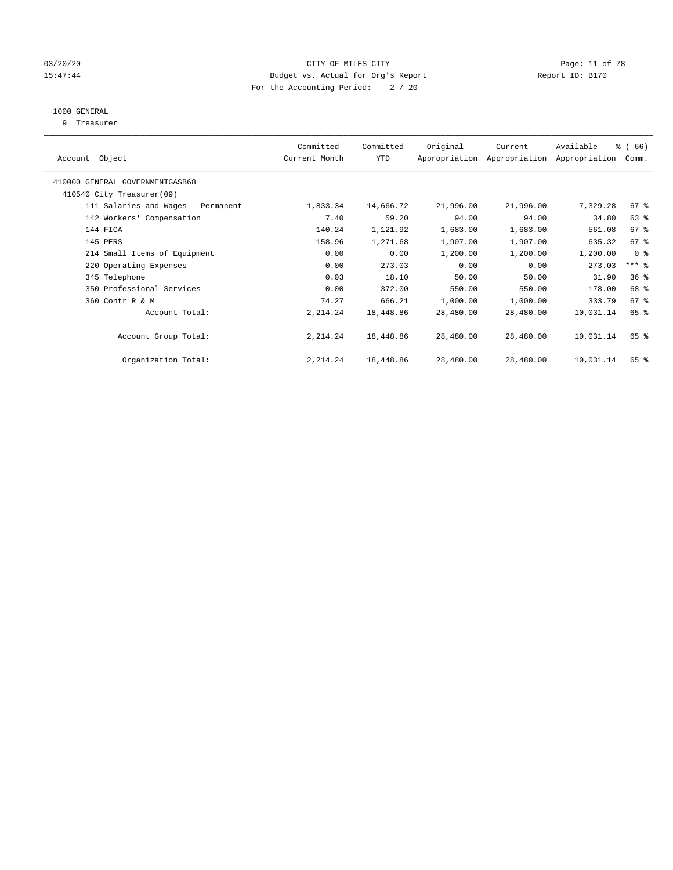### 03/20/20 Page: 11 of 78 15:47:44 Budget vs. Actual for Org's Report Report ID: B170 For the Accounting Period: 2 / 20

## 1000 GENERAL

9 Treasurer

| Object<br>Account                  | Committed<br>Current Month | Committed<br>YTD | Original  | Current<br>Appropriation Appropriation | Available<br>Appropriation | % (66)<br>Comm. |  |
|------------------------------------|----------------------------|------------------|-----------|----------------------------------------|----------------------------|-----------------|--|
| 410000 GENERAL GOVERNMENTGASB68    |                            |                  |           |                                        |                            |                 |  |
| 410540 City Treasurer(09)          |                            |                  |           |                                        |                            |                 |  |
| 111 Salaries and Wages - Permanent | 1,833.34                   | 14,666.72        | 21,996.00 | 21,996.00                              | 7,329.28                   | $67$ $%$        |  |
| 142 Workers' Compensation          | 7.40                       | 59.20            | 94.00     | 94.00                                  | 34.80                      | $63$ $%$        |  |
| 144 FICA                           | 140.24                     | 1,121.92         | 1,683.00  | 1,683.00                               | 561.08                     | 67%             |  |
| 145 PERS                           | 158.96                     | 1,271.68         | 1,907.00  | 1,907.00                               | 635.32                     | 67%             |  |
| 214 Small Items of Equipment       | 0.00                       | 0.00             | 1,200.00  | 1,200.00                               | 1,200.00                   | 0 <sup>8</sup>  |  |
| 220 Operating Expenses             | 0.00                       | 273.03           | 0.00      | 0.00                                   | $-273.03$                  | $***$ $%$       |  |
| 345 Telephone                      | 0.03                       | 18.10            | 50.00     | 50.00                                  | 31.90                      | 36%             |  |
| 350 Professional Services          | 0.00                       | 372.00           | 550.00    | 550.00                                 | 178.00                     | 68 %            |  |
| 360 Contr R & M                    | 74.27                      | 666.21           | 1,000.00  | 1,000.00                               | 333.79                     | 67%             |  |
| Account Total:                     | 2, 214.24                  | 18,448.86        | 28,480.00 | 28,480.00                              | 10,031.14                  | 65 %            |  |
| Account Group Total:               | 2, 214.24                  | 18,448.86        | 28,480.00 | 28,480.00                              | 10,031.14                  | 65 %            |  |
| Organization Total:                | 2, 214.24                  | 18,448.86        | 28,480.00 | 28,480.00                              | 10,031.14                  | 65 %            |  |
|                                    |                            |                  |           |                                        |                            |                 |  |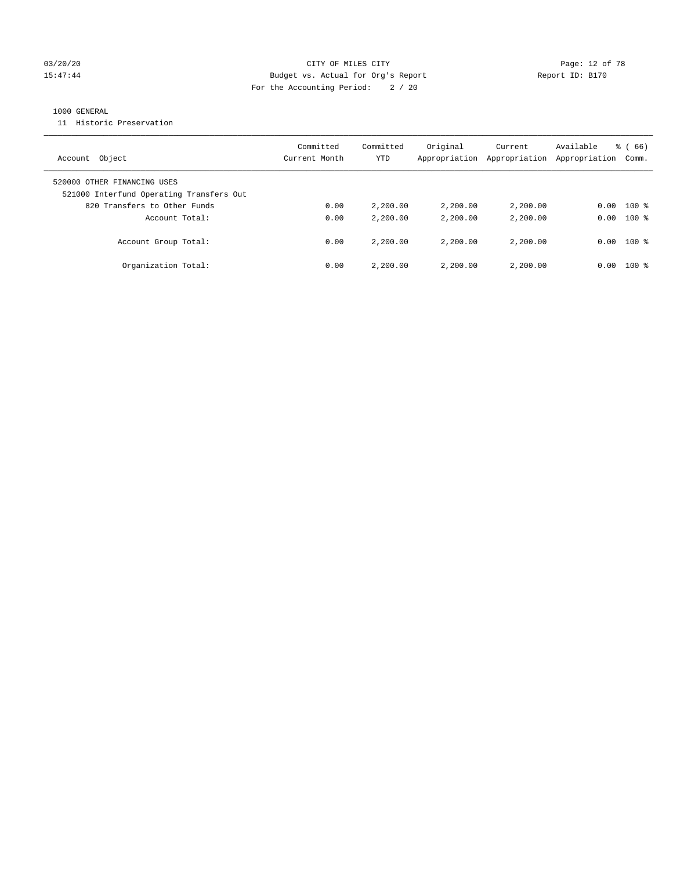#### 03/20/20 Page: 12 of 78 15:47:44 Budget vs. Actual for Org's Report Report ID: B170 For the Accounting Period: 2 / 20

#### 1000 GENERAL

11 Historic Preservation

| Object<br>Account                                                       | Committed<br>Current Month | Committed<br>YTD | Original<br>Appropriation | Current<br>Appropriation | Available<br>Appropriation | $\frac{8}{6}$ (66)<br>Comm. |
|-------------------------------------------------------------------------|----------------------------|------------------|---------------------------|--------------------------|----------------------------|-----------------------------|
| 520000 OTHER FINANCING USES<br>521000 Interfund Operating Transfers Out |                            |                  |                           |                          |                            |                             |
| 820 Transfers to Other Funds                                            | 0.00                       | 2,200.00         | 2,200.00                  | 2,200.00                 | 0.00                       | $100$ %                     |
| Account Total:                                                          | 0.00                       | 2,200.00         | 2,200.00                  | 2,200.00                 | 0.00                       | $100*$                      |
| Account Group Total:                                                    | 0.00                       | 2,200.00         | 2,200.00                  | 2,200,00                 | 0.00                       | $100*$                      |
| Organization Total:                                                     | 0.00                       | 2,200.00         | 2,200.00                  | 2,200,00                 | 0.00                       | $100*$                      |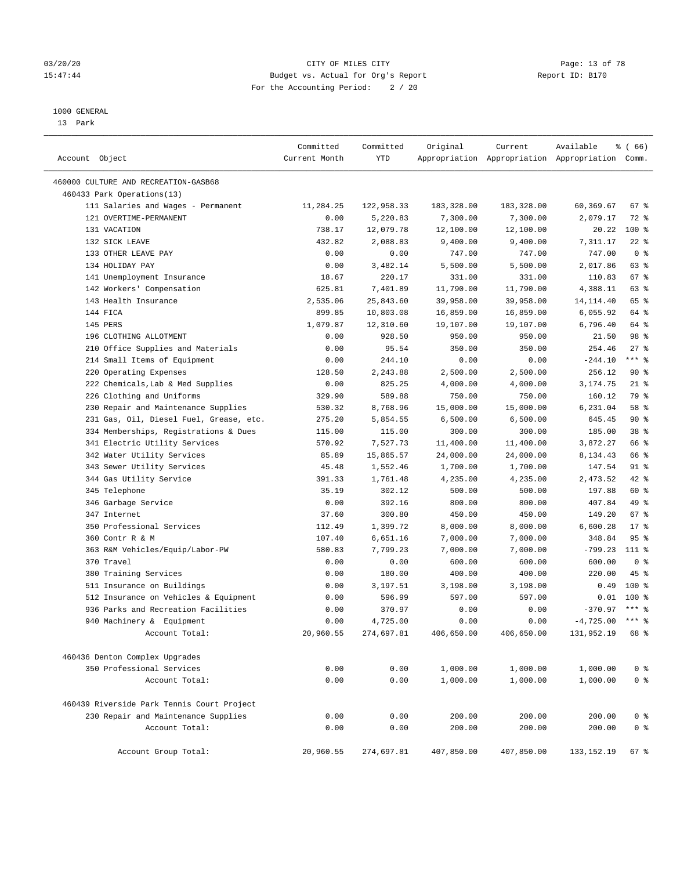#### 03/20/20 **CITY OF MILES CITY CONSUMING THE PAGE:** 13 of 78 15:47:44 Budget vs. Actual for Org's Report Report ID: B170 For the Accounting Period: 2 / 20

————————————————————————————————————————————————————————————————————————————————————————————————————————————————————————————————————

#### 1000 GENERAL

13 Park

|                                            | Committed     | Committed          | Original           | Current    | Available                                       | <sub>ර</sub> ි (66) |
|--------------------------------------------|---------------|--------------------|--------------------|------------|-------------------------------------------------|---------------------|
| Account Object                             | Current Month | YTD                |                    |            | Appropriation Appropriation Appropriation Comm. |                     |
| 460000 CULTURE AND RECREATION-GASB68       |               |                    |                    |            |                                                 |                     |
| 460433 Park Operations(13)                 |               |                    |                    |            |                                                 |                     |
| 111 Salaries and Wages - Permanent         | 11,284.25     | 122,958.33         | 183,328.00         | 183,328.00 | 60,369.67                                       | 67 %                |
| 121 OVERTIME-PERMANENT                     | 0.00          | 5,220.83           | 7,300.00           | 7,300.00   | 2,079.17                                        | $72$ $%$            |
| 131 VACATION                               | 738.17        | 12,079.78          | 12,100.00          | 12,100.00  | 20.22                                           | 100 %               |
| 132 SICK LEAVE                             | 432.82        | 2,088.83           | 9,400.00           | 9,400.00   | 7,311.17                                        | $22$ %              |
| 133 OTHER LEAVE PAY                        | 0.00          | 0.00               | 747.00             | 747.00     | 747.00                                          | 0 <sup>8</sup>      |
| 134 HOLIDAY PAY                            | 0.00          | 3,482.14           | 5,500.00           | 5,500.00   | 2,017.86                                        | 63 %                |
| 141 Unemployment Insurance                 | 18.67         | 220.17             | 331.00             | 331.00     | 110.83                                          | 67 %                |
| 142 Workers' Compensation                  | 625.81        | 7,401.89           | 11,790.00          | 11,790.00  | 4,388.11                                        | 63 %                |
| 143 Health Insurance                       | 2,535.06      | 25,843.60          | 39,958.00          | 39,958.00  | 14, 114. 40                                     | 65 %                |
| 144 FICA                                   | 899.85        | 10,803.08          | 16,859.00          | 16,859.00  | 6,055.92                                        | 64 %                |
| 145 PERS                                   | 1,079.87      | 12,310.60          | 19,107.00          | 19,107.00  | 6,796.40                                        | 64 %                |
| 196 CLOTHING ALLOTMENT                     | 0.00          | 928.50             | 950.00             | 950.00     | 21.50                                           | 98 %                |
| 210 Office Supplies and Materials          | 0.00          | 95.54              | 350.00             | 350.00     | 254.46                                          | $27$ %              |
| 214 Small Items of Equipment               | 0.00          | 244.10             | 0.00               | 0.00       | $-244.10$                                       | $***$ $-$           |
| 220 Operating Expenses                     | 128.50        | 2,243.88           |                    | 2,500.00   | 256.12                                          | 90%                 |
| 222 Chemicals, Lab & Med Supplies          | 0.00          | 825.25             | 2,500.00           | 4,000.00   | 3,174.75                                        | $21$ %              |
| 226 Clothing and Uniforms                  | 329.90        | 589.88             | 4,000.00<br>750.00 | 750.00     | 160.12                                          | 79 %                |
| 230 Repair and Maintenance Supplies        | 530.32        | 8,768.96           | 15,000.00          | 15,000.00  | 6,231.04                                        | 58 %                |
| 231 Gas, Oil, Diesel Fuel, Grease, etc.    | 275.20        | 5,854.55           |                    |            | 645.45                                          | $90*$               |
|                                            | 115.00        |                    | 6,500.00           | 6,500.00   | 185.00                                          | 38 <sup>8</sup>     |
| 334 Memberships, Registrations & Dues      |               | 115.00<br>7,527.73 | 300.00             | 300.00     |                                                 | 66 %                |
| 341 Electric Utility Services              | 570.92        |                    | 11,400.00          | 11,400.00  | 3,872.27                                        |                     |
| 342 Water Utility Services                 | 85.89         | 15,865.57          | 24,000.00          | 24,000.00  | 8,134.43                                        | 66 %                |
| 343 Sewer Utility Services                 | 45.48         | 1,552.46           | 1,700.00           | 1,700.00   | 147.54                                          | 91 %                |
| 344 Gas Utility Service                    | 391.33        | 1,761.48           | 4,235.00           | 4,235.00   | 2,473.52                                        | $42$ %              |
| 345 Telephone                              | 35.19         | 302.12             | 500.00             | 500.00     | 197.88                                          | 60 %                |
| 346 Garbage Service                        | 0.00          | 392.16             | 800.00             | 800.00     | 407.84                                          | 49 %                |
| 347 Internet                               | 37.60         | 300.80             | 450.00             | 450.00     | 149.20                                          | 67%                 |
| 350 Professional Services                  | 112.49        | 1,399.72           | 8,000.00           | 8,000.00   | 6,600.28                                        | $17*$               |
| 360 Contr R & M                            | 107.40        | 6,651.16           | 7,000.00           | 7,000.00   | 348.84                                          | 95 <sup>°</sup>     |
| 363 R&M Vehicles/Equip/Labor-PW            | 580.83        | 7,799.23           | 7,000.00           | 7,000.00   | $-799.23$                                       | 111 %               |
| 370 Travel                                 | 0.00          | 0.00               | 600.00             | 600.00     | 600.00                                          | 0 <sup>8</sup>      |
| 380 Training Services                      | 0.00          | 180.00             | 400.00             | 400.00     | 220.00                                          | 45 %                |
| 511 Insurance on Buildings                 | 0.00          | 3,197.51           | 3,198.00           | 3,198.00   | 0.49                                            | $100*$              |
| 512 Insurance on Vehicles & Equipment      | 0.00          | 596.99             | 597.00             | 597.00     | 0.01                                            | $100*$              |
| 936 Parks and Recreation Facilities        | 0.00          | 370.97             | 0.00               | 0.00       | $-370.97$                                       | $***$ $%$           |
| 940 Machinery & Equipment                  | 0.00          | 4,725.00           | 0.00               | 0.00       | $-4,725.00$ *** \$                              |                     |
| Account Total:                             | 20,960.55     | 274,697.81         | 406,650.00         | 406,650.00 | 131,952.19 68 %                                 |                     |
| 460436 Denton Complex Upgrades             |               |                    |                    |            |                                                 |                     |
| 350 Professional Services                  | 0.00          | 0.00               | 1,000.00           | 1,000.00   | 1,000.00                                        | 0 <sup>8</sup>      |
| Account Total:                             | 0.00          | 0.00               | 1,000.00           | 1,000.00   | 1,000.00                                        | 0 <sup>°</sup>      |
| 460439 Riverside Park Tennis Court Project |               |                    |                    |            |                                                 |                     |
| 230 Repair and Maintenance Supplies        | 0.00          | 0.00               | 200.00             | 200.00     | 200.00                                          | 0 <sup>8</sup>      |
| Account Total:                             | 0.00          | 0.00               | 200.00             | 200.00     | 200.00                                          | 0 <sup>°</sup>      |
| Account Group Total:                       | 20,960.55     | 274,697.81         | 407,850.00         | 407,850.00 | 133, 152. 19                                    | 67%                 |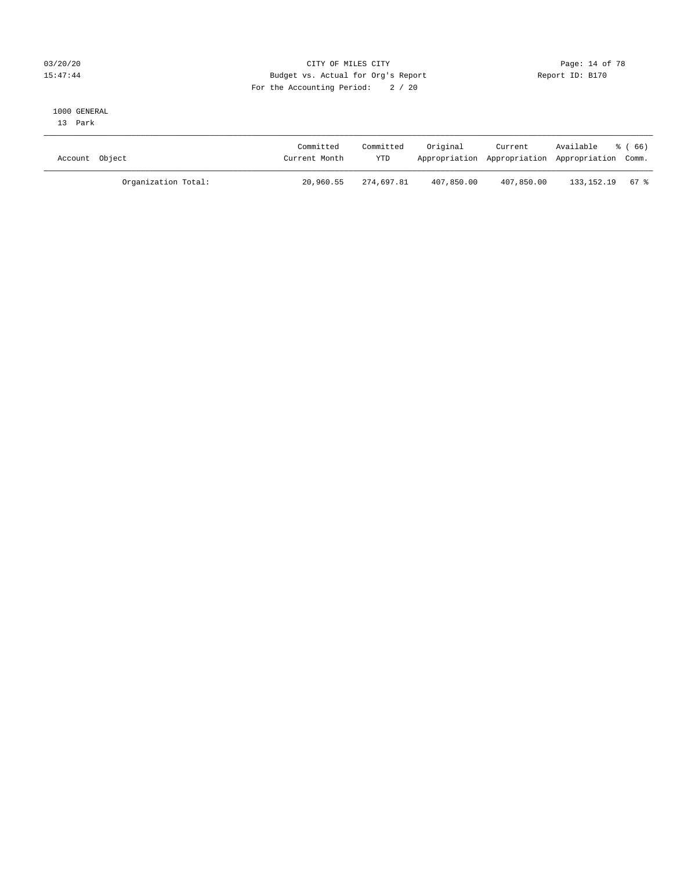#### 03/20/20 Page: 14 of 78 15:47:44 Budget vs. Actual for Org's Report Report ID: B170 For the Accounting Period: 2 / 20

#### 1000 GENERAL

13 Park

| Account Object |                     | Committed<br>Current Month | Committed<br><b>YTD</b> | Original   | Current<br>Appropriation Appropriation Appropriation Comm. | Available         | ී (66) |
|----------------|---------------------|----------------------------|-------------------------|------------|------------------------------------------------------------|-------------------|--------|
|                | Organization Total: | 20,960.55                  | 274,697.81              | 407,850.00 | 407,850.00                                                 | 133, 152, 19 67 % |        |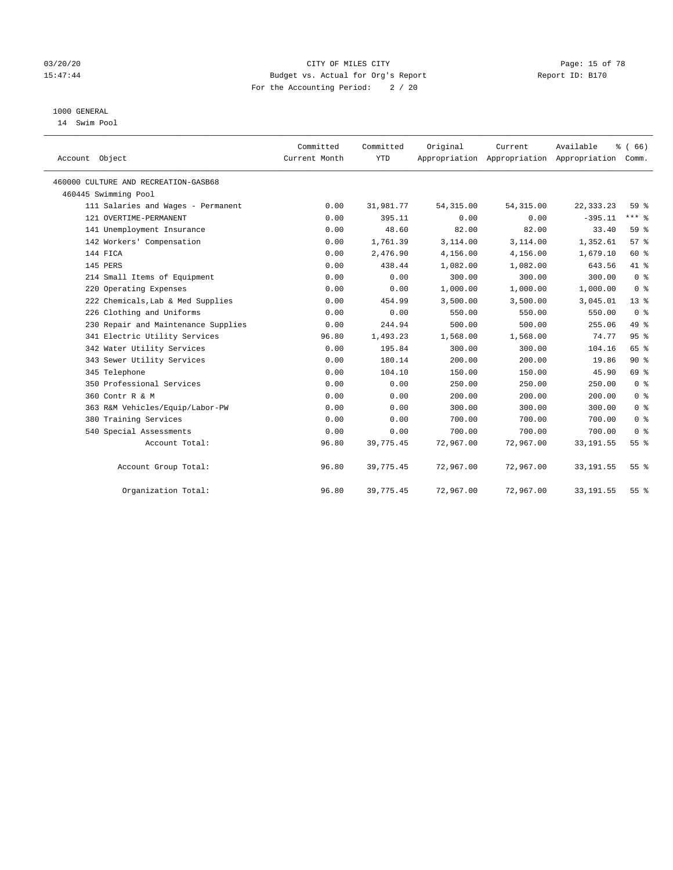#### 03/20/20 **Page: 15 of 78** CITY OF MILES CITY **CITY** CITY **Page: 15 of 78** 15:47:44 Budget vs. Actual for Org's Report Report ID: B170 For the Accounting Period: 2 / 20

## 1000 GENERAL

14 Swim Pool

| Account Object                       | Committed<br>Current Month | Committed<br><b>YTD</b> | Original   | Current<br>Appropriation Appropriation Appropriation | Available   | % (66)<br>Comm. |
|--------------------------------------|----------------------------|-------------------------|------------|------------------------------------------------------|-------------|-----------------|
| 460000 CULTURE AND RECREATION-GASB68 |                            |                         |            |                                                      |             |                 |
| 460445 Swimming Pool                 |                            |                         |            |                                                      |             |                 |
| 111 Salaries and Wages - Permanent   | 0.00                       | 31,981.77               | 54, 315.00 | 54, 315.00                                           | 22, 333. 23 | 59 <sub>8</sub> |
| 121 OVERTIME-PERMANENT               | 0.00                       | 395.11                  | 0.00       | 0.00                                                 | $-395.11$   | $***$ $-$       |
| 141 Unemployment Insurance           | 0.00                       | 48.60                   | 82.00      | 82.00                                                | 33.40       | 59 %            |
| 142 Workers' Compensation            | 0.00                       | 1,761.39                | 3,114.00   | 3,114.00                                             | 1,352.61    | 57%             |
| 144 FICA                             | 0.00                       | 2,476.90                | 4,156.00   | 4,156.00                                             | 1,679.10    | 60 %            |
| 145 PERS                             | 0.00                       | 438.44                  | 1,082.00   | 1,082.00                                             | 643.56      | 41 %            |
| 214 Small Items of Equipment         | 0.00                       | 0.00                    | 300.00     | 300.00                                               | 300.00      | 0 <sup>8</sup>  |
| 220 Operating Expenses               | 0.00                       | 0.00                    | 1,000.00   | 1,000.00                                             | 1,000.00    | 0 <sup>8</sup>  |
| 222 Chemicals, Lab & Med Supplies    | 0.00                       | 454.99                  | 3,500.00   | 3,500.00                                             | 3,045.01    | $13*$           |
| 226 Clothing and Uniforms            | 0.00                       | 0.00                    | 550.00     | 550.00                                               | 550.00      | 0 <sup>8</sup>  |
| 230 Repair and Maintenance Supplies  | 0.00                       | 244.94                  | 500.00     | 500.00                                               | 255.06      | 49 %            |
| 341 Electric Utility Services        | 96.80                      | 1,493.23                | 1,568.00   | 1,568.00                                             | 74.77       | 95%             |
| 342 Water Utility Services           | 0.00                       | 195.84                  | 300.00     | 300.00                                               | 104.16      | 65 %            |
| 343 Sewer Utility Services           | 0.00                       | 180.14                  | 200.00     | 200.00                                               | 19.86       | $90*$           |
| 345 Telephone                        | 0.00                       | 104.10                  | 150.00     | 150.00                                               | 45.90       | 69 %            |
| 350 Professional Services            | 0.00                       | 0.00                    | 250.00     | 250.00                                               | 250.00      | 0 <sup>8</sup>  |
| 360 Contr R & M                      | 0.00                       | 0.00                    | 200.00     | 200.00                                               | 200.00      | 0 <sup>8</sup>  |
| 363 R&M Vehicles/Equip/Labor-PW      | 0.00                       | 0.00                    | 300.00     | 300.00                                               | 300.00      | 0 <sup>8</sup>  |
| 380 Training Services                | 0.00                       | 0.00                    | 700.00     | 700.00                                               | 700.00      | 0 <sup>8</sup>  |
| 540 Special Assessments              | 0.00                       | 0.00                    | 700.00     | 700.00                                               | 700.00      | 0 <sup>8</sup>  |
| Account Total:                       | 96.80                      | 39,775.45               | 72,967.00  | 72,967.00                                            | 33, 191.55  | 55 <sup>8</sup> |
| Account Group Total:                 | 96.80                      | 39,775.45               | 72,967.00  | 72,967.00                                            | 33, 191.55  | $55$ $%$        |
| Organization Total:                  | 96.80                      | 39,775.45               | 72,967.00  | 72,967.00                                            | 33, 191.55  | 55%             |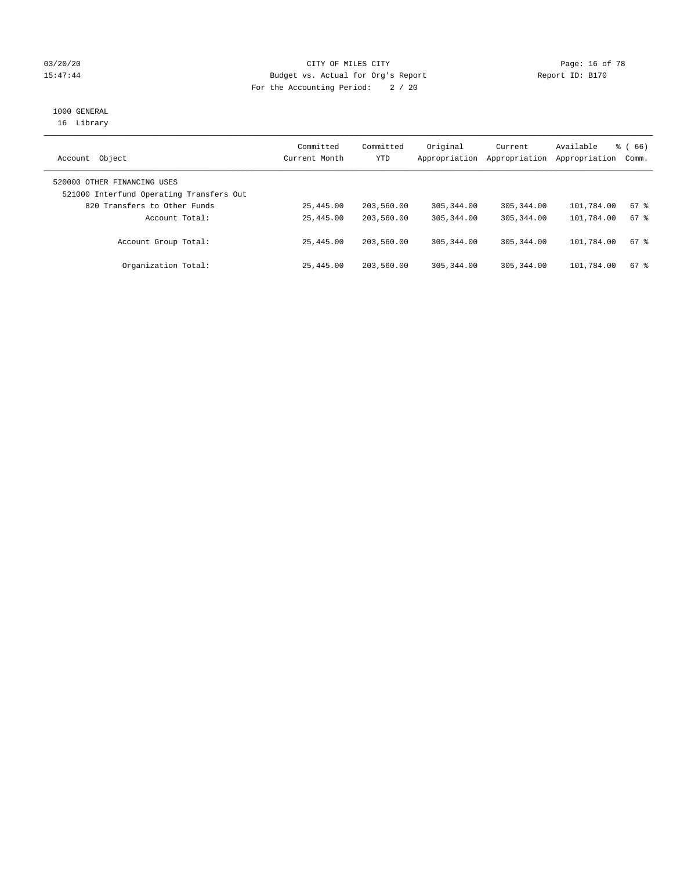### 03/20/20 **Page: 16 of 78** CITY OF MILES CITY **CITY Page: 16 of 78** 15:47:44 Budget vs. Actual for Org's Report Report ID: B170 For the Accounting Period: 2 / 20

# 1000 GENERAL

16 Library

| Object<br>Account                                                       | Committed<br>Current Month | Committed<br>YTD | Original<br>Appropriation | Current<br>Appropriation | Available<br>Appropriation | $\frac{3}{6}$ (66)<br>Comm. |
|-------------------------------------------------------------------------|----------------------------|------------------|---------------------------|--------------------------|----------------------------|-----------------------------|
| 520000 OTHER FINANCING USES<br>521000 Interfund Operating Transfers Out |                            |                  |                           |                          |                            |                             |
| 820 Transfers to Other Funds                                            | 25,445.00                  | 203,560.00       | 305, 344, 00              | 305, 344, 00             | 101,784.00                 | 67 %                        |
| Account Total:                                                          | 25,445.00                  | 203,560.00       | 305, 344, 00              | 305, 344, 00             | 101,784.00                 | 67 %                        |
| Account Group Total:                                                    | 25,445.00                  | 203,560.00       | 305, 344, 00              | 305, 344, 00             | 101,784.00                 | $67$ $%$                    |
| Organization Total:                                                     | 25,445.00                  | 203,560.00       | 305, 344, 00              | 305, 344, 00             | 101,784.00                 | $67$ $%$                    |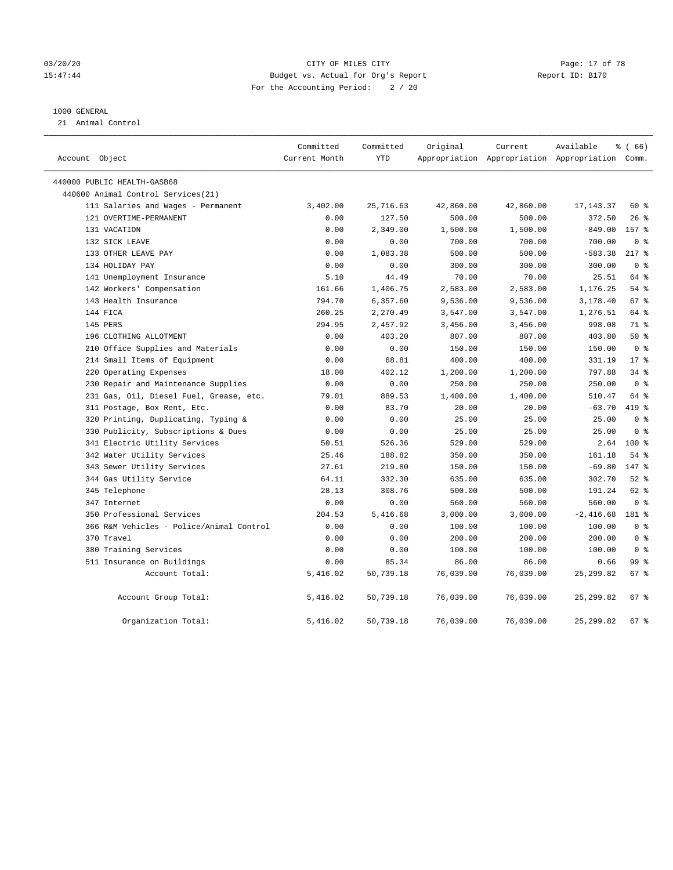#### 03/20/20 Page: 17 of 78 15:47:44 Budget vs. Actual for Org's Report Report ID: B170 For the Accounting Period: 2 / 20

#### 1000 GENERAL

21 Animal Control

| Account Object                           | Committed<br>Current Month | Committed<br>YTD | Original  | Current   | Available<br>Appropriation Appropriation Appropriation Comm. | 8 ( 66 )       |  |
|------------------------------------------|----------------------------|------------------|-----------|-----------|--------------------------------------------------------------|----------------|--|
| 440000 PUBLIC HEALTH-GASB68              |                            |                  |           |           |                                                              |                |  |
| 440600 Animal Control Services(21)       |                            |                  |           |           |                                                              |                |  |
| 111 Salaries and Wages - Permanent       | 3,402.00                   | 25,716.63        | 42,860.00 | 42,860.00 | 17, 143. 37                                                  | 60 %           |  |
| 121 OVERTIME-PERMANENT                   | 0.00                       | 127.50           | 500.00    | 500.00    | 372.50                                                       | $26$ %         |  |
| 131 VACATION                             | 0.00                       | 2,349.00         | 1,500.00  | 1,500.00  | $-849.00$                                                    | 157 %          |  |
| 132 SICK LEAVE                           | 0.00                       | 0.00             | 700.00    | 700.00    | 700.00                                                       | 0 <sup>8</sup> |  |
| 133 OTHER LEAVE PAY                      | 0.00                       | 1,083.38         | 500.00    | 500.00    | $-583.38$                                                    | $217*$         |  |
| 134 HOLIDAY PAY                          | 0.00                       | 0.00             | 300.00    | 300.00    | 300.00                                                       | 0 <sup>8</sup> |  |
| 141 Unemployment Insurance               | 5.10                       | 44.49            | 70.00     | 70.00     | 25.51                                                        | 64 %           |  |
| 142 Workers' Compensation                | 161.66                     | 1,406.75         | 2,583.00  | 2,583.00  | 1,176.25                                                     | $54$ %         |  |
| 143 Health Insurance                     | 794.70                     | 6,357.60         | 9,536.00  | 9,536.00  | 3,178.40                                                     | 67 %           |  |
| 144 FICA                                 | 260.25                     | 2,270.49         | 3,547.00  | 3,547.00  | 1,276.51                                                     | 64 %           |  |
| 145 PERS                                 | 294.95                     | 2,457.92         | 3,456.00  | 3,456.00  | 998.08                                                       | 71 %           |  |
| 196 CLOTHING ALLOTMENT                   | 0.00                       | 403.20           | 807.00    | 807.00    | 403.80                                                       | 50%            |  |
| 210 Office Supplies and Materials        | 0.00                       | 0.00             | 150.00    | 150.00    | 150.00                                                       | 0 <sup>8</sup> |  |
| 214 Small Items of Equipment             | 0.00                       | 68.81            | 400.00    | 400.00    | 331.19                                                       | $17*$          |  |
| 220 Operating Expenses                   | 18.00                      | 402.12           | 1,200.00  | 1,200.00  | 797.88                                                       | 34%            |  |
| 230 Repair and Maintenance Supplies      | 0.00                       | 0.00             | 250.00    | 250.00    | 250.00                                                       | 0 <sup>8</sup> |  |
| 231 Gas, Oil, Diesel Fuel, Grease, etc.  | 79.01                      | 889.53           | 1,400.00  | 1,400.00  | 510.47                                                       | 64 %           |  |
| 311 Postage, Box Rent, Etc.              | 0.00                       | 83.70            | 20.00     | 20.00     | $-63.70$                                                     | 419 %          |  |
| 320 Printing, Duplicating, Typing &      | 0.00                       | 0.00             | 25.00     | 25.00     | 25.00                                                        | 0 <sup>8</sup> |  |
| 330 Publicity, Subscriptions & Dues      | 0.00                       | 0.00             | 25.00     | 25.00     | 25.00                                                        | 0 <sup>8</sup> |  |
| 341 Electric Utility Services            | 50.51                      | 526.36           | 529.00    | 529.00    | 2.64                                                         | $100*$         |  |
| 342 Water Utility Services               | 25.46                      | 188.82           | 350.00    | 350.00    | 161.18                                                       | $54$ %         |  |
| 343 Sewer Utility Services               | 27.61                      | 219.80           | 150.00    | 150.00    | $-69.80$                                                     | 147 %          |  |
| 344 Gas Utility Service                  | 64.11                      | 332.30           | 635.00    | 635.00    | 302.70                                                       | $52$ $%$       |  |
| 345 Telephone                            | 28.13                      | 308.76           | 500.00    | 500.00    | 191.24                                                       | 62 %           |  |
| 347 Internet                             | 0.00                       | 0.00             | 560.00    | 560.00    | 560.00                                                       | 0 <sup>8</sup> |  |
| 350 Professional Services                | 204.53                     | 5,416.68         | 3,000.00  | 3,000.00  | $-2,416.68$                                                  | 181 %          |  |
| 366 R&M Vehicles - Police/Animal Control | 0.00                       | 0.00             | 100.00    | 100.00    | 100.00                                                       | 0 <sup>8</sup> |  |
| 370 Travel                               | 0.00                       | 0.00             | 200.00    | 200.00    | 200.00                                                       | 0 <sup>8</sup> |  |
| 380 Training Services                    | 0.00                       | 0.00             | 100.00    | 100.00    | 100.00                                                       | 0 <sup>8</sup> |  |
| 511 Insurance on Buildings               | 0.00                       | 85.34            | 86.00     | 86.00     | 0.66                                                         | 99 %           |  |
| Account Total:                           | 5,416.02                   | 50,739.18        | 76,039.00 | 76,039.00 | 25, 299.82                                                   | $67$ %         |  |
| Account Group Total:                     | 5,416.02                   | 50,739.18        | 76,039.00 | 76,039.00 | 25, 299.82                                                   | $67$ %         |  |
| Organization Total:                      | 5,416.02                   | 50,739.18        | 76,039.00 | 76,039.00 | 25, 299.82                                                   | $67$ %         |  |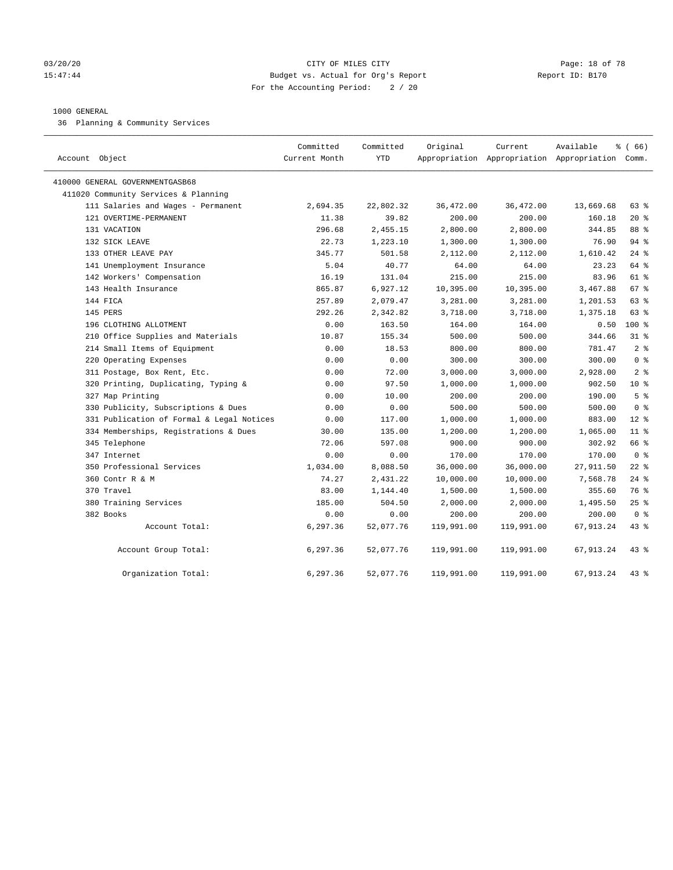#### 03/20/20 **CITY OF MILES CITY CONSUMING THE PAGE:** 18 of 78 15:47:44 Budget vs. Actual for Org's Report Report ID: B170 For the Accounting Period: 2 / 20

#### 1000 GENERAL

36 Planning & Community Services

| Account Object                            | Committed<br>Current Month | Committed<br><b>YTD</b> | Original   | Current    | Available<br>Appropriation Appropriation Appropriation Comm. | % (66)         |
|-------------------------------------------|----------------------------|-------------------------|------------|------------|--------------------------------------------------------------|----------------|
| 410000 GENERAL GOVERNMENTGASB68           |                            |                         |            |            |                                                              |                |
| 411020 Community Services & Planning      |                            |                         |            |            |                                                              |                |
| 111 Salaries and Wages - Permanent        | 2,694.35                   | 22,802.32               | 36,472.00  | 36,472.00  | 13,669.68                                                    | 63 %           |
| 121 OVERTIME-PERMANENT                    | 11.38                      | 39.82                   | 200.00     | 200.00     | 160.18                                                       | $20*$          |
| 131 VACATION                              | 296.68                     | 2,455.15                | 2,800.00   | 2,800.00   | 344.85                                                       | 88 %           |
| 132 SICK LEAVE                            | 22.73                      | 1,223.10                | 1,300.00   | 1,300.00   | 76.90                                                        | 94 %           |
| 133 OTHER LEAVE PAY                       | 345.77                     | 501.58                  | 2,112.00   | 2,112.00   | 1,610.42                                                     | $24$ %         |
| 141 Unemployment Insurance                | 5.04                       | 40.77                   | 64.00      | 64.00      | 23.23                                                        | 64 %           |
| 142 Workers' Compensation                 | 16.19                      | 131.04                  | 215.00     | 215.00     | 83.96                                                        | $61$ %         |
| 143 Health Insurance                      | 865.87                     | 6,927.12                | 10,395.00  | 10,395.00  | 3,467.88                                                     | 67 %           |
| 144 FICA                                  | 257.89                     | 2,079.47                | 3,281.00   | 3,281.00   | 1,201.53                                                     | 63 %           |
| 145 PERS                                  | 292.26                     | 2,342.82                | 3,718.00   | 3,718.00   | 1,375.18                                                     | 63 %           |
| 196 CLOTHING ALLOTMENT                    | 0.00                       | 163.50                  | 164.00     | 164.00     | 0.50                                                         | $100*$         |
| 210 Office Supplies and Materials         | 10.87                      | 155.34                  | 500.00     | 500.00     | 344.66                                                       | $31$ $8$       |
| 214 Small Items of Equipment              | 0.00                       | 18.53                   | 800.00     | 800.00     | 781.47                                                       | 2 <sup>8</sup> |
| 220 Operating Expenses                    | 0.00                       | 0.00                    | 300.00     | 300.00     | 300.00                                                       | 0 <sup>8</sup> |
| 311 Postage, Box Rent, Etc.               | 0.00                       | 72.00                   | 3,000.00   | 3,000.00   | 2,928.00                                                     | 2 <sup>8</sup> |
| 320 Printing, Duplicating, Typing &       | 0.00                       | 97.50                   | 1,000.00   | 1,000.00   | 902.50                                                       | $10*$          |
| 327 Map Printing                          | 0.00                       | 10.00                   | 200.00     | 200.00     | 190.00                                                       | 5 <sup>°</sup> |
| 330 Publicity, Subscriptions & Dues       | 0.00                       | 0.00                    | 500.00     | 500.00     | 500.00                                                       | 0 <sup>8</sup> |
| 331 Publication of Formal & Legal Notices | 0.00                       | 117.00                  | 1,000.00   | 1,000.00   | 883.00                                                       | $12*$          |
| 334 Memberships, Registrations & Dues     | 30.00                      | 135.00                  | 1,200.00   | 1,200.00   | 1,065.00                                                     | $11$ %         |
| 345 Telephone                             | 72.06                      | 597.08                  | 900.00     | 900.00     | 302.92                                                       | 66 %           |
| 347 Internet                              | 0.00                       | 0.00                    | 170.00     | 170.00     | 170.00                                                       | 0 <sup>8</sup> |
| 350 Professional Services                 | 1,034.00                   | 8,088.50                | 36,000.00  | 36,000.00  | 27,911.50                                                    | $22$ %         |
| 360 Contr R & M                           | 74.27                      | 2,431.22                | 10,000.00  | 10,000.00  | 7,568.78                                                     | $24$ %         |
| 370 Travel                                | 83.00                      | 1,144.40                | 1,500.00   | 1,500.00   | 355.60                                                       | 76 %           |
| 380 Training Services                     | 185.00                     | 504.50                  | 2,000.00   | 2,000.00   | 1,495.50                                                     | $25$ %         |
| 382 Books                                 | 0.00                       | 0.00                    | 200.00     | 200.00     | 200.00                                                       | 0 <sup>8</sup> |
| Account Total:                            | 6,297.36                   | 52,077.76               | 119,991.00 | 119,991.00 | 67,913.24                                                    | 43.8           |
| Account Group Total:                      | 6,297.36                   | 52,077.76               | 119,991.00 | 119,991.00 | 67, 913.24                                                   | $43$ %         |
| Organization Total:                       | 6,297.36                   | 52,077.76               | 119,991.00 | 119,991.00 | 67, 913.24                                                   | 43.8           |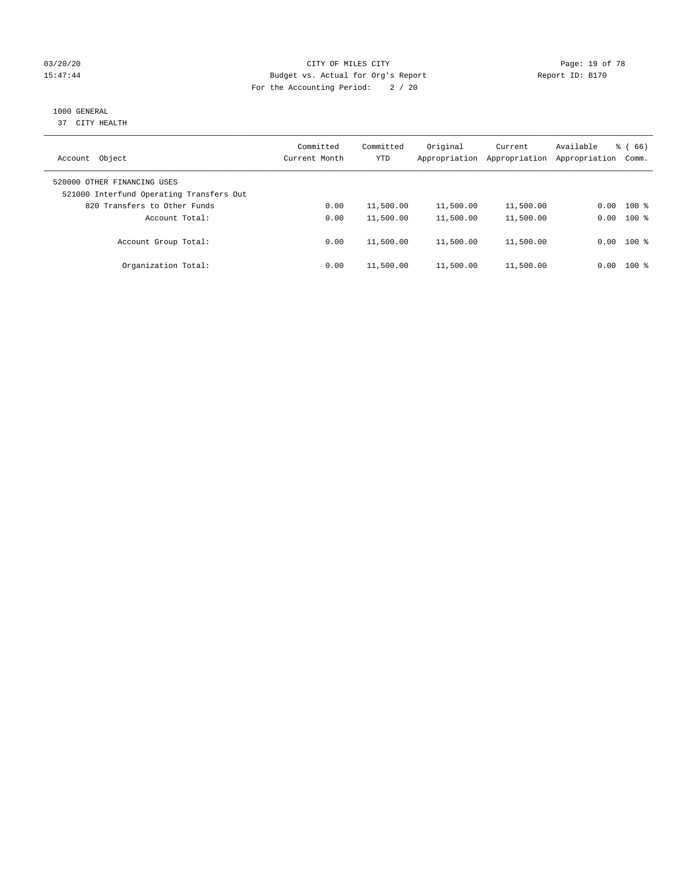### 03/20/20 **Page: 19 of 78** CITY OF MILES CITY **CITY Page: 19 of 78** 15:47:44 Budget vs. Actual for Org's Report Report ID: B170 For the Accounting Period: 2 / 20

# 1000 GENERAL

37 CITY HEALTH

| Object<br>Account                                                       | Committed<br>Current Month | Committed<br><b>YTD</b> | Original<br>Appropriation | Current<br>Appropriation | Available<br>Appropriation | $\frac{8}{6}$ (66)<br>Comm. |
|-------------------------------------------------------------------------|----------------------------|-------------------------|---------------------------|--------------------------|----------------------------|-----------------------------|
| 520000 OTHER FINANCING USES<br>521000 Interfund Operating Transfers Out |                            |                         |                           |                          |                            |                             |
| 820 Transfers to Other Funds                                            | 0.00                       | 11,500.00               | 11,500.00                 | 11,500.00                | 0.00                       | $100*$                      |
| Account Total:                                                          | 0.00                       | 11,500.00               | 11,500.00                 | 11,500.00                | 0.00                       | $100*$                      |
| Account Group Total:                                                    | 0.00                       | 11,500.00               | 11,500.00                 | 11,500.00                |                            | $0.00$ 100 %                |
| Organization Total:                                                     | 0.00                       | 11,500.00               | 11,500.00                 | 11,500.00                | 0.00                       | $100*$                      |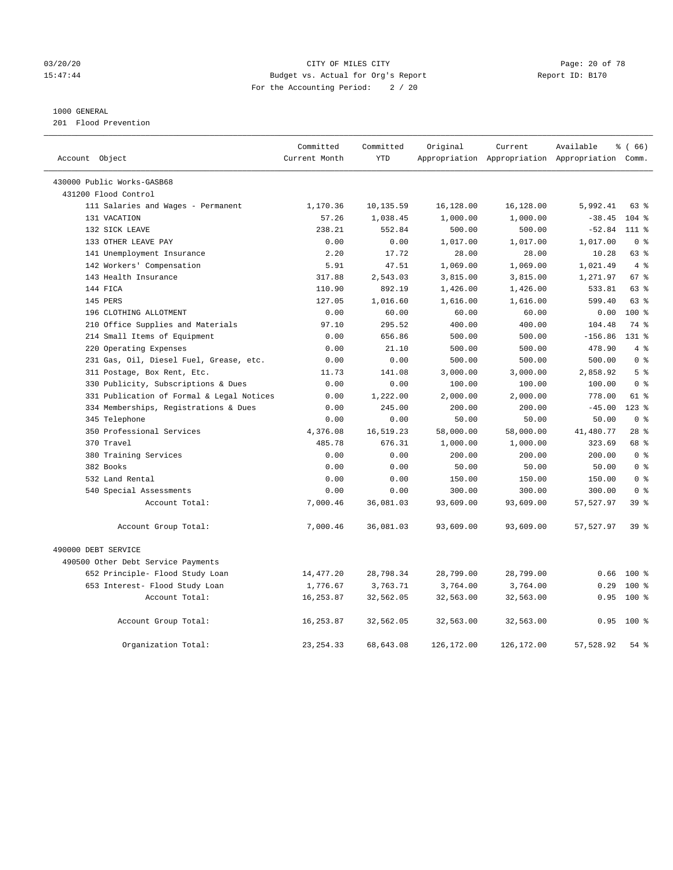#### 03/20/20 Page: 20 of 78 15:47:44 Budget vs. Actual for Org's Report Report ID: B170 For the Accounting Period: 2 / 20

#### 1000 GENERAL

201 Flood Prevention

| Account Object                            | Committed<br>Current Month | Committed<br><b>YTD</b> | Original   | Current    | Available<br>Appropriation Appropriation Appropriation Comm. | % (66)          |
|-------------------------------------------|----------------------------|-------------------------|------------|------------|--------------------------------------------------------------|-----------------|
|                                           |                            |                         |            |            |                                                              |                 |
| 430000 Public Works-GASB68                |                            |                         |            |            |                                                              |                 |
| 431200 Flood Control                      |                            |                         |            |            |                                                              |                 |
| 111 Salaries and Wages - Permanent        | 1,170.36                   | 10,135.59               | 16,128.00  | 16,128.00  | 5,992.41                                                     | 63 %            |
| 131 VACATION                              | 57.26                      | 1,038.45                | 1,000.00   | 1,000.00   | $-38.45$                                                     | $104$ %         |
| 132 SICK LEAVE                            | 238.21                     | 552.84                  | 500.00     | 500.00     | $-52.84$                                                     | 111 %           |
| 133 OTHER LEAVE PAY                       | 0.00                       | 0.00                    | 1,017.00   | 1,017.00   | 1,017.00                                                     | 0 <sup>8</sup>  |
| 141 Unemployment Insurance                | 2.20                       | 17.72                   | 28.00      | 28.00      | 10.28                                                        | 63 %            |
| 142 Workers' Compensation                 | 5.91                       | 47.51                   | 1,069.00   | 1,069.00   | 1,021.49                                                     | 4%              |
| 143 Health Insurance                      | 317.88                     | 2,543.03                | 3,815.00   | 3,815.00   | 1,271.97                                                     | 67 %            |
| 144 FICA                                  | 110.90                     | 892.19                  | 1,426.00   | 1,426.00   | 533.81                                                       | 63%             |
| 145 PERS                                  | 127.05                     | 1,016.60                | 1,616.00   | 1,616.00   | 599.40                                                       | $63$ $%$        |
| 196 CLOTHING ALLOTMENT                    | 0.00                       | 60.00                   | 60.00      | 60.00      | 0.00                                                         | $100*$          |
| 210 Office Supplies and Materials         | 97.10                      | 295.52                  | 400.00     | 400.00     | 104.48                                                       | 74 %            |
| 214 Small Items of Equipment              | 0.00                       | 656.86                  | 500.00     | 500.00     | $-156.86$                                                    | $131*$          |
| 220 Operating Expenses                    | 0.00                       | 21.10                   | 500.00     | 500.00     | 478.90                                                       | 4%              |
| 231 Gas, Oil, Diesel Fuel, Grease, etc.   | 0.00                       | 0.00                    | 500.00     | 500.00     | 500.00                                                       | 0 <sup>8</sup>  |
| 311 Postage, Box Rent, Etc.               | 11.73                      | 141.08                  | 3,000.00   | 3,000.00   | 2,858.92                                                     | 5 <sup>8</sup>  |
| 330 Publicity, Subscriptions & Dues       | 0.00                       | 0.00                    | 100.00     | 100.00     | 100.00                                                       | 0 <sup>8</sup>  |
| 331 Publication of Formal & Legal Notices | 0.00                       | 1,222.00                | 2,000.00   | 2,000.00   | 778.00                                                       | 61 %            |
| 334 Memberships, Registrations & Dues     | 0.00                       | 245.00                  | 200.00     | 200.00     | $-45.00$                                                     | $123$ $%$       |
| 345 Telephone                             | 0.00                       | 0.00                    | 50.00      | 50.00      | 50.00                                                        | 0 <sup>8</sup>  |
| 350 Professional Services                 | 4,376.08                   | 16,519.23               | 58,000.00  | 58,000.00  | 41,480.77                                                    | $28$ %          |
| 370 Travel                                | 485.78                     | 676.31                  | 1,000.00   | 1,000.00   | 323.69                                                       | 68 %            |
| 380 Training Services                     | 0.00                       | 0.00                    | 200.00     | 200.00     | 200.00                                                       | 0 <sup>8</sup>  |
| 382 Books                                 | 0.00                       | 0.00                    | 50.00      | 50.00      | 50.00                                                        | 0 <sup>8</sup>  |
| 532 Land Rental                           | 0.00                       | 0.00                    | 150.00     | 150.00     | 150.00                                                       | 0 <sup>8</sup>  |
| 540 Special Assessments                   | 0.00                       | 0.00                    | 300.00     | 300.00     | 300.00                                                       | 0 <sup>8</sup>  |
| Account Total:                            | 7,000.46                   | 36,081.03               | 93,609.00  | 93,609.00  | 57,527.97                                                    | 39 <sup>8</sup> |
| Account Group Total:                      | 7,000.46                   | 36,081.03               | 93,609.00  | 93,609.00  | 57,527.97                                                    | 39 <sup>8</sup> |
| 490000 DEBT SERVICE                       |                            |                         |            |            |                                                              |                 |
| 490500 Other Debt Service Payments        |                            |                         |            |            |                                                              |                 |
| 652 Principle- Flood Study Loan           | 14,477.20                  | 28,798.34               | 28,799.00  | 28,799.00  | 0.66                                                         | $100*$          |
| 653 Interest- Flood Study Loan            | 1,776.67                   | 3,763.71                | 3,764.00   | 3,764.00   | 0.29                                                         | 100 %           |
| Account Total:                            | 16,253.87                  | 32,562.05               | 32,563.00  | 32,563.00  | 0.95                                                         | 100 %           |
| Account Group Total:                      | 16, 253.87                 | 32,562.05               | 32,563.00  | 32,563.00  | 0.95                                                         | 100 %           |
| Organization Total:                       | 23, 254.33                 | 68,643.08               | 126,172.00 | 126,172.00 | 57,528.92                                                    | $54$ %          |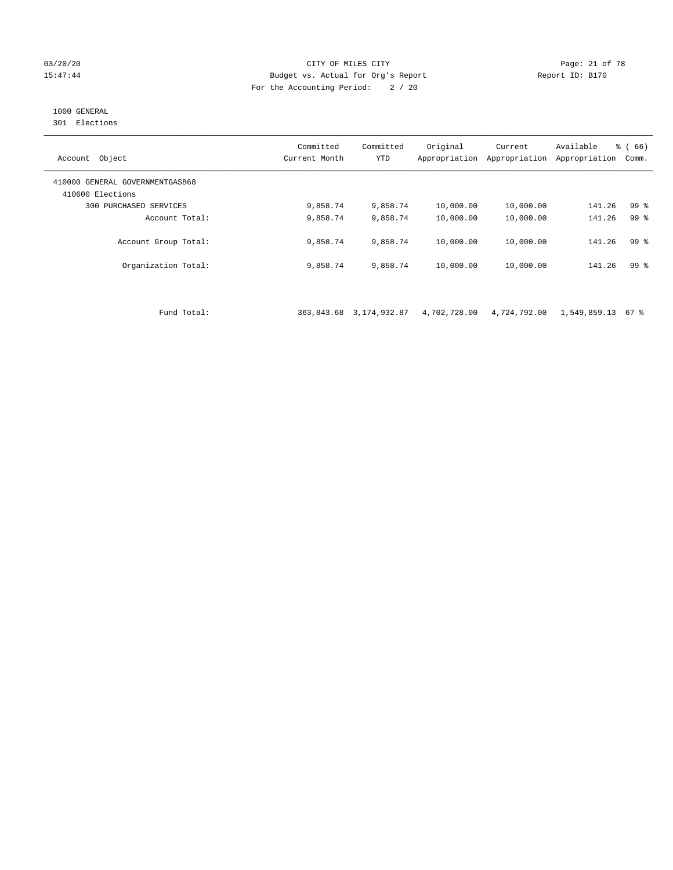#### 03/20/20 Page: 21 of 78 15:47:44 Budget vs. Actual for Org's Report Report ID: B170 For the Accounting Period: 2 / 20

# 1000 GENERAL

301 Elections

| Object<br>Account                                   | Committed<br>Current Month | Committed<br><b>YTD</b> | Original<br>Appropriation | Current<br>Appropriation | Available<br>Appropriation | $\frac{3}{6}$ (66)<br>Comm. |
|-----------------------------------------------------|----------------------------|-------------------------|---------------------------|--------------------------|----------------------------|-----------------------------|
| 410000 GENERAL GOVERNMENTGASB68<br>410600 Elections |                            |                         |                           |                          |                            |                             |
| 300 PURCHASED SERVICES                              | 9,858.74                   | 9,858.74                | 10,000.00                 | 10,000.00                | 141.26                     | 99 <sup>°</sup>             |
| Account Total:                                      | 9,858.74                   | 9,858.74                | 10,000.00                 | 10,000.00                | 141.26                     | 99 <sup>8</sup>             |
| Account Group Total:                                | 9,858.74                   | 9,858.74                | 10,000.00                 | 10,000.00                | 141.26                     | 99 %                        |
| Organization Total:                                 | 9,858.74                   | 9,858.74                | 10,000.00                 | 10,000.00                | 141.26                     | 99 %                        |
|                                                     |                            |                         |                           |                          |                            |                             |

Fund Total: 363,843.68 3,174,932.87 4,702,728.00 4,724,792.00 1,549,859.13 67 %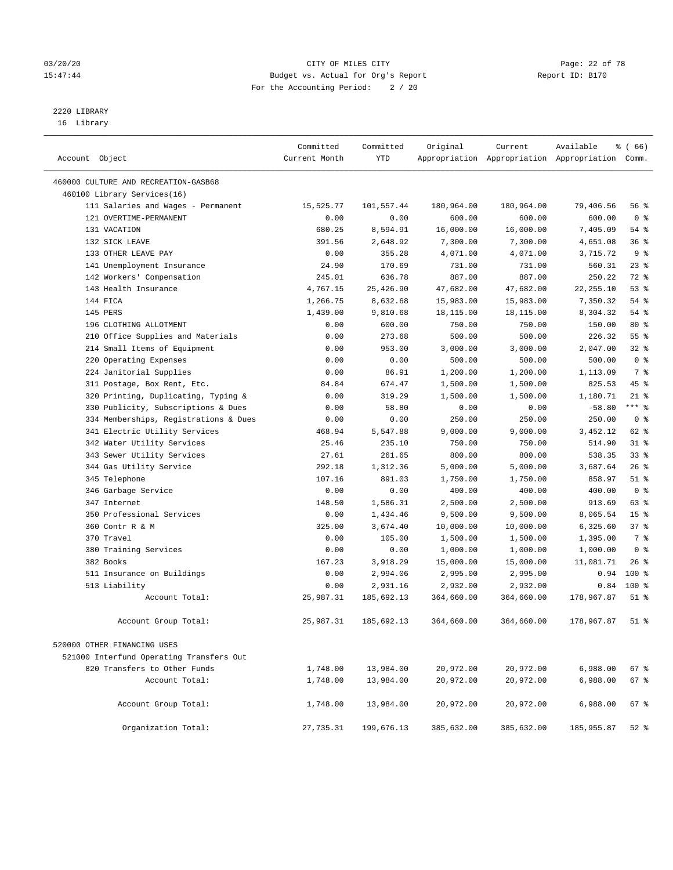#### 03/20/20 Page: 22 of 78 15:47:44 Budget vs. Actual for Org's Report Report ID: B170 For the Accounting Period: 2 / 20

————————————————————————————————————————————————————————————————————————————————————————————————————————————————————————————————————

# 2220 LIBRARY

16 Library

|                                                                              | Committed      | Committed            | Original               | Current              | Available                                       | $\frac{1}{6}$ (66) |
|------------------------------------------------------------------------------|----------------|----------------------|------------------------|----------------------|-------------------------------------------------|--------------------|
| Account Object                                                               | Current Month  | YTD                  |                        |                      | Appropriation Appropriation Appropriation Comm. |                    |
|                                                                              |                |                      |                        |                      |                                                 |                    |
| 460000 CULTURE AND RECREATION-GASB68                                         |                |                      |                        |                      |                                                 |                    |
| 460100 Library Services(16)                                                  |                |                      |                        |                      |                                                 |                    |
| 111 Salaries and Wages - Permanent                                           | 15,525.77      | 101,557.44           | 180,964.00             | 180,964.00           | 79,406.56                                       | 56 %               |
| 121 OVERTIME-PERMANENT                                                       | 0.00           | 0.00                 | 600.00                 | 600.00               | 600.00                                          | 0 <sup>8</sup>     |
| 131 VACATION                                                                 | 680.25         | 8,594.91             | 16,000.00              | 16,000.00            | 7,405.09                                        | $54$ %             |
| 132 SICK LEAVE                                                               | 391.56         | 2,648.92             | 7,300.00               | 7,300.00             | 4,651.08                                        | 36%                |
| 133 OTHER LEAVE PAY                                                          | 0.00           | 355.28               | 4,071.00               | 4,071.00             | 3,715.72                                        | 9 <sub>8</sub>     |
| 141 Unemployment Insurance                                                   | 24.90          | 170.69               | 731.00                 | 731.00               | 560.31                                          | 23%<br>72 %        |
| 142 Workers' Compensation                                                    | 245.01         | 636.78               | 887.00                 | 887.00               | 250.22                                          |                    |
| 143 Health Insurance<br>144 FICA                                             | 4,767.15       | 25,426.90            | 47,682.00              | 47,682.00            | 22, 255.10                                      | 53%                |
|                                                                              | 1,266.75       | 8,632.68             | 15,983.00              | 15,983.00            | 7,350.32                                        | 54 %               |
| 145 PERS                                                                     | 1,439.00       | 9,810.68             | 18,115.00              | 18,115.00            | 8,304.32                                        | 54 %               |
| 196 CLOTHING ALLOTMENT                                                       | 0.00           | 600.00               | 750.00                 | 750.00               | 150.00<br>226.32                                | 80 %<br>55%        |
| 210 Office Supplies and Materials                                            | 0.00           | 273.68               | 500.00                 | 500.00               |                                                 | $32$ $%$           |
| 214 Small Items of Equipment                                                 | 0.00           | 953.00               | 3,000.00               | 3,000.00             | 2,047.00                                        | 0 <sup>8</sup>     |
| 220 Operating Expenses                                                       | 0.00           | 0.00                 | 500.00                 | 500.00               | 500.00                                          | 7 %                |
| 224 Janitorial Supplies                                                      | 0.00           | 86.91                | 1,200.00               | 1,200.00             | 1,113.09                                        | 45 %               |
| 311 Postage, Box Rent, Etc.                                                  | 84.84          | 674.47               | 1,500.00               | 1,500.00             | 825.53                                          | $21$ %             |
| 320 Printing, Duplicating, Typing &                                          | 0.00           | 319.29               | 1,500.00               | 1,500.00             | 1,180.71<br>$-58.80$                            | $***$ $-$          |
| 330 Publicity, Subscriptions & Dues<br>334 Memberships, Registrations & Dues | 0.00           | 58.80                | 0.00                   | 0.00                 |                                                 | 0 <sup>8</sup>     |
|                                                                              | 0.00           | 0.00                 | 250.00                 | 250.00<br>9,000.00   | 250.00<br>3,452.12                              | 62 %               |
| 341 Electric Utility Services<br>342 Water Utility Services                  | 468.94         | 5,547.88             | 9,000.00               |                      |                                                 | $31$ %             |
|                                                                              | 25.46          | 235.10               | 750.00                 | 750.00               | 514.90                                          | 33%                |
| 343 Sewer Utility Services                                                   | 27.61          | 261.65               | 800.00                 | 800.00               | 538.35                                          | 26%                |
| 344 Gas Utility Service                                                      | 292.18         | 1,312.36             | 5,000.00               | 5,000.00             | 3,687.64                                        | $51$ %             |
| 345 Telephone                                                                | 107.16         | 891.03               | 1,750.00               | 1,750.00             | 858.97                                          | 0 <sup>8</sup>     |
| 346 Garbage Service                                                          | 0.00           | 0.00                 | 400.00                 | 400.00               | 400.00                                          | 63 %               |
| 347 Internet<br>350 Professional Services                                    | 148.50<br>0.00 | 1,586.31<br>1,434.46 | 2,500.00               | 2,500.00             | 913.69<br>8,065.54                              | 15 <sup>°</sup>    |
| 360 Contr R & M                                                              | 325.00         | 3,674.40             | 9,500.00               | 9,500.00             |                                                 | 37%                |
| 370 Travel                                                                   | 0.00           | 105.00               | 10,000.00              | 10,000.00            | 6,325.60                                        | 7 %                |
|                                                                              |                |                      | 1,500.00<br>1,000.00   | 1,500.00<br>1,000.00 | 1,395.00<br>1,000.00                            | 0 <sup>8</sup>     |
| 380 Training Services<br>382 Books                                           | 0.00<br>167.23 | 0.00                 |                        |                      |                                                 | $26$ %             |
| 511 Insurance on Buildings                                                   | 0.00           | 3,918.29<br>2,994.06 | 15,000.00              | 15,000.00            | 11,081.71<br>0.94                               | $100*$             |
| 513 Liability                                                                | 0.00           | 2,931.16             | 2,995.00               | 2,995.00<br>2,932.00 | 0.84                                            | $100*$             |
| Account Total:                                                               | 25,987.31      | 185,692.13           | 2,932.00<br>364,660.00 | 364,660.00           | 178,967.87                                      | $51$ %             |
|                                                                              |                |                      |                        |                      |                                                 |                    |
| Account Group Total:                                                         | 25,987.31      | 185,692.13           | 364,660.00             | 364,660.00           | 178,967.87                                      | $51$ %             |
| 520000 OTHER FINANCING USES                                                  |                |                      |                        |                      |                                                 |                    |
| 521000 Interfund Operating Transfers Out                                     |                |                      |                        |                      |                                                 |                    |
| 820 Transfers to Other Funds                                                 | 1,748.00       | 13,984.00            | 20,972.00              | 20,972.00            | 6,988.00                                        | 67 %               |
| Account Total:                                                               | 1,748.00       | 13,984.00            | 20,972.00              | 20,972.00            | 6,988.00                                        | 67%                |
|                                                                              |                |                      |                        |                      |                                                 |                    |
| Account Group Total:                                                         | 1,748.00       | 13,984.00            | 20,972.00              | 20,972.00            | 6,988.00                                        | 67%                |
| Organization Total:                                                          | 27,735.31      | 199,676.13           | 385,632.00             | 385,632.00           | 185,955.87                                      | $52$ %             |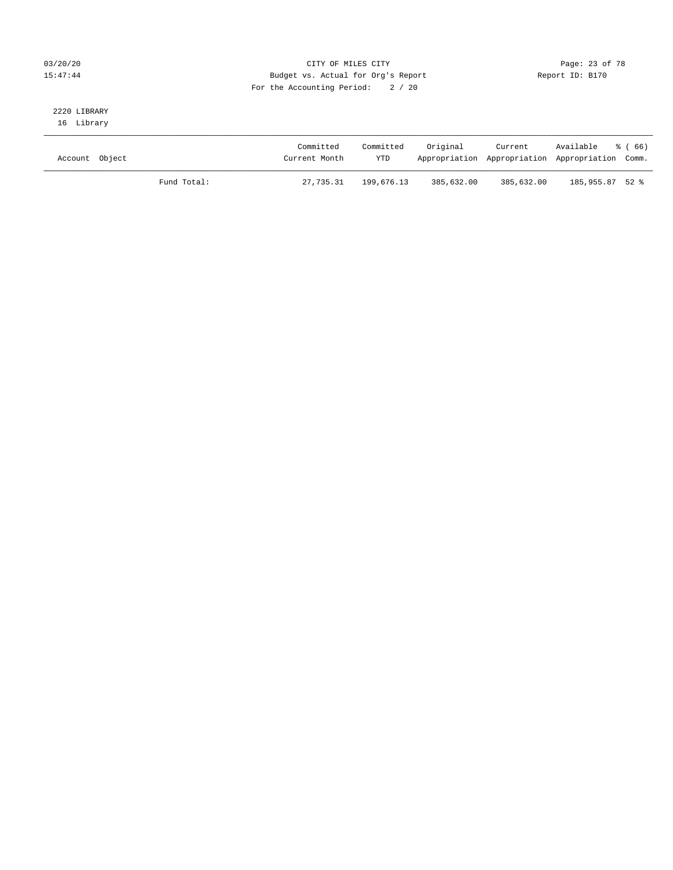### 03/20/20 Page: 23 of 78 15:47:44 Budget vs. Actual for Org's Report Report ID: B170 For the Accounting Period: 2 / 20

# 2220 LIBRARY

16 Library

| Account Object |             | Committed<br>Current Month | Committed<br><b>YTD</b> | Original   | Current<br>Appropriation Appropriation Appropriation Comm. | Available % (66) |  |
|----------------|-------------|----------------------------|-------------------------|------------|------------------------------------------------------------|------------------|--|
|                | Fund Total: | 27,735.31                  | 199,676.13              | 385,632.00 | 385,632.00                                                 | 185,955.87 52 %  |  |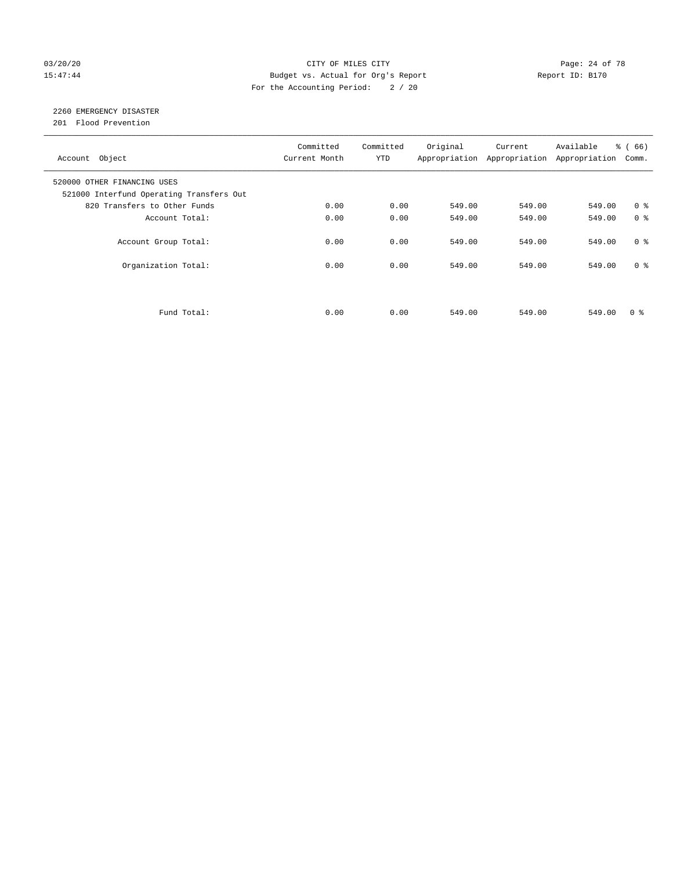#### 03/20/20 Page: 24 of 78 15:47:44 Budget vs. Actual for Org's Report Report ID: B170 For the Accounting Period: 2 / 20

# 2260 EMERGENCY DISASTER

201 Flood Prevention

| Account Object                                                          | Committed<br>Current Month | Committed<br><b>YTD</b> | Original | Current<br>Appropriation Appropriation | Available<br>Appropriation | % (66)<br>Comm. |
|-------------------------------------------------------------------------|----------------------------|-------------------------|----------|----------------------------------------|----------------------------|-----------------|
| 520000 OTHER FINANCING USES<br>521000 Interfund Operating Transfers Out |                            |                         |          |                                        |                            |                 |
| 820 Transfers to Other Funds                                            | 0.00                       | 0.00                    | 549.00   | 549.00                                 | 549.00                     | 0 <sup>8</sup>  |
| Account Total:                                                          | 0.00                       | 0.00                    | 549.00   | 549.00                                 | 549.00                     | 0 <sup>8</sup>  |
| Account Group Total:                                                    | 0.00                       | 0.00                    | 549.00   | 549.00                                 | 549.00                     | 0 <sup>8</sup>  |
| Organization Total:                                                     | 0.00                       | 0.00                    | 549.00   | 549.00                                 | 549.00                     | 0 <sup>8</sup>  |
|                                                                         |                            |                         |          |                                        |                            |                 |
| Fund Total:                                                             | 0.00                       | 0.00                    | 549.00   | 549.00                                 | 549.00                     | 0 %             |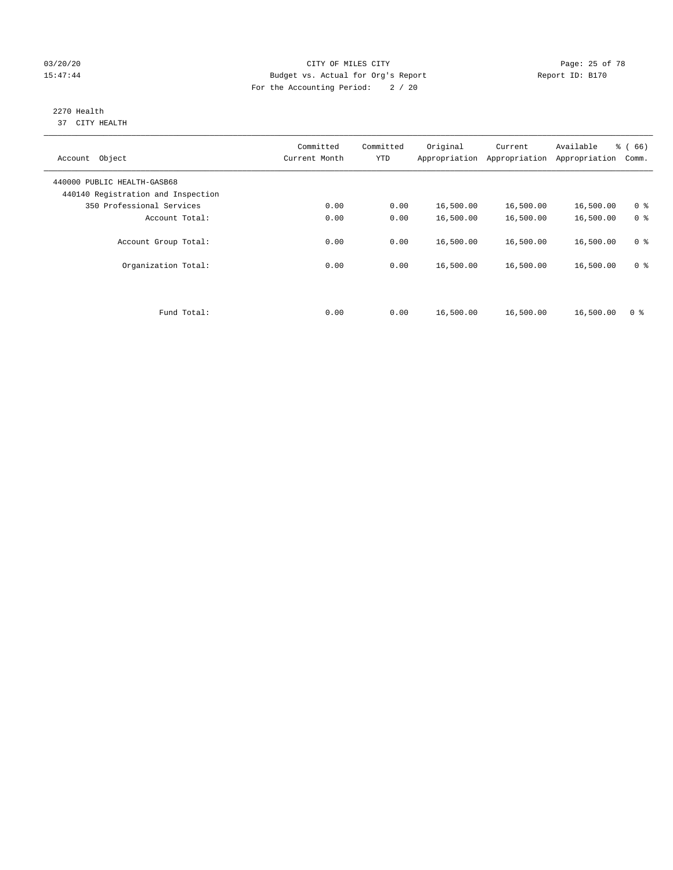#### 03/20/20 Page: 25 of 78 15:47:44 Budget vs. Actual for Org's Report Report ID: B170 For the Accounting Period: 2 / 20

#### 2270 Health 37 CITY HEALTH

| Account Object                                                    | Committed<br>Current Month | Committed<br><b>YTD</b> | Original  | Current<br>Appropriation Appropriation | Available<br>Appropriation | % (66)<br>Comm. |
|-------------------------------------------------------------------|----------------------------|-------------------------|-----------|----------------------------------------|----------------------------|-----------------|
| 440000 PUBLIC HEALTH-GASB68<br>440140 Registration and Inspection |                            |                         |           |                                        |                            |                 |
| 350 Professional Services                                         | 0.00                       | 0.00                    | 16,500.00 | 16,500.00                              | 16,500.00                  | 0 <sup>8</sup>  |
| Account Total:                                                    | 0.00                       | 0.00                    | 16,500.00 | 16,500.00                              | 16,500.00                  | 0 <sup>8</sup>  |
| Account Group Total:                                              | 0.00                       | 0.00                    | 16,500.00 | 16,500.00                              | 16,500.00                  | 0 <sup>8</sup>  |
| Organization Total:                                               | 0.00                       | 0.00                    | 16,500.00 | 16,500.00                              | 16,500.00                  | 0 <sup>8</sup>  |
|                                                                   |                            |                         |           |                                        |                            |                 |
| Fund Total:                                                       | 0.00                       | 0.00                    | 16,500.00 | 16,500.00                              | 16,500.00                  | 0 <sup>8</sup>  |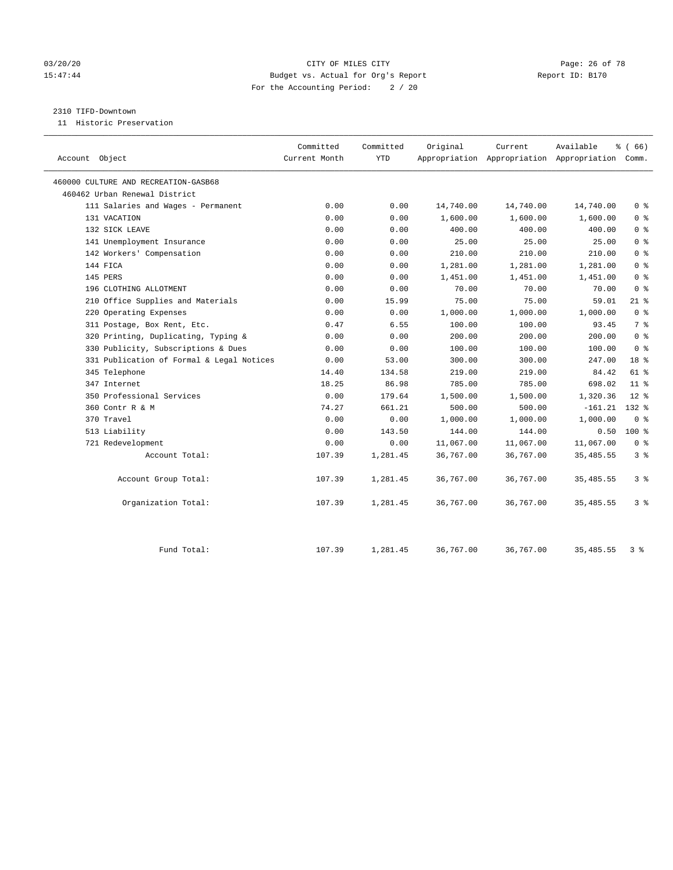#### 03/20/20 Page: 26 of 78 15:47:44 Budget vs. Actual for Org's Report Report ID: B170 For the Accounting Period: 2 / 20

#### 2310 TIFD-Downtown

11 Historic Preservation

| Account Object                            | Committed<br>Current Month | Committed<br><b>YTD</b> | Original  | Current   | Available<br>Appropriation Appropriation Appropriation Comm. | 8 ( 66 )       |
|-------------------------------------------|----------------------------|-------------------------|-----------|-----------|--------------------------------------------------------------|----------------|
| 460000 CULTURE AND RECREATION-GASB68      |                            |                         |           |           |                                                              |                |
| 460462 Urban Renewal District             |                            |                         |           |           |                                                              |                |
| 111 Salaries and Wages - Permanent        | 0.00                       | 0.00                    | 14,740.00 | 14,740.00 | 14,740.00                                                    | 0 <sup>8</sup> |
| 131 VACATION                              | 0.00                       | 0.00                    | 1,600.00  | 1,600.00  | 1,600.00                                                     | 0 <sup>8</sup> |
| 132 SICK LEAVE                            | 0.00                       | 0.00                    | 400.00    | 400.00    | 400.00                                                       | 0 <sup>8</sup> |
| 141 Unemployment Insurance                | 0.00                       | 0.00                    | 25.00     | 25.00     | 25.00                                                        | 0 <sup>8</sup> |
| 142 Workers' Compensation                 | 0.00                       | 0.00                    | 210.00    | 210.00    | 210.00                                                       | 0 <sup>8</sup> |
| 144 FICA                                  | 0.00                       | 0.00                    | 1,281.00  | 1,281.00  | 1,281.00                                                     | 0 <sup>8</sup> |
| 145 PERS                                  | 0.00                       | 0.00                    | 1,451.00  | 1,451.00  | 1,451.00                                                     | 0 <sup>8</sup> |
| 196 CLOTHING ALLOTMENT                    | 0.00                       | 0.00                    | 70.00     | 70.00     | 70.00                                                        | 0 <sup>8</sup> |
| 210 Office Supplies and Materials         | 0.00                       | 15.99                   | 75.00     | 75.00     | 59.01                                                        | $21$ %         |
| 220 Operating Expenses                    | 0.00                       | 0.00                    | 1,000.00  | 1,000.00  | 1,000.00                                                     | 0 <sup>8</sup> |
| 311 Postage, Box Rent, Etc.               | 0.47                       | 6.55                    | 100.00    | 100.00    | 93.45                                                        | 7 <sup>°</sup> |
| 320 Printing, Duplicating, Typing &       | 0.00                       | 0.00                    | 200.00    | 200.00    | 200.00                                                       | 0 <sup>8</sup> |
| 330 Publicity, Subscriptions & Dues       | 0.00                       | 0.00                    | 100.00    | 100.00    | 100.00                                                       | 0 <sup>8</sup> |
| 331 Publication of Formal & Legal Notices | 0.00                       | 53.00                   | 300.00    | 300.00    | 247.00                                                       | 18 %           |
| 345 Telephone                             | 14.40                      | 134.58                  | 219.00    | 219.00    | 84.42                                                        | $61$ %         |
| 347 Internet                              | 18.25                      | 86.98                   | 785.00    | 785.00    | 698.02                                                       | $11*$          |
| 350 Professional Services                 | 0.00                       | 179.64                  | 1,500.00  | 1,500.00  | 1,320.36                                                     | $12*$          |
| 360 Contr R & M                           | 74.27                      | 661.21                  | 500.00    | 500.00    | $-161.21$                                                    | $132*$         |
| 370 Travel                                | 0.00                       | 0.00                    | 1,000.00  | 1,000.00  | 1,000.00                                                     | 0 <sup>8</sup> |
| 513 Liability                             | 0.00                       | 143.50                  | 144.00    | 144.00    | 0.50                                                         | $100*$         |
| 721 Redevelopment                         | 0.00                       | 0.00                    | 11,067.00 | 11,067.00 | 11,067.00                                                    | 0 <sup>8</sup> |
| Account Total:                            | 107.39                     | 1,281.45                | 36,767.00 | 36,767.00 | 35, 485.55                                                   | 3 <sup>8</sup> |
| Account Group Total:                      | 107.39                     | 1,281.45                | 36,767.00 | 36,767.00 | 35, 485.55                                                   | 3 <sup>8</sup> |
| Organization Total:                       | 107.39                     | 1,281.45                | 36,767.00 | 36,767.00 | 35, 485.55                                                   | 3%             |
| Fund Total:                               | 107.39                     | 1,281.45                | 36,767.00 | 36,767.00 | 35, 485.55                                                   | 3 %            |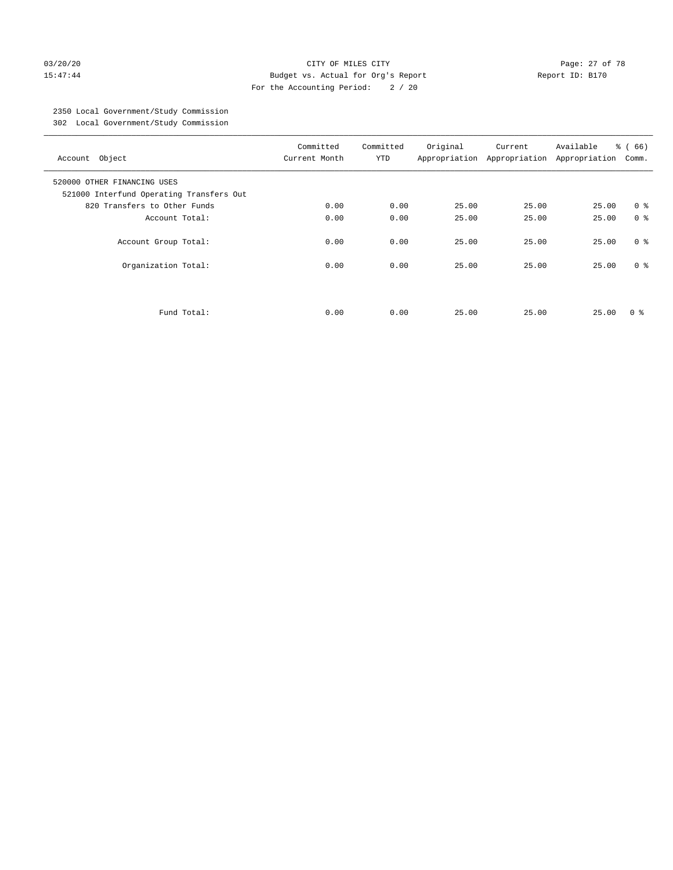#### 03/20/20 Page: 27 of 78 15:47:44 Budget vs. Actual for Org's Report Report ID: B170 For the Accounting Period: 2 / 20

# 2350 Local Government/Study Commission

302 Local Government/Study Commission

| Account Object                                                          | Committed<br>Current Month | Committed<br><b>YTD</b> | Original | Current<br>Appropriation Appropriation | Available<br>Appropriation | % (66)<br>Comm. |
|-------------------------------------------------------------------------|----------------------------|-------------------------|----------|----------------------------------------|----------------------------|-----------------|
| 520000 OTHER FINANCING USES<br>521000 Interfund Operating Transfers Out |                            |                         |          |                                        |                            |                 |
| 820 Transfers to Other Funds                                            | 0.00                       | 0.00                    | 25.00    | 25.00                                  | 25.00                      | 0 <sup>8</sup>  |
| Account Total:                                                          | 0.00                       | 0.00                    | 25.00    | 25.00                                  | 25.00                      | 0 <sup>8</sup>  |
| Account Group Total:                                                    | 0.00                       | 0.00                    | 25.00    | 25.00                                  | 25.00                      | 0 <sup>8</sup>  |
| Organization Total:                                                     | 0.00                       | 0.00                    | 25.00    | 25.00                                  | 25.00                      | 0 <sup>8</sup>  |
|                                                                         |                            |                         |          |                                        |                            |                 |
| Fund Total:                                                             | 0.00                       | 0.00                    | 25.00    | 25.00                                  | 25.00                      | 0 ៖             |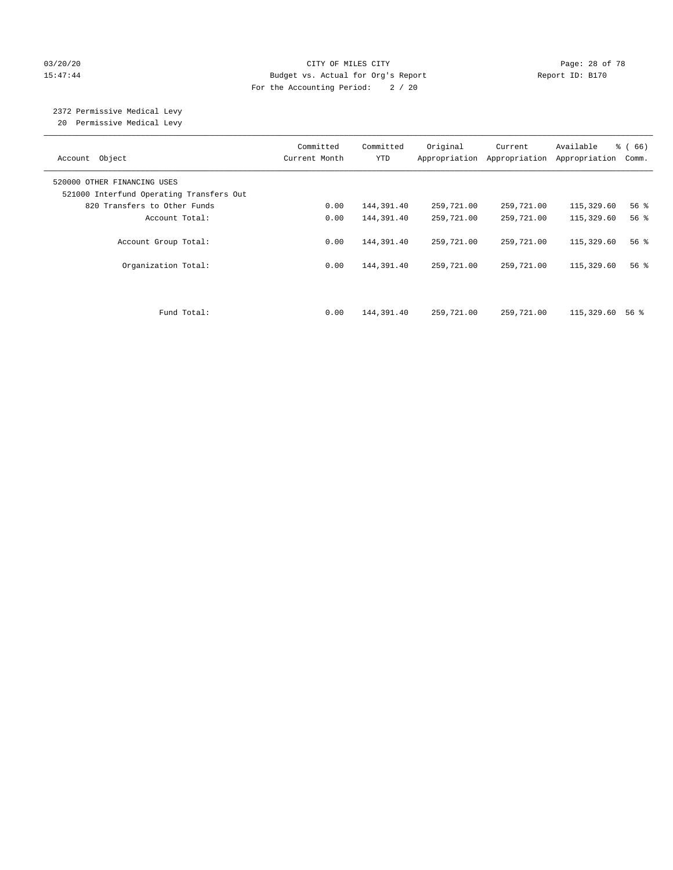#### 03/20/20 Page: 28 of 78 15:47:44 Budget vs. Actual for Org's Report Report ID: B170 For the Accounting Period: 2 / 20

# 2372 Permissive Medical Levy

20 Permissive Medical Levy

| Account Object                                                          | Committed<br>Current Month | Committed<br><b>YTD</b> | Original<br>Appropriation | Current<br>Appropriation | Available<br>Appropriation | % (66)<br>Comm.    |
|-------------------------------------------------------------------------|----------------------------|-------------------------|---------------------------|--------------------------|----------------------------|--------------------|
| 520000 OTHER FINANCING USES<br>521000 Interfund Operating Transfers Out |                            |                         |                           |                          |                            |                    |
| 820 Transfers to Other Funds                                            | 0.00                       | 144,391.40              | 259,721.00                | 259,721.00               | 115,329.60                 | 56%                |
| Account Total:                                                          | 0.00                       | 144,391.40              | 259,721.00                | 259,721.00               | 115,329.60                 | $56$ $\frac{6}{3}$ |
| Account Group Total:                                                    | 0.00                       | 144,391.40              | 259,721.00                | 259,721.00               | 115,329.60                 | 56%                |
| Organization Total:                                                     | 0.00                       | 144,391.40              | 259,721.00                | 259,721.00               | 115,329.60                 | 56%                |
| Fund Total:                                                             | 0.00                       | 144,391.40              | 259,721.00                | 259,721.00               | 115,329.60                 | 56 %               |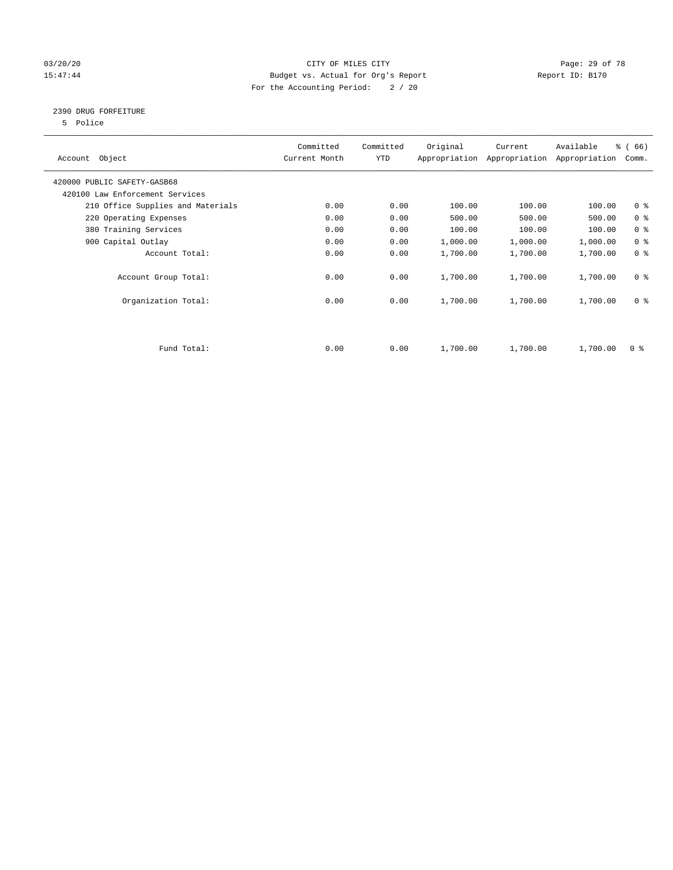### 03/20/20 Page: 29 of 78 15:47:44 Budget vs. Actual for Org's Report Report ID: B170 For the Accounting Period: 2 / 20

### 2390 DRUG FORFEITURE

5 Police

| Account Object                    | Committed<br>Current Month | Committed<br><b>YTD</b> | Original | Current<br>Appropriation Appropriation | Available<br>Appropriation | % (66)<br>Comm. |
|-----------------------------------|----------------------------|-------------------------|----------|----------------------------------------|----------------------------|-----------------|
| 420000 PUBLIC SAFETY-GASB68       |                            |                         |          |                                        |                            |                 |
| 420100 Law Enforcement Services   |                            |                         |          |                                        |                            |                 |
| 210 Office Supplies and Materials | 0.00                       | 0.00                    | 100.00   | 100.00                                 | 100.00                     | 0 <sup>8</sup>  |
| 220 Operating Expenses            | 0.00                       | 0.00                    | 500.00   | 500.00                                 | 500.00                     | 0 <sup>8</sup>  |
| 380 Training Services             | 0.00                       | 0.00                    | 100.00   | 100.00                                 | 100.00                     | 0 <sup>8</sup>  |
| 900 Capital Outlay                | 0.00                       | 0.00                    | 1,000.00 | 1,000.00                               | 1,000.00                   | 0 <sup>8</sup>  |
| Account Total:                    | 0.00                       | 0.00                    | 1,700.00 | 1,700.00                               | 1,700.00                   | 0 <sup>8</sup>  |
| Account Group Total:              | 0.00                       | 0.00                    | 1,700.00 | 1,700.00                               | 1,700.00                   | 0 <sup>8</sup>  |
| Organization Total:               | 0.00                       | 0.00                    | 1,700.00 | 1,700.00                               | 1,700.00                   | 0 <sup>8</sup>  |
|                                   |                            |                         |          |                                        |                            |                 |
| Fund Total:                       | 0.00                       | 0.00                    | 1,700.00 | 1,700.00                               | 1,700.00                   | 0 %             |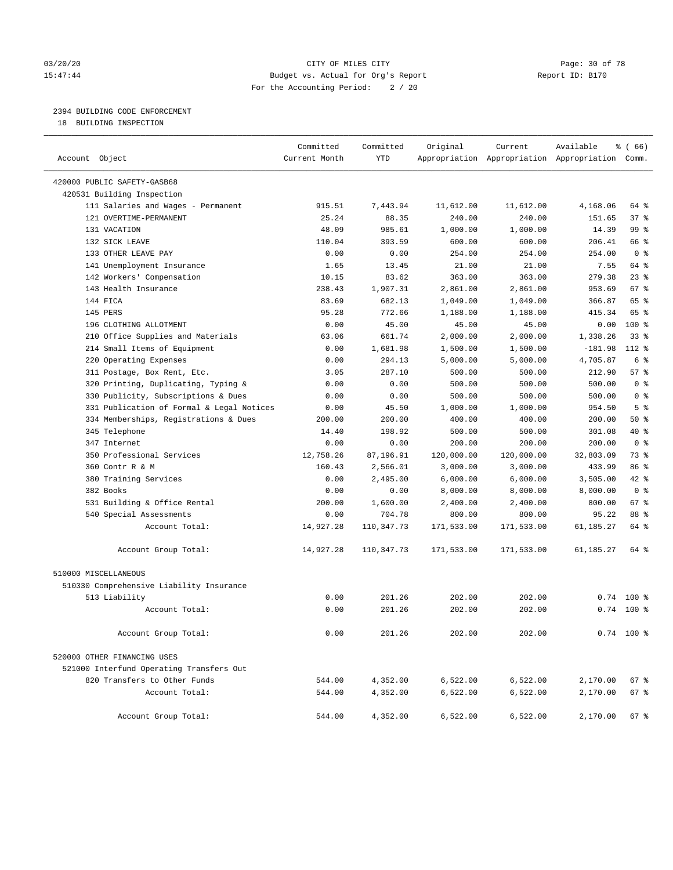#### 03/20/20 Page: 30 of 78 CITY OF MILES CITY CONTROL PAGE: 30 of 78 15:47:44 Budget vs. Actual for Org's Report Changer Report ID: B170 For the Accounting Period: 2 / 20

### 2394 BUILDING CODE ENFORCEMENT

18 BUILDING INSPECTION

| Account Object                            | Committed<br>Current Month | Committed<br><b>YTD</b> | Original   | Current    | Available<br>Appropriation Appropriation Appropriation Comm. | 8 ( 66 )        |
|-------------------------------------------|----------------------------|-------------------------|------------|------------|--------------------------------------------------------------|-----------------|
|                                           |                            |                         |            |            |                                                              |                 |
| 420000 PUBLIC SAFETY-GASB68               |                            |                         |            |            |                                                              |                 |
| 420531 Building Inspection                |                            |                         |            |            |                                                              |                 |
| 111 Salaries and Wages - Permanent        | 915.51                     | 7.443.94                | 11,612.00  | 11,612.00  | 4,168.06                                                     | 64 %            |
| 121 OVERTIME-PERMANENT                    | 25.24                      | 88.35                   | 240.00     | 240.00     | 151.65                                                       | 37%             |
| 131 VACATION                              | 48.09                      | 985.61                  | 1,000.00   | 1,000.00   | 14.39                                                        | 99 %            |
| 132 SICK LEAVE                            | 110.04                     | 393.59                  | 600.00     | 600.00     | 206.41                                                       | 66 %            |
| 133 OTHER LEAVE PAY                       | 0.00                       | 0.00                    | 254.00     | 254.00     | 254.00                                                       | 0 <sup>8</sup>  |
| 141 Unemployment Insurance                | 1.65                       | 13.45                   | 21.00      | 21.00      | 7.55                                                         | 64 %            |
| 142 Workers' Compensation                 | 10.15                      | 83.62                   | 363.00     | 363.00     | 279.38                                                       | 23%             |
| 143 Health Insurance                      | 238.43                     | 1,907.31                | 2,861.00   | 2,861.00   | 953.69                                                       | 67 <sup>8</sup> |
| 144 FICA                                  | 83.69                      | 682.13                  | 1,049.00   | 1,049.00   | 366.87                                                       | 65 %            |
| 145 PERS                                  | 95.28                      | 772.66                  | 1,188.00   | 1,188.00   | 415.34                                                       | 65 %            |
| 196 CLOTHING ALLOTMENT                    | 0.00                       | 45.00                   | 45.00      | 45.00      | 0.00                                                         | 100 %           |
| 210 Office Supplies and Materials         | 63.06                      | 661.74                  | 2,000.00   | 2,000.00   | 1,338.26                                                     | 33%             |
| 214 Small Items of Equipment              | 0.00                       | 1,681.98                | 1,500.00   | 1,500.00   | $-181.98$                                                    | 112 %           |
| 220 Operating Expenses                    | 0.00                       | 294.13                  | 5,000.00   | 5,000.00   | 4,705.87                                                     | 6 %             |
| 311 Postage, Box Rent, Etc.               | 3.05                       | 287.10                  | 500.00     | 500.00     | 212.90                                                       | 57%             |
| 320 Printing, Duplicating, Typing &       | 0.00                       | 0.00                    | 500.00     | 500.00     | 500.00                                                       | 0 <sup>8</sup>  |
| 330 Publicity, Subscriptions & Dues       | 0.00                       | 0.00                    | 500.00     | 500.00     | 500.00                                                       | 0 <sup>8</sup>  |
| 331 Publication of Formal & Legal Notices | 0.00                       | 45.50                   | 1,000.00   | 1,000.00   | 954.50                                                       | 5 <sup>°</sup>  |
| 334 Memberships, Registrations & Dues     | 200.00                     | 200.00                  | 400.00     | 400.00     | 200.00                                                       | 50%             |
| 345 Telephone                             | 14.40                      | 198.92                  | 500.00     | 500.00     | 301.08                                                       | 40 %            |
| 347 Internet                              | 0.00                       | 0.00                    | 200.00     | 200.00     | 200.00                                                       | 0 <sup>8</sup>  |
| 350 Professional Services                 | 12,758.26                  | 87,196.91               | 120,000.00 | 120,000.00 | 32,803.09                                                    | 73 %            |
| 360 Contr R & M                           | 160.43                     | 2,566.01                | 3,000.00   | 3,000.00   | 433.99                                                       | 86 %            |
| 380 Training Services                     | 0.00                       | 2,495.00                | 6,000.00   | 6,000.00   | 3,505.00                                                     | 42.8            |
| 382 Books                                 | 0.00                       | 0.00                    | 8,000.00   | 8,000.00   | 8,000.00                                                     | 0 <sup>8</sup>  |
| 531 Building & Office Rental              | 200.00                     | 1,600.00                | 2,400.00   | 2,400.00   | 800.00                                                       | 67 <sup>8</sup> |
| 540 Special Assessments                   | 0.00                       | 704.78                  | 800.00     | 800.00     | 95.22                                                        | 88 %            |
| Account Total:                            | 14,927.28                  | 110, 347.73             | 171,533.00 | 171,533.00 | 61, 185. 27                                                  | 64 %            |
| Account Group Total:                      | 14,927.28                  | 110,347.73              | 171,533.00 | 171,533.00 | 61,185.27                                                    | 64 %            |
| 510000 MISCELLANEOUS                      |                            |                         |            |            |                                                              |                 |
| 510330 Comprehensive Liability Insurance  |                            |                         |            |            |                                                              |                 |
| 513 Liability                             | 0.00                       | 201.26                  | 202.00     | 202.00     | 0.74                                                         | $100*$          |
| Account Total:                            | 0.00                       | 201.26                  | 202.00     | 202.00     |                                                              | $0.74$ 100 %    |
|                                           |                            |                         |            |            |                                                              |                 |
| Account Group Total:                      | 0.00                       | 201.26                  | 202.00     | 202.00     |                                                              | $0.74$ 100 %    |
| 520000 OTHER FINANCING USES               |                            |                         |            |            |                                                              |                 |
| 521000 Interfund Operating Transfers Out  |                            |                         |            |            |                                                              |                 |
| 820 Transfers to Other Funds              | 544.00                     | 4,352.00                | 6,522.00   | 6,522.00   | 2,170.00                                                     | 67 %            |
| Account Total:                            | 544.00                     | 4,352.00                | 6,522.00   | 6,522.00   | 2,170.00                                                     | 67 %            |
| Account Group Total:                      | 544.00                     | 4,352.00                | 6,522.00   | 6,522.00   | 2,170.00                                                     | $67$ %          |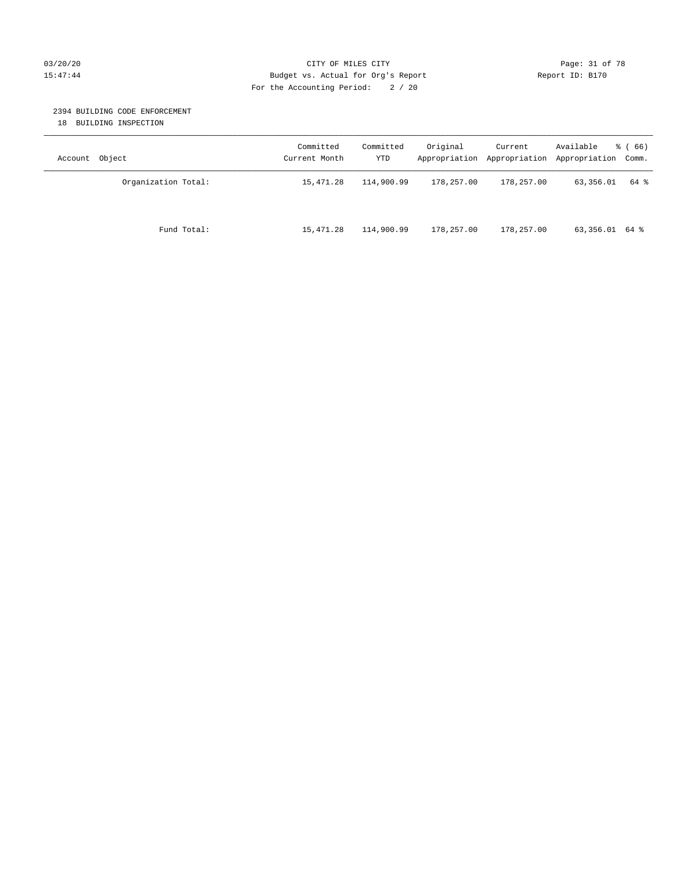#### 03/20/20 Page: 31 of 78 CITY OF MILES CITY CONTROL PAGE: 31 of 78 15:47:44 Budget vs. Actual for Org's Report Report ID: B170 For the Accounting Period: 2 / 20

#### 2394 BUILDING CODE ENFORCEMENT

18 BUILDING INSPECTION

| Account Object |                     | Committed<br>Current Month | Committed<br>YTD | Original   | Current<br>Appropriation Appropriation | Available<br>Appropriation Comm. | <sub>ර</sub> ි (66) |
|----------------|---------------------|----------------------------|------------------|------------|----------------------------------------|----------------------------------|---------------------|
|                | Organization Total: | 15,471.28                  | 114,900.99       | 178,257.00 | 178,257.00                             | 63,356.01                        | 64 %                |
|                | Fund Total:         | 15,471.28                  | 114,900.99       | 178,257.00 | 178,257.00                             | 63,356.01 64 %                   |                     |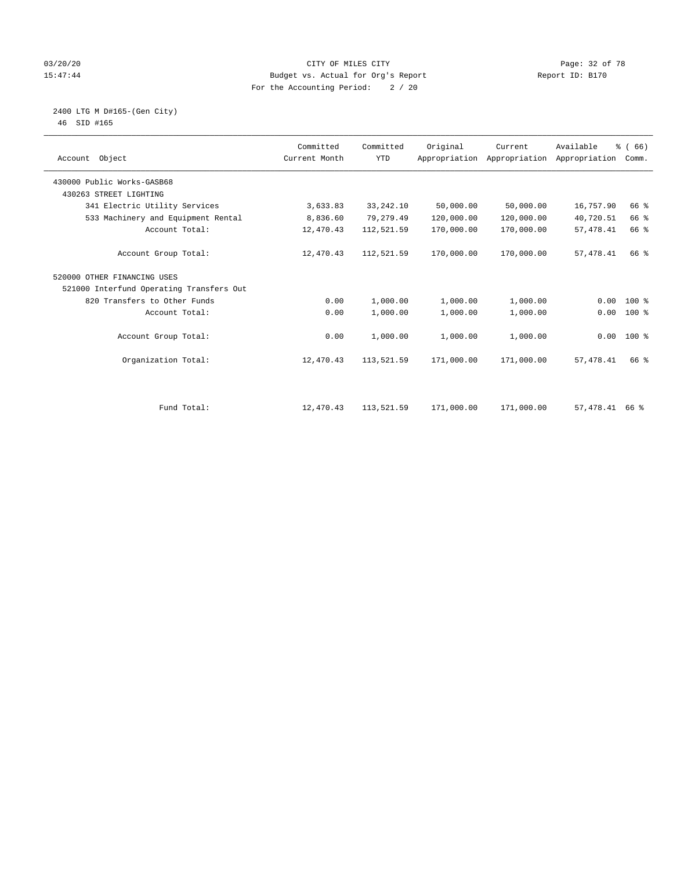#### 03/20/20 Page: 32 of 78 15:47:44 Budget vs. Actual for Org's Report Changer Report ID: B170 For the Accounting Period: 2 / 20

#### 2400 LTG M D#165-(Gen City) 46 SID #165

| Account Object                           | Committed<br>Current Month | Committed<br><b>YTD</b> | Original   | Current<br>Appropriation Appropriation | Available<br>Appropriation | % (66)<br>Comm. |  |
|------------------------------------------|----------------------------|-------------------------|------------|----------------------------------------|----------------------------|-----------------|--|
| 430000 Public Works-GASB68               |                            |                         |            |                                        |                            |                 |  |
| 430263 STREET LIGHTING                   |                            |                         |            |                                        |                            |                 |  |
| 341 Electric Utility Services            | 3,633.83                   | 33, 242. 10             | 50,000.00  | 50,000.00                              | 16,757.90                  | 66 %            |  |
| 533 Machinery and Equipment Rental       | 8,836.60                   | 79,279.49               | 120,000.00 | 120,000.00                             | 40,720.51                  | 66 %            |  |
| Account Total:                           | 12,470.43                  | 112,521.59              | 170,000.00 | 170,000.00                             | 57, 478.41                 | 66 %            |  |
| Account Group Total:                     | 12,470.43                  | 112,521.59              | 170,000.00 | 170,000.00                             | 57, 478.41                 | 66 %            |  |
| 520000 OTHER FINANCING USES              |                            |                         |            |                                        |                            |                 |  |
| 521000 Interfund Operating Transfers Out |                            |                         |            |                                        |                            |                 |  |
| 820 Transfers to Other Funds             | 0.00                       | 1,000.00                | 1,000.00   | 1,000.00                               | 0.00                       | $100*$          |  |
| Account Total:                           | 0.00                       | 1,000.00                | 1,000.00   | 1,000.00                               | 0.00                       | 100 %           |  |
| Account Group Total:                     | 0.00                       | 1,000.00                | 1,000.00   | 1,000.00                               |                            | $0.00$ 100 %    |  |
| Organization Total:                      | 12,470.43                  | 113,521.59              | 171,000.00 | 171,000.00                             | 57, 478.41                 | 66 %            |  |
|                                          |                            |                         |            |                                        |                            |                 |  |
| Fund Total:                              | 12,470.43                  | 113,521.59              | 171,000.00 | 171,000.00                             | 57,478.41 66 %             |                 |  |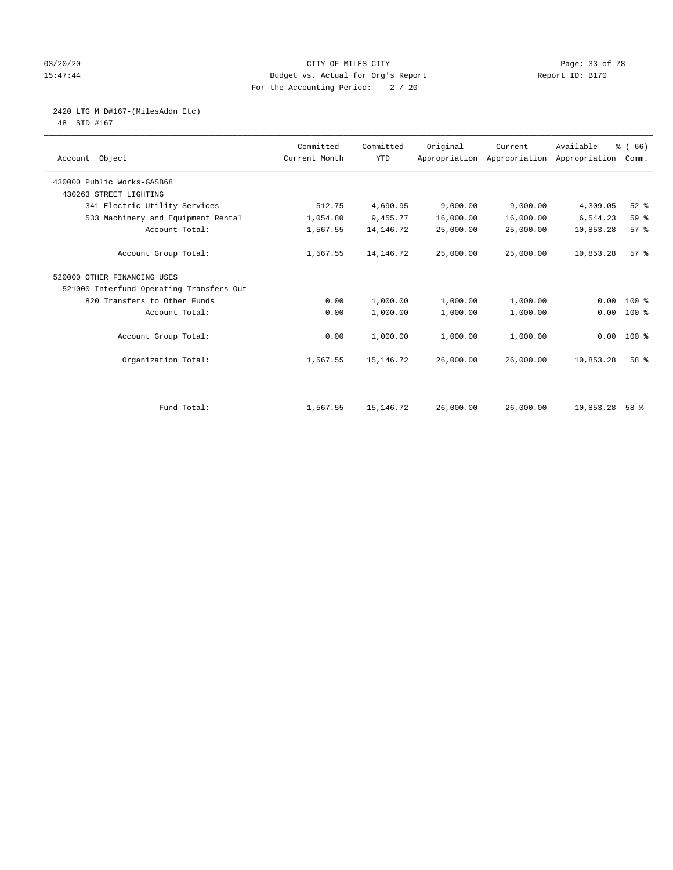#### 03/20/20 Page: 33 of 78 15:47:44 Budget vs. Actual for Org's Report Changer Report ID: B170 For the Accounting Period: 2 / 20

2420 LTG M D#167-(MilesAddn Etc)

48 SID #167

| Account Object                           | Committed<br>Current Month | Committed<br><b>YTD</b> | Original  | Current<br>Appropriation Appropriation | Available<br>Appropriation | % (66)<br>Comm. |  |
|------------------------------------------|----------------------------|-------------------------|-----------|----------------------------------------|----------------------------|-----------------|--|
| 430000 Public Works-GASB68               |                            |                         |           |                                        |                            |                 |  |
| 430263 STREET LIGHTING                   |                            |                         |           |                                        |                            |                 |  |
| 341 Electric Utility Services            | 512.75                     | 4,690.95                | 9,000.00  | 9,000.00                               | 4,309.05                   | $52$ $%$        |  |
| 533 Machinery and Equipment Rental       | 1,054.80                   | 9,455.77                | 16,000.00 | 16,000.00                              | 6,544.23                   | 59 %            |  |
| Account Total:                           | 1,567.55                   | 14, 146. 72             | 25,000.00 | 25,000.00                              | 10,853.28                  | 57%             |  |
| Account Group Total:                     | 1,567.55                   | 14, 146. 72             | 25,000.00 | 25,000.00                              | 10,853.28                  | 57 <sup>8</sup> |  |
| 520000 OTHER FINANCING USES              |                            |                         |           |                                        |                            |                 |  |
| 521000 Interfund Operating Transfers Out |                            |                         |           |                                        |                            |                 |  |
| 820 Transfers to Other Funds             | 0.00                       | 1,000.00                | 1,000.00  | 1,000.00                               | 0.00                       | 100 %           |  |
| Account Total:                           | 0.00                       | 1,000.00                | 1,000.00  | 1,000.00                               | 0.00                       | $100$ %         |  |
| Account Group Total:                     | 0.00                       | 1,000.00                | 1,000.00  | 1,000.00                               | 0.00                       | $100*$          |  |
| Organization Total:                      | 1,567.55                   | 15, 146. 72             | 26,000.00 | 26,000.00                              | 10,853.28                  | 58 %            |  |
|                                          |                            |                         |           |                                        |                            |                 |  |
| Fund Total:                              | 1,567.55                   | 15, 146. 72             | 26,000.00 | 26,000.00                              | 10,853.28                  | 58 %            |  |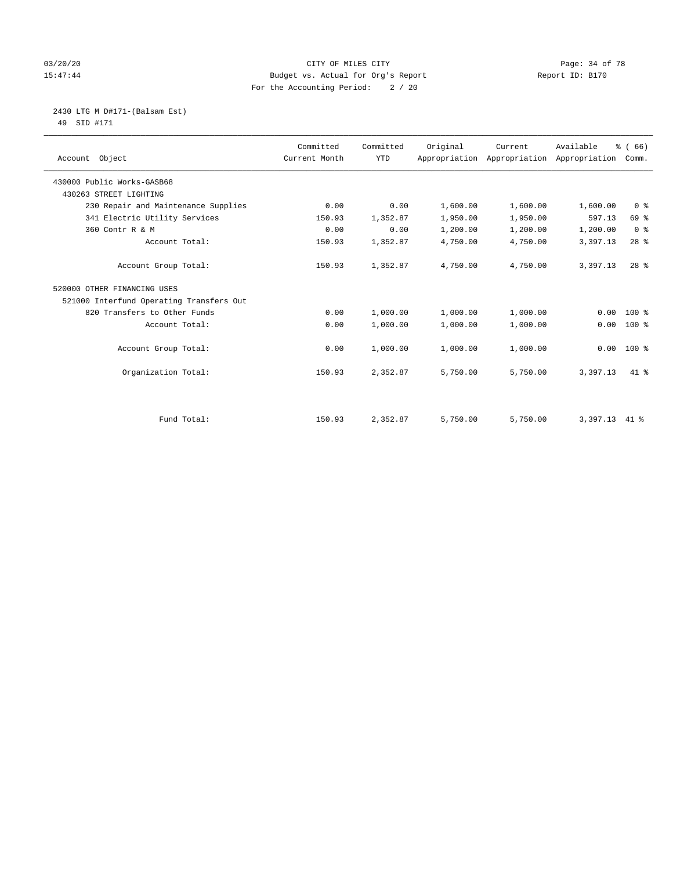#### 03/20/20 Page: 34 of 78 15:47:44 Budget vs. Actual for Org's Report Changer Report ID: B170 For the Accounting Period: 2 / 20

2430 LTG M D#171-(Balsam Est)

49 SID #171

| Account Object                           | Committed<br>Current Month | Committed<br><b>YTD</b> | Original | Current<br>Appropriation Appropriation Appropriation | Available | % (66)<br>Comm. |
|------------------------------------------|----------------------------|-------------------------|----------|------------------------------------------------------|-----------|-----------------|
| 430000 Public Works-GASB68               |                            |                         |          |                                                      |           |                 |
| 430263 STREET LIGHTING                   |                            |                         |          |                                                      |           |                 |
| 230 Repair and Maintenance Supplies      | 0.00                       | 0.00                    | 1,600.00 | 1,600.00                                             | 1,600.00  | 0 <sup>8</sup>  |
| 341 Electric Utility Services            | 150.93                     | 1,352.87                | 1,950.00 | 1,950.00                                             | 597.13    | 69 %            |
| 360 Contr R & M                          | 0.00                       | 0.00                    | 1,200.00 | 1,200.00                                             | 1,200.00  | 0 <sup>8</sup>  |
| Account Total:                           | 150.93                     | 1,352.87                | 4,750.00 | 4,750.00                                             | 3,397.13  | $28$ %          |
| Account Group Total:                     | 150.93                     | 1,352.87                | 4,750.00 | 4,750.00                                             | 3,397.13  | $28$ $%$        |
| 520000 OTHER FINANCING USES              |                            |                         |          |                                                      |           |                 |
| 521000 Interfund Operating Transfers Out |                            |                         |          |                                                      |           |                 |
| 820 Transfers to Other Funds             | 0.00                       | 1,000.00                | 1,000.00 | 1,000.00                                             | 0.00      | $100*$          |
| Account Total:                           | 0.00                       | 1,000.00                | 1,000.00 | 1,000.00                                             | 0.00      | $100*$          |
| Account Group Total:                     | 0.00                       | 1,000.00                | 1,000.00 | 1,000.00                                             | 0.00      | $100*$          |
| Organization Total:                      | 150.93                     | 2,352.87                | 5,750.00 | 5,750.00                                             | 3,397.13  | $41*$           |
|                                          |                            |                         |          |                                                      |           |                 |
| Fund Total:                              | 150.93                     | 2,352.87                | 5,750.00 | 5,750.00                                             | 3,397.13  | 41 %            |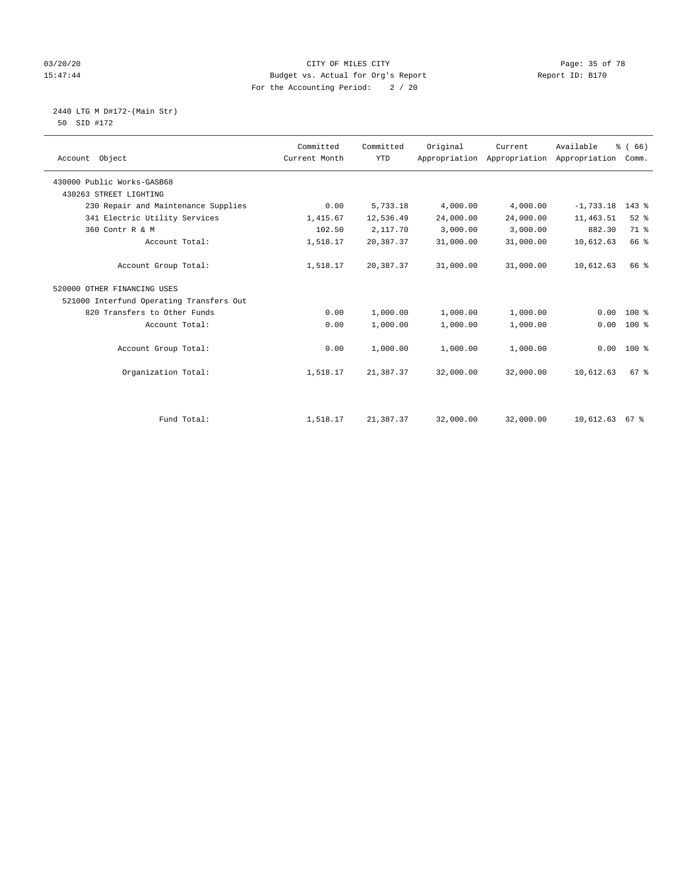#### 03/20/20 CITY OF MILES CITY Page: 35 of 78 15:47:44 Budget vs. Actual for Org's Report Report ID: B170 For the Accounting Period: 2 / 20

 2440 LTG M D#172-(Main Str) 50 SID #172

| Account Object                           | Committed<br>Current Month | Committed<br><b>YTD</b> | Original  | Current<br>Appropriation Appropriation Appropriation | Available   | % (66)<br>Comm. |
|------------------------------------------|----------------------------|-------------------------|-----------|------------------------------------------------------|-------------|-----------------|
| 430000 Public Works-GASB68               |                            |                         |           |                                                      |             |                 |
| 430263 STREET LIGHTING                   |                            |                         |           |                                                      |             |                 |
| 230 Repair and Maintenance Supplies      | 0.00                       | 5,733.18                | 4,000.00  | 4,000.00                                             | $-1,733.18$ | $143$ $%$       |
| 341 Electric Utility Services            | 1,415.67                   | 12,536.49               | 24,000.00 | 24,000.00                                            | 11,463.51   | $52$ $%$        |
| 360 Contr R & M                          | 102.50                     | 2,117.70                | 3,000.00  | 3,000.00                                             | 882.30      | 71.8            |
| Account Total:                           | 1,518.17                   | 20,387.37               | 31,000.00 | 31,000.00                                            | 10,612.63   | 66 %            |
| Account Group Total:                     | 1,518.17                   | 20,387.37               | 31,000.00 | 31,000.00                                            | 10,612.63   | 66 %            |
| 520000 OTHER FINANCING USES              |                            |                         |           |                                                      |             |                 |
| 521000 Interfund Operating Transfers Out |                            |                         |           |                                                      |             |                 |
| 820 Transfers to Other Funds             | 0.00                       | 1,000.00                | 1,000.00  | 1,000.00                                             | 0.00        | $100*$          |
| Account Total:                           | 0.00                       | 1,000.00                | 1,000.00  | 1,000.00                                             | 0.00        | $100*$          |
| Account Group Total:                     | 0.00                       | 1,000.00                | 1,000.00  | 1,000.00                                             |             | $0.00$ 100 %    |
| Organization Total:                      | 1,518.17                   | 21,387.37               | 32,000.00 | 32,000.00                                            | 10,612.63   | $67$ $%$        |
|                                          |                            |                         |           |                                                      |             |                 |

Fund Total: 1,518.17 21,387.37 32,000.00 32,000.00 10,612.63 67 %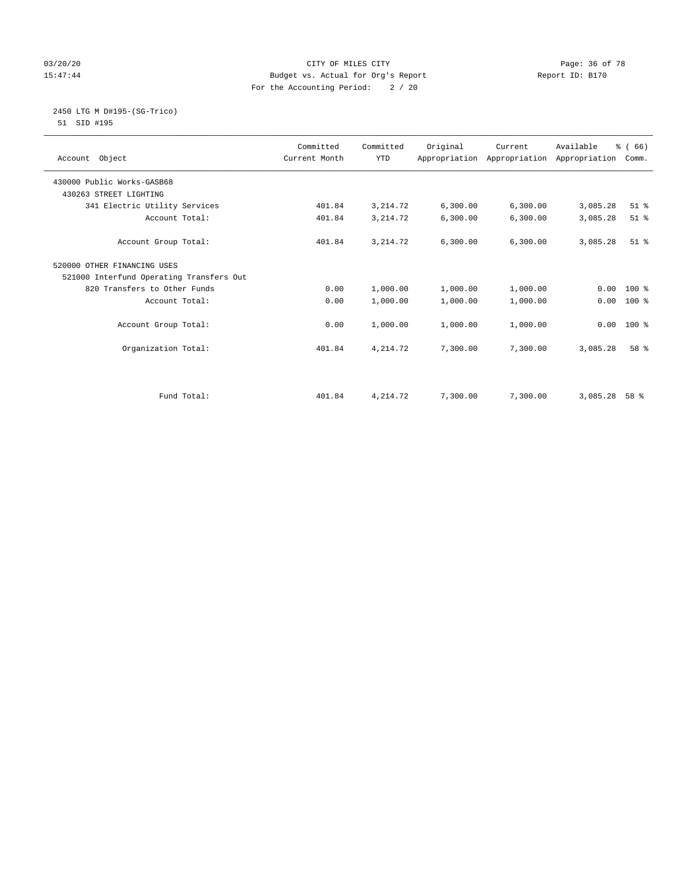#### 03/20/20 Page: 36 of 78 15:47:44 Budget vs. Actual for Org's Report Changer Report ID: B170 For the Accounting Period: 2 / 20

#### 2450 LTG M D#195-(SG-Trico) 51 SID #195

| Account Object                           | Committed<br>Current Month | Committed<br><b>YTD</b> | Original | Current   | Available<br>Appropriation Appropriation Appropriation | % (66)<br>Comm. |
|------------------------------------------|----------------------------|-------------------------|----------|-----------|--------------------------------------------------------|-----------------|
| 430000 Public Works-GASB68               |                            |                         |          |           |                                                        |                 |
| 430263 STREET LIGHTING                   |                            |                         |          |           |                                                        |                 |
| 341 Electric Utility Services            | 401.84                     | 3, 214.72               | 6,300.00 | 6,300.00  | 3,085.28                                               | $51$ $%$        |
| Account Total:                           | 401.84                     | 3, 214.72               | 6,300.00 | 6,300.00  | 3,085.28                                               | $51$ %          |
| Account Group Total:                     | 401.84                     | 3, 214.72               | 6,300.00 | 6, 300.00 | 3,085.28                                               | $51$ $%$        |
| 520000 OTHER FINANCING USES              |                            |                         |          |           |                                                        |                 |
| 521000 Interfund Operating Transfers Out |                            |                         |          |           |                                                        |                 |
| 820 Transfers to Other Funds             | 0.00                       | 1,000.00                | 1,000.00 | 1,000.00  | 0.00                                                   | $100*$          |
| Account Total:                           | 0.00                       | 1,000.00                | 1,000.00 | 1,000.00  | 0.00                                                   | 100 %           |
| Account Group Total:                     | 0.00                       | 1,000.00                | 1,000.00 | 1,000.00  | 0.00                                                   | 100 %           |
| Organization Total:                      | 401.84                     | 4,214.72                | 7,300.00 | 7,300.00  | 3,085.28                                               | 58 %            |
|                                          |                            |                         |          |           |                                                        |                 |
| Fund Total:                              | 401.84                     | 4,214.72                | 7,300.00 | 7,300.00  | 3,085.28                                               | 58 %            |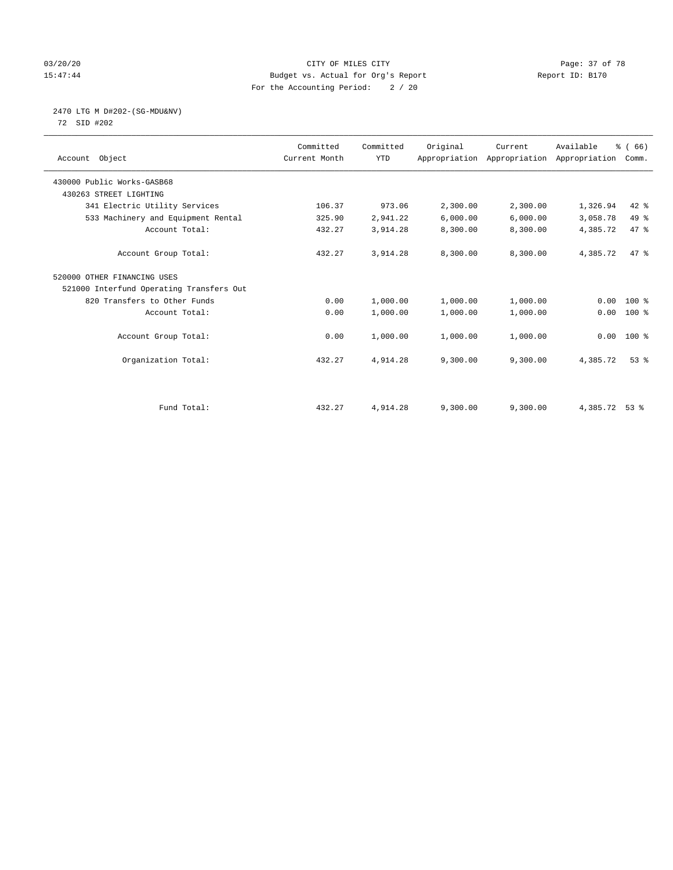# 03/20/20 Page: 37 of 78 15:47:44 Budget vs. Actual for Org's Report Report ID: B170 For the Accounting Period: 2 / 20

# 2470 LTG M D#202-(SG-MDU&NV)

72 SID #202

| Account Object                           | Committed<br>Current Month | Committed<br><b>YTD</b> | Original | Current<br>Appropriation Appropriation Appropriation | Available     | % (66)<br>Comm. |  |
|------------------------------------------|----------------------------|-------------------------|----------|------------------------------------------------------|---------------|-----------------|--|
| 430000 Public Works-GASB68               |                            |                         |          |                                                      |               |                 |  |
| 430263 STREET LIGHTING                   |                            |                         |          |                                                      |               |                 |  |
| 341 Electric Utility Services            | 106.37                     | 973.06                  | 2,300.00 | 2,300.00                                             | 1,326.94      | 42 %            |  |
| 533 Machinery and Equipment Rental       | 325.90                     | 2,941.22                | 6,000.00 | 6,000.00                                             | 3,058.78      | 49 %            |  |
| Account Total:                           | 432.27                     | 3,914.28                | 8,300.00 | 8,300.00                                             | 4,385.72      | 47.8            |  |
| Account Group Total:                     | 432.27                     | 3,914.28                | 8,300.00 | 8,300.00                                             | 4,385.72      | 47 %            |  |
| 520000 OTHER FINANCING USES              |                            |                         |          |                                                      |               |                 |  |
| 521000 Interfund Operating Transfers Out |                            |                         |          |                                                      |               |                 |  |
| 820 Transfers to Other Funds             | 0.00                       | 1,000.00                | 1,000.00 | 1,000.00                                             | 0.00          | 100 %           |  |
| Account Total:                           | 0.00                       | 1,000.00                | 1,000.00 | 1,000.00                                             | 0.00          | $100$ %         |  |
| Account Group Total:                     | 0.00                       | 1,000.00                | 1,000.00 | 1,000.00                                             | 0.00          | 100 %           |  |
| Organization Total:                      | 432.27                     | 4,914.28                | 9,300.00 | 9,300.00                                             | 4,385.72      | $53$ $%$        |  |
|                                          |                            |                         |          |                                                      |               |                 |  |
| Fund Total:                              | 432.27                     | 4,914.28                | 9,300.00 | 9,300.00                                             | 4,385.72 53 % |                 |  |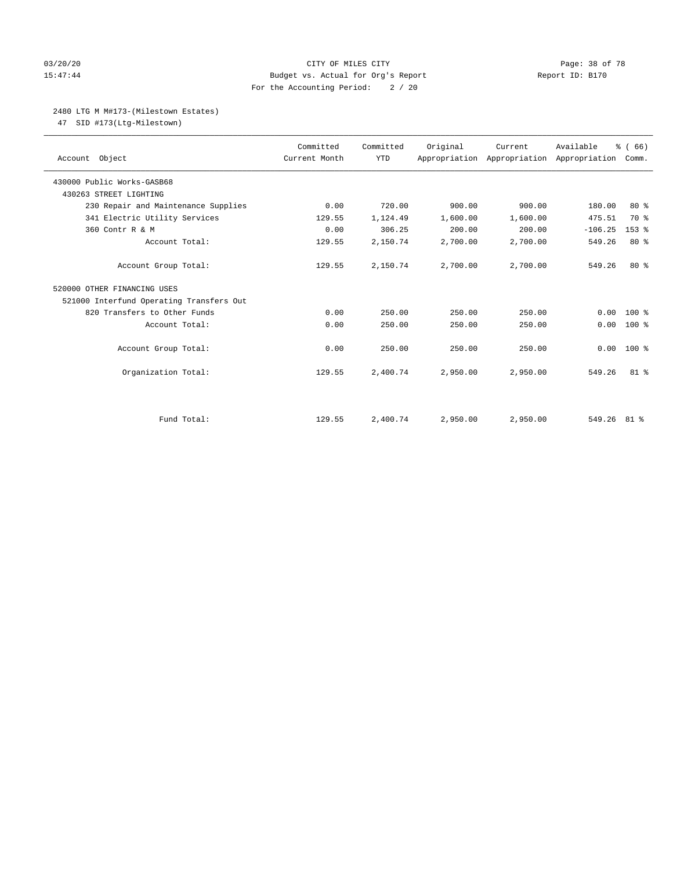# 03/20/20 Page: 38 of 78 15:47:44 Budget vs. Actual for Org's Report Report ID: B170 For the Accounting Period: 2 / 20

# 2480 LTG M M#173-(Milestown Estates)

47 SID #173(Ltg-Milestown)

| Account Object                           | Committed<br>Current Month | Committed<br><b>YTD</b> | Original | Current<br>Appropriation Appropriation Appropriation | Available     | % (66)<br>Comm.  |
|------------------------------------------|----------------------------|-------------------------|----------|------------------------------------------------------|---------------|------------------|
| 430000 Public Works-GASB68               |                            |                         |          |                                                      |               |                  |
| 430263 STREET LIGHTING                   |                            |                         |          |                                                      |               |                  |
| 230 Repair and Maintenance Supplies      | 0.00                       | 720.00                  | 900.00   | 900.00                                               | 180.00        | $80*$            |
| 341 Electric Utility Services            | 129.55                     | 1,124.49                | 1,600.00 | 1,600.00                                             | 475.51        | 70 %             |
| 360 Contr R & M                          | 0.00                       | 306.25                  | 200.00   | 200.00                                               | $-106.25$     | 153 <sub>8</sub> |
| Account Total:                           | 129.55                     | 2,150.74                | 2,700.00 | 2,700.00                                             | 549.26        | 80%              |
| Account Group Total:                     | 129.55                     | 2,150.74                | 2,700.00 | 2,700.00                                             | 549.26        | $80*$            |
| 520000 OTHER FINANCING USES              |                            |                         |          |                                                      |               |                  |
| 521000 Interfund Operating Transfers Out |                            |                         |          |                                                      |               |                  |
| 820 Transfers to Other Funds             | 0.00                       | 250.00                  | 250.00   | 250.00                                               | 0.00          | $100*$           |
| Account Total:                           | 0.00                       | 250.00                  | 250.00   | 250.00                                               | 0.00          | $100*$           |
| Account Group Total:                     | 0.00                       | 250.00                  | 250.00   | 250.00                                               | 0.00          | $100*$           |
| Organization Total:                      | 129.55                     | 2,400.74                | 2,950.00 | 2,950.00                                             | 549.26        | $81 - 8$         |
|                                          |                            |                         |          |                                                      |               |                  |
| Fund Total:                              | 129.55                     | 2,400.74                | 2,950.00 | 2,950.00                                             | $549.26$ 81 % |                  |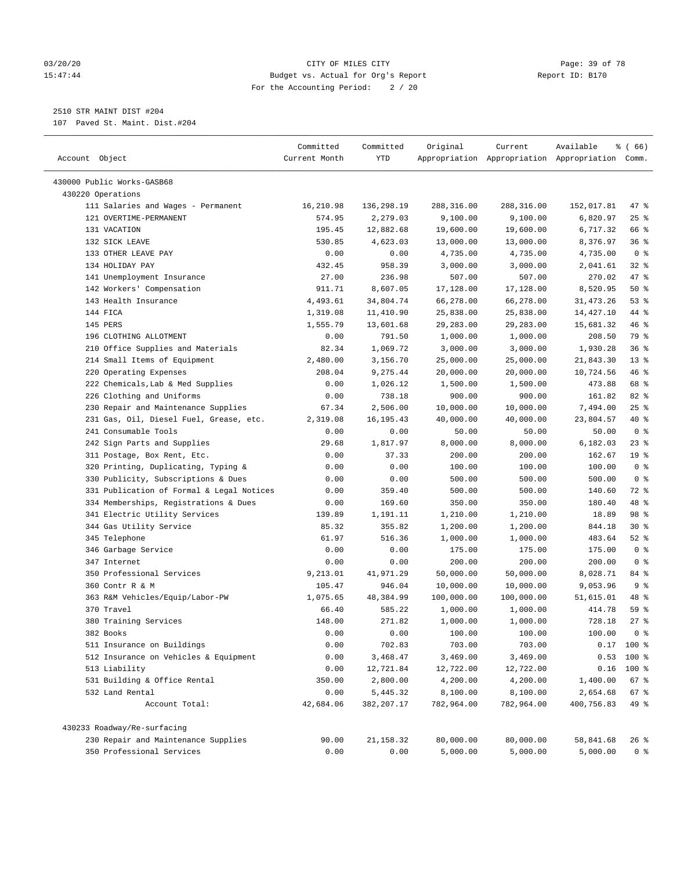### 03/20/20 Page: 39 of 78 15:47:44 Budget vs. Actual for Org's Report Report ID: B170 For the Accounting Period: 2 / 20

————————————————————————————————————————————————————————————————————————————————————————————————————————————————————————————————————

# 2510 STR MAINT DIST #204

107 Paved St. Maint. Dist.#204

|                                                              | Committed     | Committed              | Original               | Current                                         | Available              | <sub>है</sub> ( 66 ) |  |
|--------------------------------------------------------------|---------------|------------------------|------------------------|-------------------------------------------------|------------------------|----------------------|--|
| Account Object                                               | Current Month | YTD                    |                        | Appropriation Appropriation Appropriation Comm. |                        |                      |  |
|                                                              |               |                        |                        |                                                 |                        |                      |  |
| 430000 Public Works-GASB68                                   |               |                        |                        |                                                 |                        |                      |  |
| 430220 Operations                                            | 16,210.98     |                        |                        |                                                 |                        |                      |  |
| 111 Salaries and Wages - Permanent<br>121 OVERTIME-PERMANENT | 574.95        | 136,298.19<br>2,279.03 | 288,316.00<br>9,100.00 | 288,316.00<br>9,100.00                          | 152,017.81<br>6,820.97 | 47 %<br>$25$ %       |  |
| 131 VACATION                                                 | 195.45        | 12,882.68              | 19,600.00              | 19,600.00                                       | 6,717.32               | 66 %                 |  |
| 132 SICK LEAVE                                               | 530.85        | 4,623.03               | 13,000.00              | 13,000.00                                       | 8,376.97               | 36%                  |  |
| 133 OTHER LEAVE PAY                                          | 0.00          | 0.00                   | 4,735.00               | 4,735.00                                        | 4,735.00               | 0 <sup>8</sup>       |  |
| 134 HOLIDAY PAY                                              | 432.45        | 958.39                 | 3,000.00               | 3,000.00                                        | 2,041.61               | $32$ $%$             |  |
| 141 Unemployment Insurance                                   | 27.00         | 236.98                 | 507.00                 | 507.00                                          | 270.02                 | 47 %                 |  |
| 142 Workers' Compensation                                    | 911.71        | 8,607.05               | 17,128.00              | 17,128.00                                       | 8,520.95               | 50%                  |  |
| 143 Health Insurance                                         | 4,493.61      | 34,804.74              | 66,278.00              | 66,278.00                                       | 31, 473. 26            | 53%                  |  |
| 144 FICA                                                     | 1,319.08      | 11,410.90              | 25,838.00              | 25,838.00                                       | 14,427.10              | 44 %                 |  |
| 145 PERS                                                     | 1,555.79      | 13,601.68              | 29,283.00              | 29,283.00                                       | 15,681.32              | 46 %                 |  |
| 196 CLOTHING ALLOTMENT                                       | 0.00          | 791.50                 | 1,000.00               | 1,000.00                                        | 208.50                 | 79 %                 |  |
| 210 Office Supplies and Materials                            | 82.34         | 1,069.72               | 3,000.00               | 3,000.00                                        | 1,930.28               | 36%                  |  |
| 214 Small Items of Equipment                                 | 2,480.00      | 3,156.70               | 25,000.00              | 25,000.00                                       | 21,843.30              | $13*$                |  |
| 220 Operating Expenses                                       | 208.04        | 9,275.44               | 20,000.00              | 20,000.00                                       | 10,724.56              | 46 %                 |  |
| 222 Chemicals, Lab & Med Supplies                            | 0.00          | 1,026.12               |                        |                                                 | 473.88                 | 68 %                 |  |
| 226 Clothing and Uniforms                                    | 0.00          | 738.18                 | 1,500.00<br>900.00     | 1,500.00<br>900.00                              | 161.82                 | $82$ %               |  |
| 230 Repair and Maintenance Supplies                          | 67.34         | 2,506.00               | 10,000.00              | 10,000.00                                       | 7,494.00               | $25$ %               |  |
| 231 Gas, Oil, Diesel Fuel, Grease, etc.                      | 2,319.08      | 16, 195. 43            | 40,000.00              | 40,000.00                                       | 23,804.57              | 40 %                 |  |
| 241 Consumable Tools                                         | 0.00          | 0.00                   | 50.00                  | 50.00                                           | 50.00                  | 0 <sup>8</sup>       |  |
| 242 Sign Parts and Supplies                                  | 29.68         | 1,817.97               | 8,000.00               | 8,000.00                                        | 6,182.03               | $23$ %               |  |
| 311 Postage, Box Rent, Etc.                                  | 0.00          | 37.33                  | 200.00                 | 200.00                                          | 162.67                 | 19 <sup>°</sup>      |  |
| 320 Printing, Duplicating, Typing &                          | 0.00          | 0.00                   | 100.00                 | 100.00                                          | 100.00                 | 0 <sup>8</sup>       |  |
| 330 Publicity, Subscriptions & Dues                          | 0.00          | 0.00                   | 500.00                 | 500.00                                          | 500.00                 | 0 <sup>8</sup>       |  |
| 331 Publication of Formal & Legal Notices                    | 0.00          | 359.40                 | 500.00                 | 500.00                                          | 140.60                 | 72 %                 |  |
| 334 Memberships, Registrations & Dues                        | 0.00          | 169.60                 | 350.00                 | 350.00                                          | 180.40                 | 48 %                 |  |
| 341 Electric Utility Services                                | 139.89        | 1,191.11               | 1,210.00               | 1,210.00                                        | 18.89                  | 98 %                 |  |
| 344 Gas Utility Service                                      | 85.32         | 355.82                 | 1,200.00               | 1,200.00                                        | 844.18                 | $30*$                |  |
| 345 Telephone                                                | 61.97         | 516.36                 | 1,000.00               | 1,000.00                                        | 483.64                 | $52$ $%$             |  |
| 346 Garbage Service                                          | 0.00          | 0.00                   | 175.00                 | 175.00                                          | 175.00                 | 0 <sup>8</sup>       |  |
| 347 Internet                                                 | 0.00          | 0.00                   | 200.00                 | 200.00                                          | 200.00                 | 0 <sup>8</sup>       |  |
| 350 Professional Services                                    | 9,213.01      | 41,971.29              | 50,000.00              | 50,000.00                                       | 8,028.71               | 84 %                 |  |
| 360 Contr R & M                                              | 105.47        | 946.04                 | 10,000.00              | 10,000.00                                       | 9,053.96               | 9%                   |  |
| 363 R&M Vehicles/Equip/Labor-PW                              | 1,075.65      | 48,384.99              | 100,000.00             | 100,000.00                                      | 51,615.01              | 48 %                 |  |
| 370 Travel                                                   | 66.40         | 585.22                 | 1,000.00               | 1,000.00                                        | 414.78                 | 59 %                 |  |
| 380 Training Services                                        | 148.00        | 271.82                 | 1,000.00               | 1,000.00                                        | 728.18                 | 27%                  |  |
| 382 Books                                                    | 0.00          | 0.00                   | 100.00                 | 100.00                                          | 100.00                 | 0 <sup>8</sup>       |  |
| 511 Insurance on Buildings                                   | 0.00          | 702.83                 | 703.00                 | 703.00                                          |                        | $0.17$ 100 %         |  |
| 512 Insurance on Vehicles & Equipment                        | 0.00          | 3,468.47               | 3,469.00               | 3,469.00                                        |                        | $0.53$ 100 %         |  |
| 513 Liability                                                | 0.00          | 12,721.84              | 12,722.00              | 12,722.00                                       |                        | $0.16$ 100 %         |  |
| 531 Building & Office Rental                                 | 350.00        | 2,800.00               | 4,200.00               | 4,200.00                                        | 1,400.00               | 67%                  |  |
| 532 Land Rental                                              | 0.00          | 5,445.32               | 8,100.00               | 8,100.00                                        | 2,654.68               | 67%                  |  |
| Account Total:                                               | 42,684.06     | 382,207.17             | 782,964.00             | 782,964.00                                      | 400,756.83             | 49 %                 |  |
|                                                              |               |                        |                        |                                                 |                        |                      |  |
| 430233 Roadway/Re-surfacing                                  |               |                        |                        |                                                 |                        |                      |  |
| 230 Repair and Maintenance Supplies                          | 90.00         | 21,158.32              | 80,000.00              | 80,000.00                                       | 58,841.68              | 26 %                 |  |
| 350 Professional Services                                    | 0.00          | 0.00                   | 5,000.00               | 5,000.00                                        | 5,000.00               | 0 <sup>8</sup>       |  |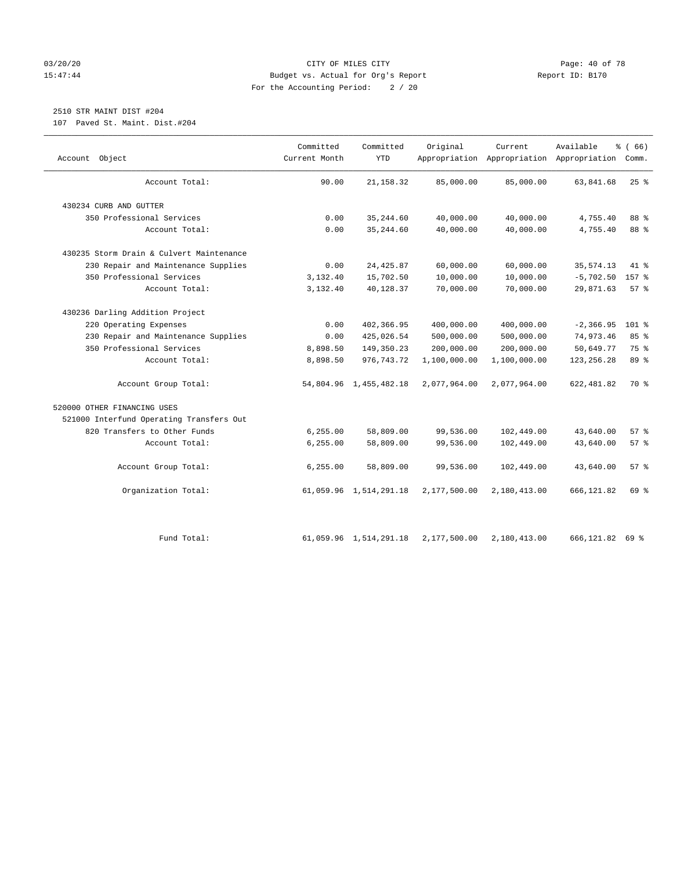# 03/20/20 Page: 40 of 78 15:47:44 Budget vs. Actual for Org's Report Report ID: B170 For the Accounting Period: 2 / 20

# 2510 STR MAINT DIST #204

107 Paved St. Maint. Dist.#204

| Object<br>Account                        | Committed<br>Current Month | Committed<br><b>YTD</b> | Original     | Current      | Available<br>Appropriation Appropriation Appropriation Comm. | % (66)             |
|------------------------------------------|----------------------------|-------------------------|--------------|--------------|--------------------------------------------------------------|--------------------|
| Account Total:                           | 90.00                      | 21, 158.32              | 85,000.00    | 85,000.00    | 63,841.68                                                    | 25%                |
| 430234 CURB AND GUTTER                   |                            |                         |              |              |                                                              |                    |
| 350 Professional Services                | 0.00                       | 35, 244.60              | 40,000.00    | 40,000.00    | 4,755.40                                                     | 88 %               |
| Account Total:                           | 0.00                       | 35, 244.60              | 40,000.00    | 40,000.00    | 4,755.40                                                     | 88 %               |
| 430235 Storm Drain & Culvert Maintenance |                            |                         |              |              |                                                              |                    |
| 230 Repair and Maintenance Supplies      | 0.00                       | 24, 425.87              | 60,000.00    | 60,000.00    | 35, 574.13                                                   | $41*$              |
| 350 Professional Services                | 3,132.40                   | 15,702.50               | 10,000.00    | 10,000.00    | $-5,702.50$                                                  | 157 %              |
| Account Total:                           | 3,132.40                   | 40,128.37               | 70,000.00    | 70,000.00    | 29,871.63                                                    | $57$ $\frac{6}{3}$ |
| 430236 Darling Addition Project          |                            |                         |              |              |                                                              |                    |
| 220 Operating Expenses                   | 0.00                       | 402,366.95              | 400,000.00   | 400,000.00   | $-2, 366.95$                                                 | 101 %              |
| 230 Repair and Maintenance Supplies      | 0.00                       | 425,026.54              | 500,000.00   | 500,000.00   | 74,973.46                                                    | 85 %               |
| 350 Professional Services                | 8,898.50                   | 149,350.23              | 200,000.00   | 200,000.00   | 50,649.77                                                    | 75 %               |
| Account Total:                           | 8,898.50                   | 976, 743. 72            | 1,100,000.00 | 1,100,000.00 | 123, 256. 28                                                 | 89 %               |
| Account Group Total:                     |                            | 54,804.96 1,455,482.18  | 2,077,964.00 | 2,077,964.00 | 622, 481.82                                                  | 70 %               |
| 520000 OTHER FINANCING USES              |                            |                         |              |              |                                                              |                    |
| 521000 Interfund Operating Transfers Out |                            |                         |              |              |                                                              |                    |
| 820 Transfers to Other Funds             | 6,255.00                   | 58,809.00               | 99,536.00    | 102,449.00   | 43,640.00                                                    | $57$ $\frac{6}{5}$ |
| Account Total:                           | 6, 255.00                  | 58,809.00               | 99,536.00    | 102,449.00   | 43,640.00                                                    | 57%                |
| Account Group Total:                     | 6, 255.00                  | 58,809.00               | 99,536.00    | 102,449.00   | 43,640.00                                                    | 57%                |
| Organization Total:                      |                            | 61,059.96 1,514,291.18  | 2,177,500.00 | 2,180,413.00 | 666, 121.82                                                  | 69 %               |
| Fund Total:                              |                            | 61,059.96 1,514,291.18  | 2,177,500.00 | 2,180,413.00 | 666,121.82 69 %                                              |                    |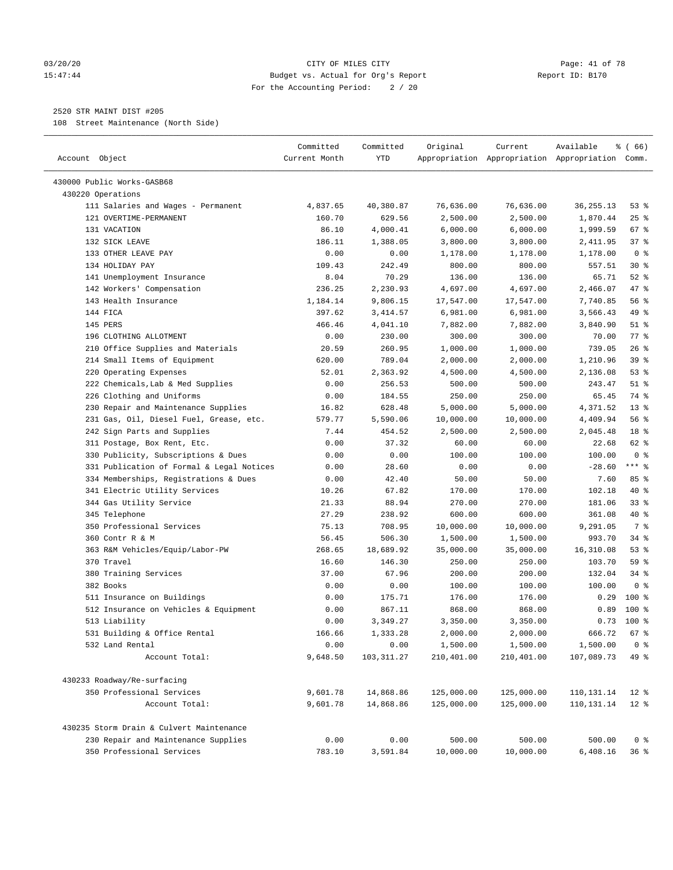### 03/20/20 Page: 41 of 78 15:47:44 Budget vs. Actual for Org's Report Report ID: B170 For the Accounting Period: 2 / 20

————————————————————————————————————————————————————————————————————————————————————————————————————————————————————————————————————

# 2520 STR MAINT DIST #205

108 Street Maintenance (North Side)

|                                           | Committed                       | Committed   | Original   | Current    | Available                                       | % (66)         |
|-------------------------------------------|---------------------------------|-------------|------------|------------|-------------------------------------------------|----------------|
| Account Object                            | Current Month                   | <b>YTD</b>  |            |            | Appropriation Appropriation Appropriation Comm. |                |
| 430000 Public Works-GASB68                |                                 |             |            |            |                                                 |                |
| 430220 Operations                         |                                 |             |            |            |                                                 |                |
| 111 Salaries and Wages - Permanent        | 4,837.65                        | 40,380.87   | 76,636.00  | 76,636.00  | 36, 255. 13                                     | 53%            |
| 121 OVERTIME-PERMANENT                    | 160.70                          | 629.56      | 2,500.00   | 2,500.00   | 1,870.44                                        | $25$ %         |
| 131 VACATION                              | 86.10                           | 4,000.41    | 6,000.00   | 6,000.00   | 1,999.59                                        | 67 %           |
| 132 SICK LEAVE                            | 186.11                          | 1,388.05    | 3,800.00   | 3,800.00   | 2,411.95                                        | 37%            |
| 133 OTHER LEAVE PAY                       | 0.00                            | 0.00        | 1,178.00   | 1,178.00   | 1,178.00                                        | 0 <sup>8</sup> |
| 134 HOLIDAY PAY                           | 109.43                          | 242.49      | 800.00     | 800.00     | 557.51                                          | $30*$          |
| 141 Unemployment Insurance                | 8.04                            | 70.29       | 136.00     | 136.00     | 65.71                                           | $52$ $%$       |
| 142 Workers' Compensation                 | 236.25                          | 2,230.93    | 4,697.00   | 4,697.00   | 2,466.07                                        | 47 %           |
| 143 Health Insurance                      | 1,184.14                        | 9,806.15    | 17,547.00  | 17,547.00  | 7,740.85                                        | 56%            |
| 144 FICA                                  | 397.62                          | 3,414.57    | 6,981.00   | 6,981.00   | 3,566.43                                        | 49 %           |
| 145 PERS                                  | 466.46                          | 4,041.10    | 7,882.00   | 7,882.00   | 3,840.90                                        | $51$ %         |
| 196 CLOTHING ALLOTMENT                    | 0.00                            | 230.00      | 300.00     | 300.00     | 70.00                                           | 77%            |
| 210 Office Supplies and Materials         | 20.59                           | 260.95      | 1,000.00   | 1,000.00   | 739.05                                          | 26%            |
| 214 Small Items of Equipment              | 620.00                          | 789.04      | 2,000.00   | 2,000.00   | 1,210.96                                        | 39 %           |
| 220 Operating Expenses                    | 52.01                           | 2,363.92    | 4,500.00   | 4,500.00   | 2,136.08                                        | 53%            |
| 222 Chemicals, Lab & Med Supplies         | 0.00                            | 256.53      | 500.00     | 500.00     | 243.47                                          | $51$ %         |
| 226 Clothing and Uniforms                 | 0.00                            | 184.55      | 250.00     | 250.00     | 65.45                                           | 74 %           |
| 230 Repair and Maintenance Supplies       | 16.82                           | 628.48      | 5,000.00   | 5,000.00   | 4,371.52                                        | $13*$          |
| 231 Gas, Oil, Diesel Fuel, Grease, etc.   | 579.77                          | 5,590.06    | 10,000.00  | 10,000.00  | 4,409.94                                        | 56%            |
| 242 Sign Parts and Supplies               | 7.44                            | 454.52      | 2,500.00   | 2,500.00   | 2,045.48                                        | 18 %           |
| 311 Postage, Box Rent, Etc.               | 0.00                            | 37.32       | 60.00      | 60.00      | 22.68                                           | 62 %           |
| 330 Publicity, Subscriptions & Dues       | 0.00                            | 0.00        | 100.00     | 100.00     | 100.00                                          | 0 <sup>8</sup> |
| 331 Publication of Formal & Legal Notices | 0.00                            | 28.60       | 0.00       | 0.00       | $-28.60$                                        | $***$ $%$      |
| 334 Memberships, Registrations & Dues     | ${\bf 0}$ . ${\bf 0}$ ${\bf 0}$ | 42.40       | 50.00      | 50.00      | 7.60                                            | 85 %           |
| 341 Electric Utility Services             | 10.26                           | 67.82       | 170.00     | 170.00     | 102.18                                          | $40*$          |
| 344 Gas Utility Service                   | 21.33                           | 88.94       | 270.00     | 270.00     | 181.06                                          | 33%            |
| 345 Telephone                             | 27.29                           | 238.92      | 600.00     | 600.00     | 361.08                                          | 40 %           |
| 350 Professional Services                 | 75.13                           | 708.95      | 10,000.00  | 10,000.00  | 9,291.05                                        | 7 %            |
| 360 Contr R & M                           | 56.45                           | 506.30      | 1,500.00   | 1,500.00   | 993.70                                          | $34$ $%$       |
| 363 R&M Vehicles/Equip/Labor-PW           | 268.65                          | 18,689.92   | 35,000.00  | 35,000.00  | 16,310.08                                       | 53%            |
| 370 Travel                                | 16.60                           | 146.30      | 250.00     | 250.00     | 103.70                                          | 59 %           |
| 380 Training Services                     | 37.00                           | 67.96       | 200.00     | 200.00     | 132.04                                          | $34$ $%$       |
| 382 Books                                 | 0.00                            | 0.00        | 100.00     | 100.00     | 100.00                                          | 0 <sup>8</sup> |
| 511 Insurance on Buildings                | 0.00                            | 175.71      | 176.00     | 176.00     | 0.29                                            | $100$ %        |
| 512 Insurance on Vehicles & Equipment     | 0.00                            | 867.11      | 868.00     | 868.00     | 0.89                                            | $100*$         |
| 513 Liability                             | 0.00                            | 3,349.27    | 3,350.00   | 3,350.00   |                                                 | $0.73$ 100 %   |
| 531 Building & Office Rental              | 166.66                          | 1,333.28    | 2,000.00   | 2,000.00   | 666.72                                          | 67%            |
| 532 Land Rental                           | 0.00                            | 0.00        | 1,500.00   | 1,500.00   | 1,500.00                                        | 0 <sup>8</sup> |
| Account Total:                            | 9,648.50                        | 103, 311.27 | 210,401.00 | 210,401.00 | 107,089.73                                      | 49 %           |
|                                           |                                 |             |            |            |                                                 |                |
| 430233 Roadway/Re-surfacing               |                                 |             |            |            |                                                 |                |
| 350 Professional Services                 | 9,601.78                        | 14,868.86   | 125,000.00 | 125,000.00 | 110, 131. 14                                    | $12*$          |
| Account Total:                            | 9,601.78                        | 14,868.86   | 125,000.00 | 125,000.00 | 110,131.14                                      | $12*$          |
| 430235 Storm Drain & Culvert Maintenance  |                                 |             |            |            |                                                 |                |
| 230 Repair and Maintenance Supplies       | 0.00                            | 0.00        | 500.00     | 500.00     | 500.00                                          | 0 <sup>8</sup> |
| 350 Professional Services                 | 783.10                          | 3,591.84    | 10,000.00  | 10,000.00  | 6,408.16                                        | 36%            |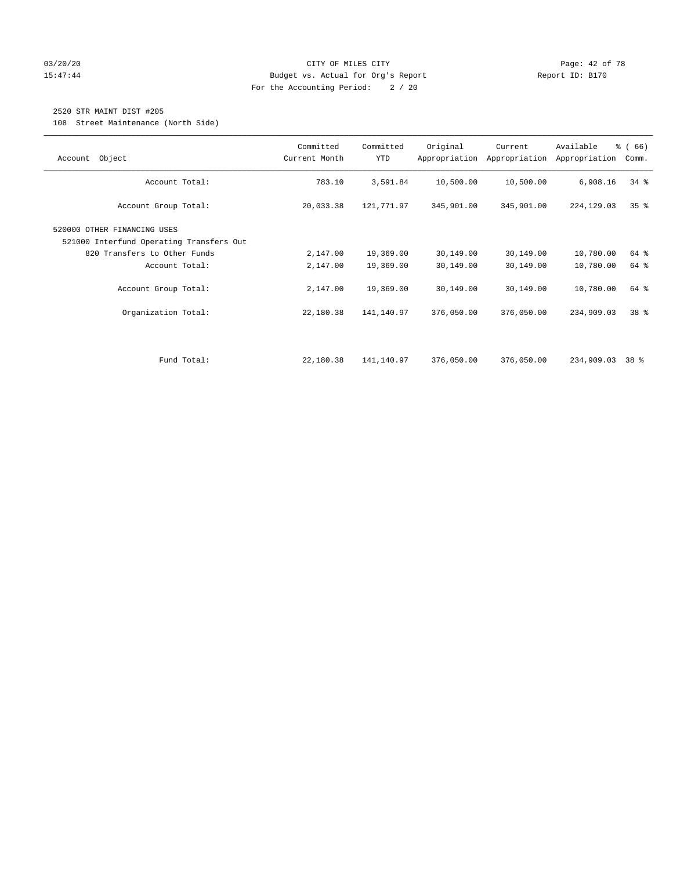# 03/20/20 Page: 42 of 78 15:47:44 Budget vs. Actual for Org's Report Report ID: B170 For the Accounting Period: 2 / 20

# 2520 STR MAINT DIST #205

108 Street Maintenance (North Side)

| Object<br>Account                                                                                       | Committed<br>Current Month | Committed<br><b>YTD</b> | Original   | Current<br>Appropriation Appropriation | Available<br>Appropriation | % (66)<br>Comm. |
|---------------------------------------------------------------------------------------------------------|----------------------------|-------------------------|------------|----------------------------------------|----------------------------|-----------------|
| Account Total:                                                                                          | 783.10                     | 3,591.84                | 10,500.00  | 10,500.00                              | 6,908.16                   | $34$ $%$        |
| Account Group Total:                                                                                    | 20,033.38                  | 121,771.97              | 345,901.00 | 345,901.00                             | 224,129.03                 | 35 <sup>8</sup> |
| 520000 OTHER FINANCING USES<br>521000 Interfund Operating Transfers Out<br>820 Transfers to Other Funds | 2,147.00                   | 19,369.00               | 30,149.00  | 30,149.00                              | 10,780.00                  | 64 %            |
| Account Total:                                                                                          | 2,147.00                   | 19,369.00               | 30,149.00  | 30,149.00                              | 10,780.00                  | 64 %            |
| Account Group Total:                                                                                    | 2,147.00                   | 19,369.00               | 30,149.00  | 30,149.00                              | 10,780.00                  | 64 %            |
| Organization Total:                                                                                     | 22,180.38                  | 141,140.97              | 376,050.00 | 376,050.00                             | 234,909.03                 | 38 <sup>8</sup> |
|                                                                                                         |                            |                         |            |                                        |                            |                 |
| Fund Total:                                                                                             | 22,180.38                  | 141,140.97              | 376,050.00 | 376,050.00                             | 234,909.03                 | 38 දි           |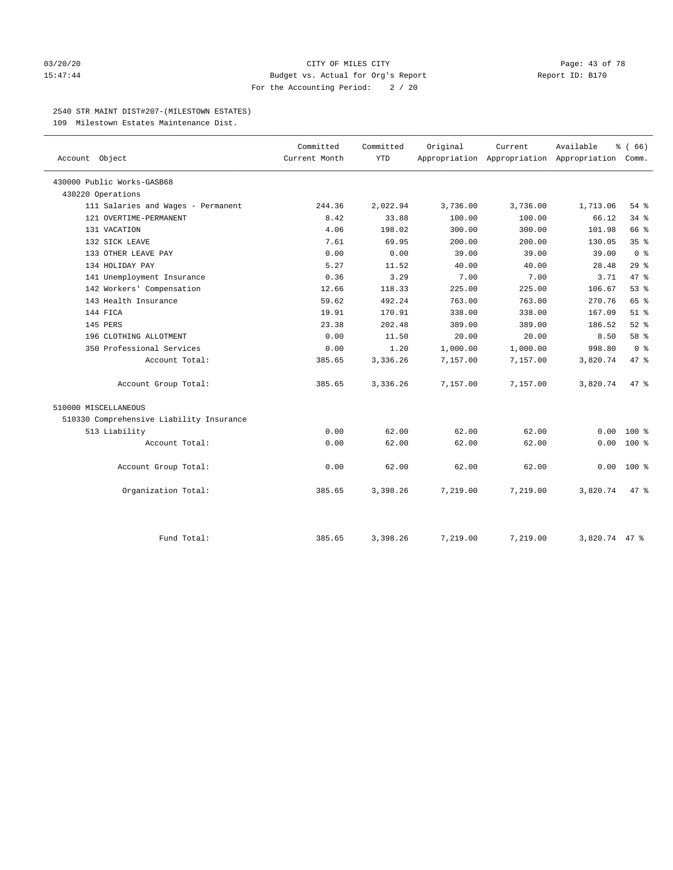## 03/20/20 **CITY OF MILES CITY CITY CITY Page: 43 of 78** 15:47:44 Budget vs. Actual for Org's Report Report ID: B170 For the Accounting Period: 2 / 20

## 2540 STR MAINT DIST#207-(MILESTOWN ESTATES)

109 Milestown Estates Maintenance Dist.

| Account Object                           | Committed<br>Current Month | Committed<br><b>YTD</b> | Original | Current<br>Appropriation Appropriation Appropriation Comm. | Available     | % (66)         |
|------------------------------------------|----------------------------|-------------------------|----------|------------------------------------------------------------|---------------|----------------|
| 430000 Public Works-GASB68               |                            |                         |          |                                                            |               |                |
| 430220 Operations                        |                            |                         |          |                                                            |               |                |
| 111 Salaries and Wages - Permanent       | 244.36                     | 2,022.94                | 3,736.00 | 3,736.00                                                   | 1,713.06      | $54$ %         |
| 121 OVERTIME-PERMANENT                   | 8.42                       | 33.88                   | 100.00   | 100.00                                                     | 66.12         | 34.8           |
| 131 VACATION                             | 4.06                       | 198.02                  | 300.00   | 300.00                                                     | 101.98        | 66 %           |
| 132 SICK LEAVE                           | 7.61                       | 69.95                   | 200.00   | 200.00                                                     | 130.05        | 35%            |
| 133 OTHER LEAVE PAY                      | 0.00                       | 0.00                    | 39.00    | 39.00                                                      | 39.00         | 0 <sup>8</sup> |
| 134 HOLIDAY PAY                          | 5.27                       | 11.52                   | 40.00    | 40.00                                                      | 28.48         | 29%            |
| 141 Unemployment Insurance               | 0.36                       | 3.29                    | 7.00     | 7.00                                                       | 3.71          | 47.8           |
| 142 Workers' Compensation                | 12.66                      | 118.33                  | 225.00   | 225.00                                                     | 106.67        | 53%            |
| 143 Health Insurance                     | 59.62                      | 492.24                  | 763.00   | 763.00                                                     | 270.76        | 65 %           |
| 144 FICA                                 | 19.91                      | 170.91                  | 338.00   | 338.00                                                     | 167.09        | $51$ %         |
| 145 PERS                                 | 23.38                      | 202.48                  | 389.00   | 389.00                                                     | 186.52        | $52$ $%$       |
| 196 CLOTHING ALLOTMENT                   | 0.00                       | 11.50                   | 20.00    | 20.00                                                      | 8.50          | 58 %           |
| 350 Professional Services                | 0.00                       | 1.20                    | 1,000.00 | 1,000.00                                                   | 998.80        | 0 <sup>8</sup> |
| Account Total:                           | 385.65                     | 3,336.26                | 7,157.00 | 7,157.00                                                   | 3,820.74      | 47.8           |
| Account Group Total:                     | 385.65                     | 3,336.26                | 7,157.00 | 7,157.00                                                   | 3,820.74      | 47.8           |
| 510000 MISCELLANEOUS                     |                            |                         |          |                                                            |               |                |
| 510330 Comprehensive Liability Insurance |                            |                         |          |                                                            |               |                |
| 513 Liability                            | 0.00                       | 62.00                   | 62.00    | 62.00                                                      | 0.00          | $100*$         |
| Account Total:                           | 0.00                       | 62.00                   | 62.00    | 62.00                                                      | 0.00          | 100 %          |
| Account Group Total:                     | 0.00                       | 62.00                   | 62.00    | 62.00                                                      | 0.00          | $100*$         |
| Organization Total:                      | 385.65                     | 3,398.26                | 7,219.00 | 7,219.00                                                   | 3,820.74      | $47$ %         |
| Fund Total:                              | 385.65                     | 3,398.26                | 7,219.00 | 7,219.00                                                   | 3,820.74 47 % |                |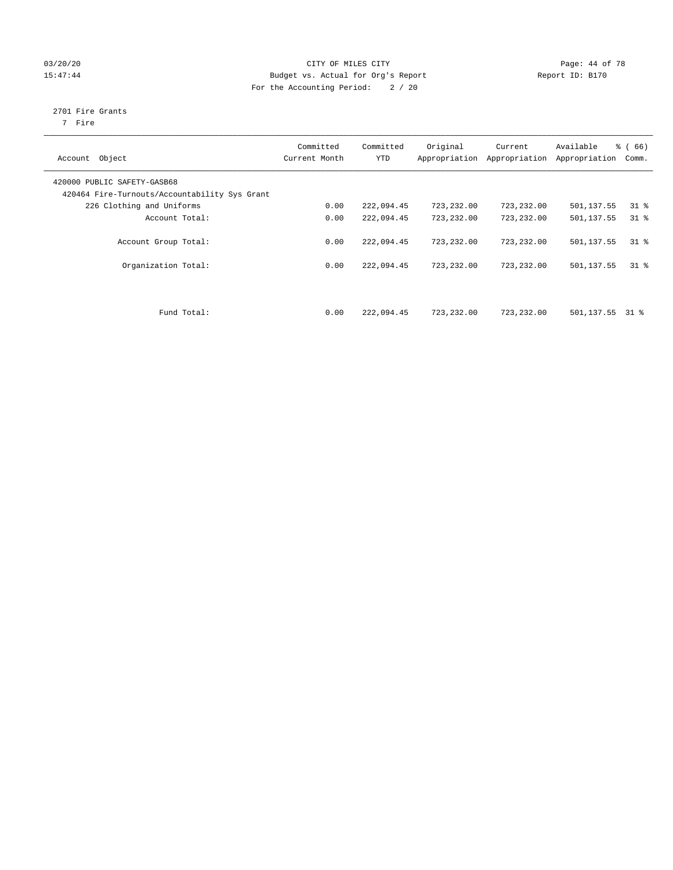# 03/20/20 Page: 44 of 78 15:47:44 Budget vs. Actual for Org's Report Report ID: B170 For the Accounting Period: 2 / 20

# 2701 Fire Grants

7 Fire

| Object<br>Account                                                            | Committed<br>Current Month | Committed<br><b>YTD</b> | Original<br>Appropriation | Current<br>Appropriation | Available<br>Appropriation | % (66)<br>Comm. |
|------------------------------------------------------------------------------|----------------------------|-------------------------|---------------------------|--------------------------|----------------------------|-----------------|
| 420000 PUBLIC SAFETY-GASB68<br>420464 Fire-Turnouts/Accountability Sys Grant |                            |                         |                           |                          |                            |                 |
| 226 Clothing and Uniforms                                                    | 0.00                       | 222,094.45              | 723,232.00                | 723,232.00               | 501,137.55                 | $31$ %          |
| Account Total:                                                               | 0.00                       | 222,094.45              | 723,232.00                | 723,232.00               | 501,137.55                 | $31$ %          |
| Account Group Total:                                                         | 0.00                       | 222,094.45              | 723, 232, 00              | 723,232.00               | 501,137.55                 | 318             |
| Organization Total:                                                          | 0.00                       | 222,094.45              | 723,232.00                | 723,232.00               | 501,137.55                 | 318             |
| Fund Total:                                                                  | 0.00                       | 222,094.45              | 723,232.00                | 723,232.00               | 501,137.55                 | 31 %            |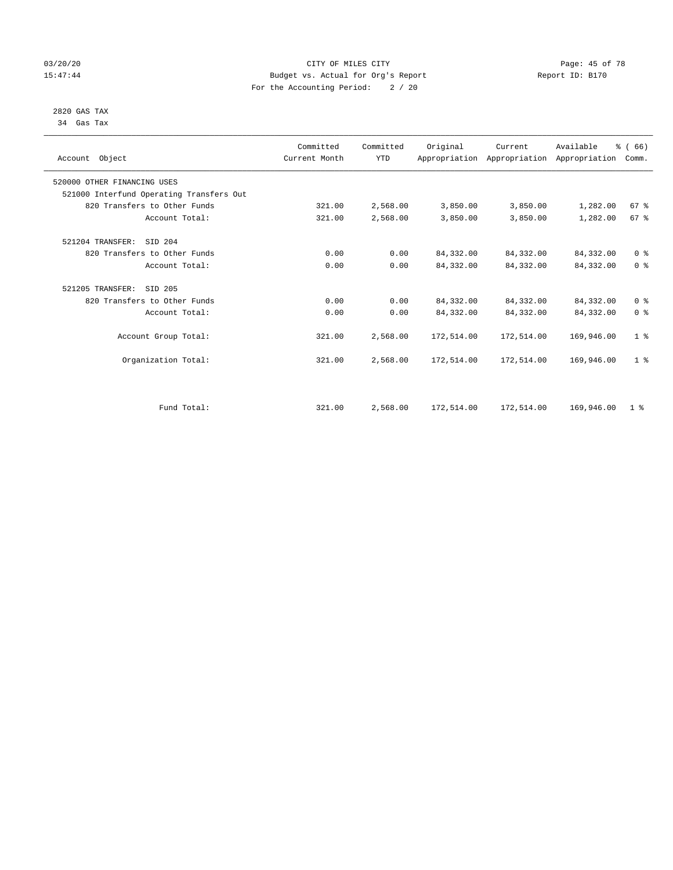# 03/20/20 Page: 45 of 78 15:47:44 Budget vs. Actual for Org's Report Report ID: B170 For the Accounting Period: 2 / 20

#### 2820 GAS TAX 34 Gas Tax

| Account Object                           | Committed<br>Current Month | Committed<br><b>YTD</b> | Original   | Current<br>Appropriation Appropriation Appropriation | Available  | % (66)<br>Comm. |
|------------------------------------------|----------------------------|-------------------------|------------|------------------------------------------------------|------------|-----------------|
| 520000 OTHER FINANCING USES              |                            |                         |            |                                                      |            |                 |
| 521000 Interfund Operating Transfers Out |                            |                         |            |                                                      |            |                 |
| 820 Transfers to Other Funds             | 321.00                     | 2,568.00                | 3,850.00   | 3,850.00                                             | 1,282.00   | 67%             |
| Account Total:                           | 321.00                     | 2,568.00                | 3,850.00   | 3,850.00                                             | 1,282.00   | 67 <sup>°</sup> |
| 521204 TRANSFER:<br>SID 204              |                            |                         |            |                                                      |            |                 |
| 820 Transfers to Other Funds             | 0.00                       | 0.00                    | 84, 332.00 | 84, 332.00                                           | 84,332.00  | 0 <sup>8</sup>  |
| Account Total:                           | 0.00                       | 0.00                    | 84, 332.00 | 84,332.00                                            | 84,332.00  | 0 <sup>8</sup>  |
| 521205 TRANSFER:<br>SID 205              |                            |                         |            |                                                      |            |                 |
| 820 Transfers to Other Funds             | 0.00                       | 0.00                    | 84, 332.00 | 84,332.00                                            | 84,332.00  | 0 <sup>8</sup>  |
| Account Total:                           | 0.00                       | 0.00                    | 84, 332.00 | 84,332.00                                            | 84,332.00  | 0 <sup>8</sup>  |
| Account Group Total:                     | 321.00                     | 2,568.00                | 172,514.00 | 172,514.00                                           | 169,946.00 | 1 <sup>8</sup>  |
| Organization Total:                      | 321.00                     | 2,568.00                | 172,514.00 | 172,514.00                                           | 169,946.00 | 1 <sup>8</sup>  |
|                                          |                            |                         |            |                                                      |            |                 |
| Fund Total:                              | 321.00                     | 2,568.00                | 172,514.00 | 172,514.00                                           | 169,946.00 | 1 <sup>8</sup>  |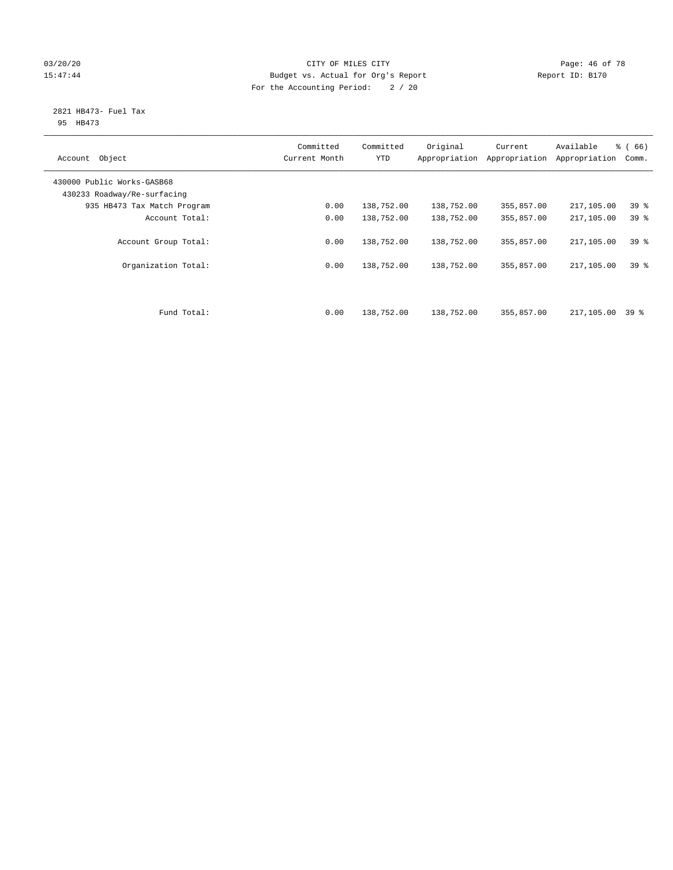# 03/20/20 Page: 46 of 78 15:47:44 Budget vs. Actual for Org's Report Report ID: B170 For the Accounting Period: 2 / 20

#### 2821 HB473- Fuel Tax 95 HB473

| Object<br>Account                                         | Committed<br>Current Month | Committed<br><b>YTD</b> | Original<br>Appropriation | Current<br>Appropriation | Available<br>Appropriation | % (66)<br>Comm. |
|-----------------------------------------------------------|----------------------------|-------------------------|---------------------------|--------------------------|----------------------------|-----------------|
| 430000 Public Works-GASB68<br>430233 Roadway/Re-surfacing |                            |                         |                           |                          |                            |                 |
| 935 HB473 Tax Match Program                               | 0.00                       | 138,752.00              | 138,752.00                | 355,857.00               | 217,105.00                 | 39 <sup>°</sup> |
| Account Total:                                            | 0.00                       | 138,752.00              | 138,752.00                | 355,857.00               | 217,105.00                 | 39 <sup>8</sup> |
| Account Group Total:                                      | 0.00                       | 138,752.00              | 138,752.00                | 355,857.00               | 217,105.00                 | 39%             |
| Organization Total:                                       | 0.00                       | 138,752.00              | 138,752.00                | 355,857.00               | 217,105.00                 | 39 <sup>8</sup> |
| Fund Total:                                               | 0.00                       | 138,752.00              | 138,752.00                | 355,857.00               | 217,105.00                 | 39 %            |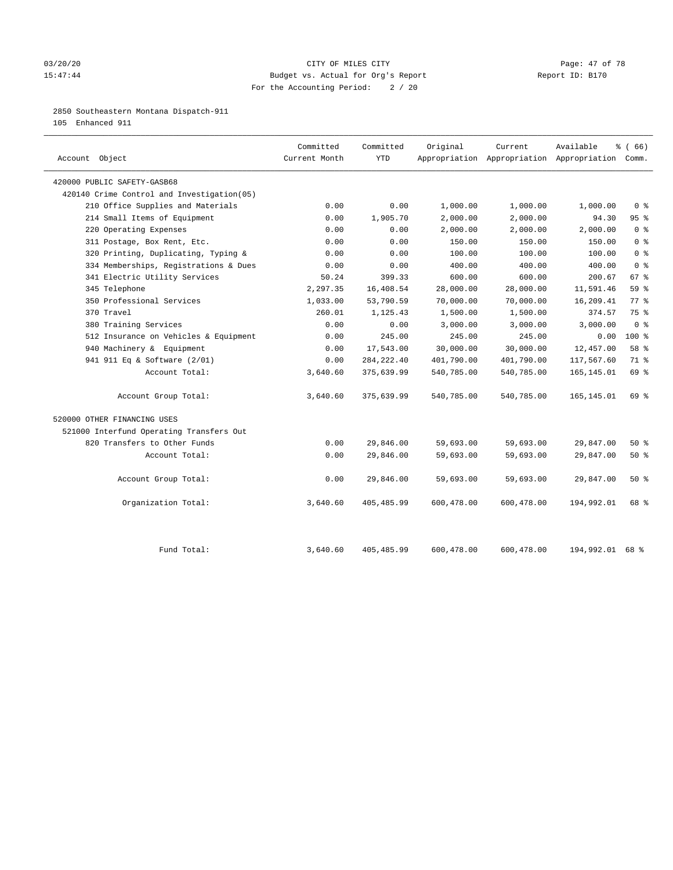# 03/20/20 Page: 47 of 78 15:47:44 Budget vs. Actual for Org's Report Report ID: B170 For the Accounting Period: 2 / 20

# 2850 Southeastern Montana Dispatch-911

105 Enhanced 911

| Account Object                             | Committed<br>Current Month | Committed<br><b>YTD</b> | Original   | Current    | Available<br>Appropriation Appropriation Appropriation Comm. | % (66)          |
|--------------------------------------------|----------------------------|-------------------------|------------|------------|--------------------------------------------------------------|-----------------|
| 420000 PUBLIC SAFETY-GASB68                |                            |                         |            |            |                                                              |                 |
| 420140 Crime Control and Investigation(05) |                            |                         |            |            |                                                              |                 |
| 210 Office Supplies and Materials          | 0.00                       | 0.00                    | 1,000.00   | 1,000.00   | 1,000.00                                                     | 0 <sup>8</sup>  |
| 214 Small Items of Equipment               | 0.00                       | 1,905.70                | 2,000.00   | 2,000.00   | 94.30                                                        | 95 <sup>8</sup> |
| 220 Operating Expenses                     | 0.00                       | 0.00                    | 2,000.00   | 2,000.00   | 2,000.00                                                     | 0 <sup>8</sup>  |
| 311 Postage, Box Rent, Etc.                | 0.00                       | 0.00                    | 150.00     | 150.00     | 150.00                                                       | 0 <sup>8</sup>  |
| 320 Printing, Duplicating, Typing &        | 0.00                       | 0.00                    | 100.00     | 100.00     | 100.00                                                       | 0 <sup>8</sup>  |
| 334 Memberships, Registrations & Dues      | 0.00                       | 0.00                    | 400.00     | 400.00     | 400.00                                                       | 0 <sup>8</sup>  |
| 341 Electric Utility Services              | 50.24                      | 399.33                  | 600.00     | 600.00     | 200.67                                                       | 67 %            |
| 345 Telephone                              | 2,297.35                   | 16,408.54               | 28,000.00  | 28,000.00  | 11,591.46                                                    | 59 %            |
| 350 Professional Services                  | 1,033.00                   | 53,790.59               | 70,000.00  | 70,000.00  | 16,209.41                                                    | 77.8            |
| 370 Travel                                 | 260.01                     | 1,125.43                | 1,500.00   | 1,500.00   | 374.57                                                       | 75 %            |
| 380 Training Services                      | 0.00                       | 0.00                    | 3,000.00   | 3,000.00   | 3,000.00                                                     | 0 <sup>8</sup>  |
| 512 Insurance on Vehicles & Equipment      | 0.00                       | 245.00                  | 245.00     | 245.00     | 0.00                                                         | $100*$          |
| 940 Machinery & Equipment                  | 0.00                       | 17,543.00               | 30,000.00  | 30,000.00  | 12,457.00                                                    | 58 %            |
| 941 911 Eq & Software (2/01)               | 0.00                       | 284, 222.40             | 401,790.00 | 401,790.00 | 117,567.60                                                   | 71 %            |
| Account Total:                             | 3,640.60                   | 375,639.99              | 540,785.00 | 540,785.00 | 165, 145.01                                                  | 69 %            |
| Account Group Total:                       | 3,640.60                   | 375,639.99              | 540,785.00 | 540,785.00 | 165,145.01                                                   | 69 %            |
| 520000 OTHER FINANCING USES                |                            |                         |            |            |                                                              |                 |
| 521000 Interfund Operating Transfers Out   |                            |                         |            |            |                                                              |                 |
| 820 Transfers to Other Funds               | 0.00                       | 29,846.00               | 59,693.00  | 59,693.00  | 29,847.00                                                    | 50%             |
| Account Total:                             | 0.00                       | 29,846.00               | 59,693.00  | 59,693.00  | 29,847.00                                                    | 50%             |
| Account Group Total:                       | 0.00                       | 29,846.00               | 59,693.00  | 59,693.00  | 29,847.00                                                    | 50%             |
| Organization Total:                        | 3,640.60                   | 405,485.99              | 600,478.00 | 600,478.00 | 194,992.01                                                   | 68 %            |
| Fund Total:                                | 3,640.60                   | 405, 485.99             | 600,478.00 | 600,478.00 | 194,992.01 68 %                                              |                 |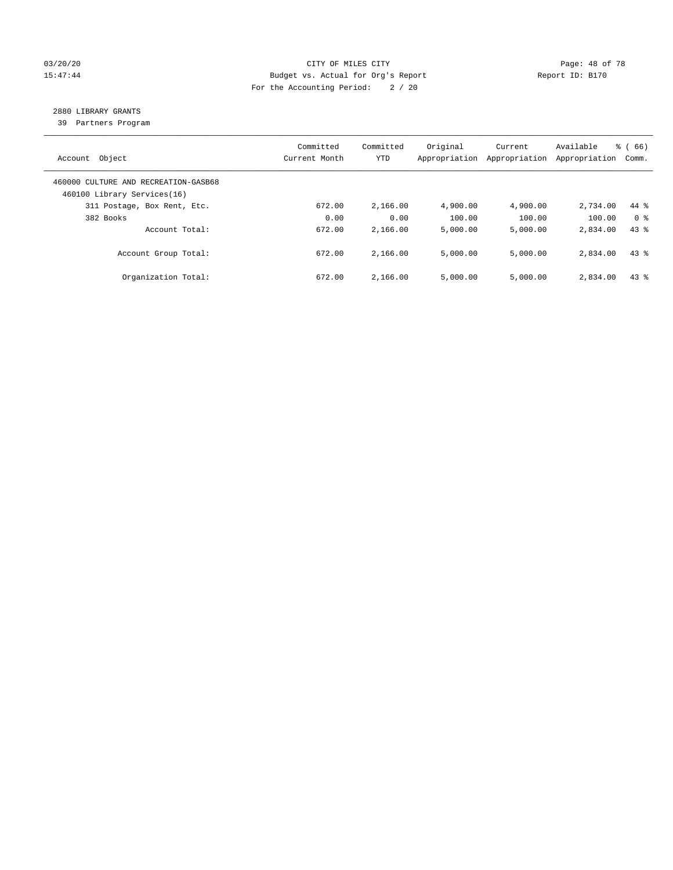# 03/20/20 Page: 48 of 78 15:47:44 Budget vs. Actual for Org's Report Report ID: B170 For the Accounting Period: 2 / 20

# 2880 LIBRARY GRANTS

39 Partners Program

| Account Object                                                      | Committed<br>Current Month | Committed<br><b>YTD</b> | Original<br>Appropriation | Current<br>Appropriation | Available<br>Appropriation | % (66)<br>Comm. |
|---------------------------------------------------------------------|----------------------------|-------------------------|---------------------------|--------------------------|----------------------------|-----------------|
| 460000 CULTURE AND RECREATION-GASB68<br>460100 Library Services(16) |                            |                         |                           |                          |                            |                 |
| 311 Postage, Box Rent, Etc.                                         | 672.00                     | 2,166.00                | 4,900.00                  | 4,900.00                 | 2,734.00                   | 44 %            |
| 382 Books                                                           | 0.00                       | 0.00                    | 100.00                    | 100.00                   | 100.00                     | 0 <sup>8</sup>  |
| Account Total:                                                      | 672.00                     | 2,166.00                | 5,000.00                  | 5,000.00                 | 2,834.00                   | $43*$           |
| Account Group Total:                                                | 672.00                     | 2,166.00                | 5,000.00                  | 5,000.00                 | 2,834.00                   | 43.8            |
| Organization Total:                                                 | 672.00                     | 2,166.00                | 5.000.00                  | 5,000.00                 | 2,834.00                   | $43*$           |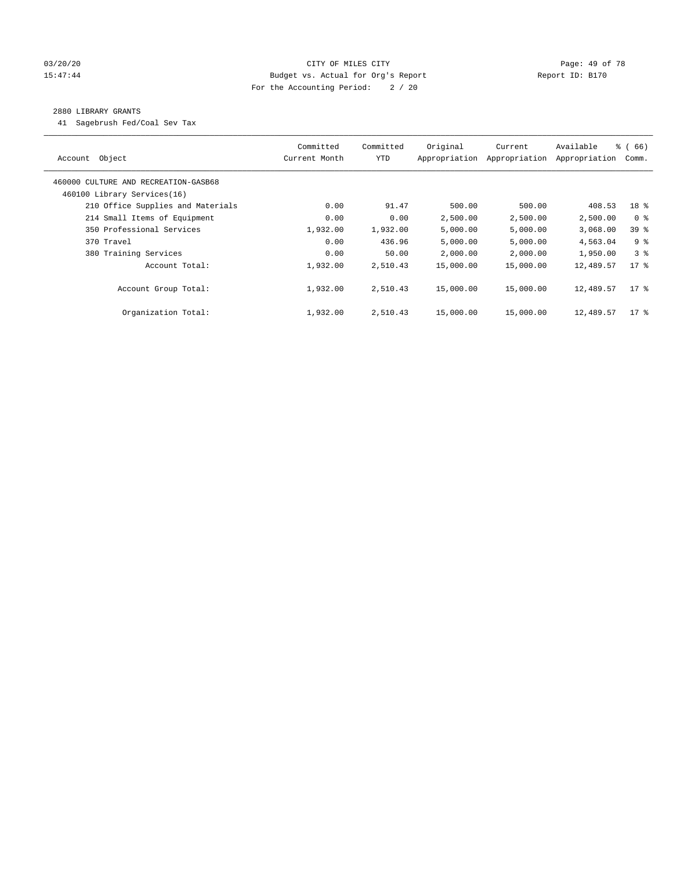# 03/20/20 Page: 49 of 78 15:47:44 Budget vs. Actual for Org's Report Report ID: B170 For the Accounting Period: 2 / 20

# 2880 LIBRARY GRANTS

41 Sagebrush Fed/Coal Sev Tax

| Object<br>Account                    | Committed<br>Current Month | Committed<br><b>YTD</b> | Original<br>Appropriation | Current<br>Appropriation | Available<br>Appropriation | % (66)<br>Comm. |
|--------------------------------------|----------------------------|-------------------------|---------------------------|--------------------------|----------------------------|-----------------|
| 460000 CULTURE AND RECREATION-GASB68 |                            |                         |                           |                          |                            |                 |
| 460100 Library Services(16)          |                            |                         |                           |                          |                            |                 |
| 210 Office Supplies and Materials    | 0.00                       | 91.47                   | 500.00                    | 500.00                   | 408.53                     | 18 %            |
| 214 Small Items of Equipment         | 0.00                       | 0.00                    | 2,500.00                  | 2,500.00                 | 2,500.00                   | 0 <sup>8</sup>  |
| 350 Professional Services            | 1,932.00                   | 1,932.00                | 5,000.00                  | 5,000.00                 | 3,068.00                   | 39 %            |
| 370 Travel                           | 0.00                       | 436.96                  | 5,000.00                  | 5,000.00                 | 4,563.04                   | 9 <sup>8</sup>  |
| 380 Training Services                | 0.00                       | 50.00                   | 2,000.00                  | 2,000.00                 | 1,950.00                   | 38              |
| Account Total:                       | 1,932.00                   | 2,510.43                | 15,000.00                 | 15,000.00                | 12,489.57                  | $17*$           |
| Account Group Total:                 | 1,932.00                   | 2,510.43                | 15,000.00                 | 15,000.00                | 12,489.57                  | $17*$           |
| Organization Total:                  | 1,932.00                   | 2,510.43                | 15,000.00                 | 15,000.00                | 12,489.57                  | $17$ %          |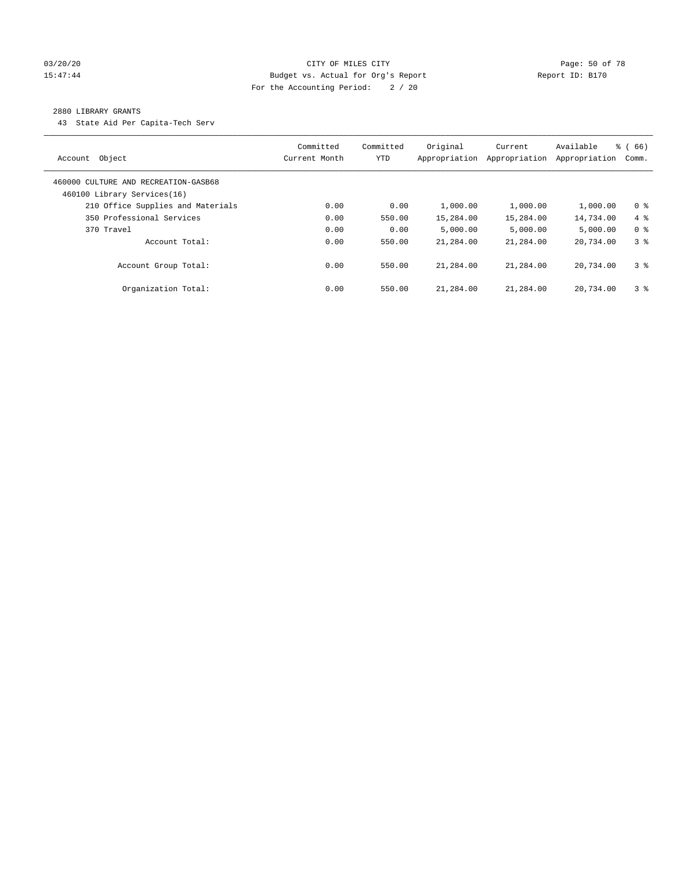# 03/20/20 Page: 50 of 78 15:47:44 Budget vs. Actual for Org's Report Report ID: B170 For the Accounting Period: 2 / 20

### 2880 LIBRARY GRANTS

43 State Aid Per Capita-Tech Serv

| Object<br>Account                                                   | Committed<br>Current Month | Committed<br><b>YTD</b> | Original<br>Appropriation | Current<br>Appropriation | Available<br>Appropriation | % (66)<br>Comm. |
|---------------------------------------------------------------------|----------------------------|-------------------------|---------------------------|--------------------------|----------------------------|-----------------|
| 460000 CULTURE AND RECREATION-GASB68<br>460100 Library Services(16) |                            |                         |                           |                          |                            |                 |
| 210 Office Supplies and Materials                                   | 0.00                       | 0.00                    | 1,000.00                  | 1,000.00                 | 1,000.00                   | 0 <sup>8</sup>  |
| 350 Professional Services                                           | 0.00                       | 550.00                  | 15,284.00                 | 15,284.00                | 14,734.00                  | $4\degree$      |
| 370 Travel                                                          | 0.00                       | 0.00                    | 5.000.00                  | 5,000.00                 | 5.000.00                   | 0 <sup>8</sup>  |
| Account Total:                                                      | 0.00                       | 550.00                  | 21,284.00                 | 21,284.00                | 20,734.00                  | 38              |
| Account Group Total:                                                | 0.00                       | 550.00                  | 21,284.00                 | 21,284.00                | 20,734.00                  | 3 <sup>8</sup>  |
| Organization Total:                                                 | 0.00                       | 550.00                  | 21,284.00                 | 21,284.00                | 20,734.00                  | 3 <sup>8</sup>  |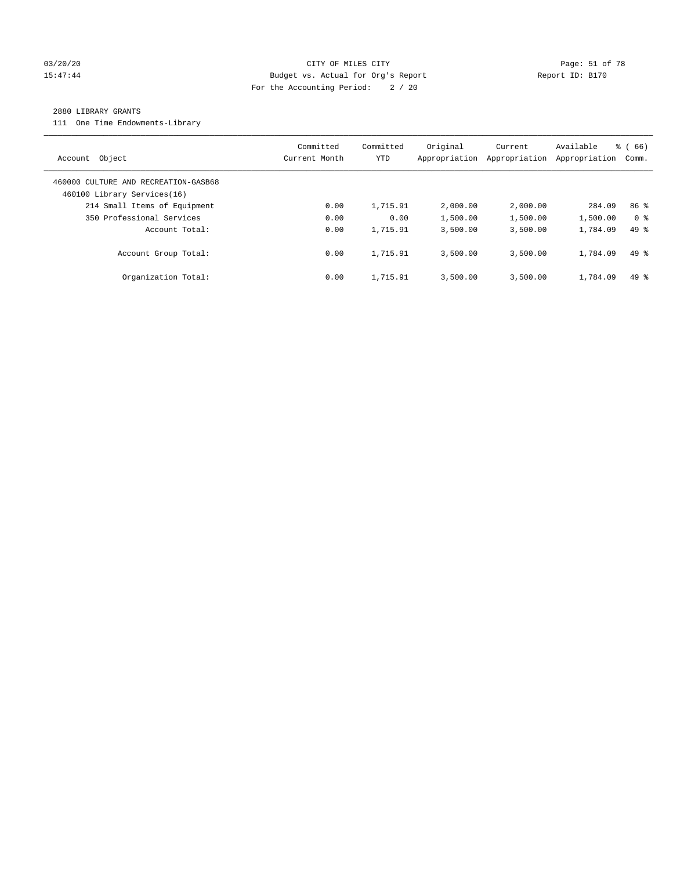# 03/20/20 Page: 51 of 78 CITY OF MILES CITY CONTROL PAGE: 51 of 78 15:47:44 Budget vs. Actual for Org's Report Report ID: B170 For the Accounting Period: 2 / 20

#### 2880 LIBRARY GRANTS

111 One Time Endowments-Library

| Object<br>Account                                                   | Committed<br>Current Month | Committed<br>YTD | Original<br>Appropriation | Current<br>Appropriation | Available<br>Appropriation | % (66)<br>Comm. |
|---------------------------------------------------------------------|----------------------------|------------------|---------------------------|--------------------------|----------------------------|-----------------|
| 460000 CULTURE AND RECREATION-GASB68<br>460100 Library Services(16) |                            |                  |                           |                          |                            |                 |
| 214 Small Items of Equipment                                        | 0.00                       | 1,715.91         | 2,000.00                  | 2,000.00                 | 284.09                     | 86 %            |
| 350 Professional Services                                           | 0.00                       | 0.00             | 1,500.00                  | 1,500.00                 | 1,500.00                   | 0 <sup>8</sup>  |
| Account Total:                                                      | 0.00                       | 1,715.91         | 3,500.00                  | 3,500.00                 | 1,784.09                   | $49*$           |
| Account Group Total:                                                | 0.00                       | 1,715.91         | 3,500.00                  | 3,500.00                 | 1,784.09                   | $49*$           |
| Organization Total:                                                 | 0.00                       | 1,715.91         | 3,500.00                  | 3,500.00                 | 1,784.09                   | $49*$           |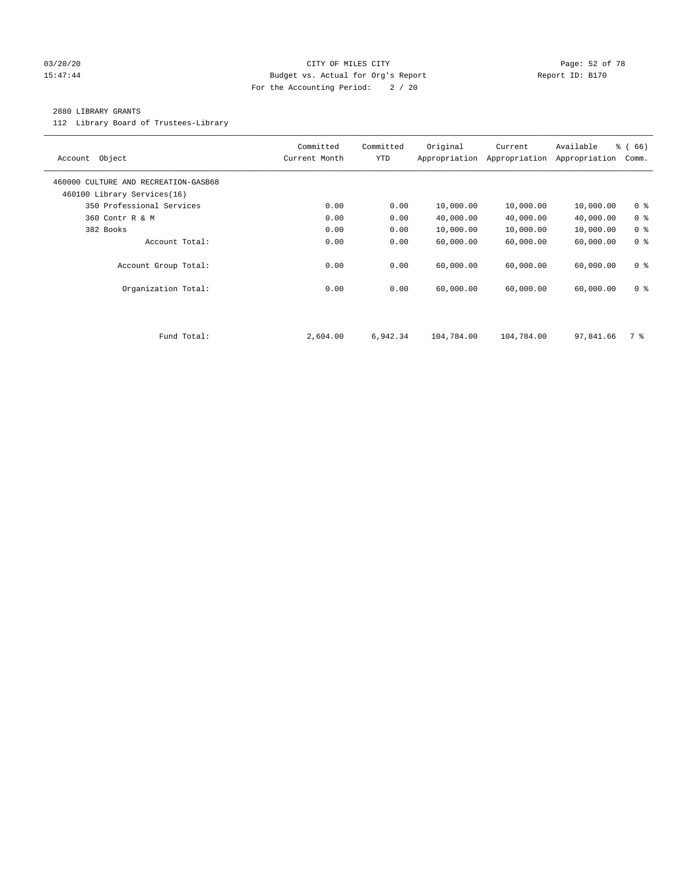# 03/20/20 Page: 52 of 78 15:47:44 Budget vs. Actual for Org's Report Report ID: B170 For the Accounting Period: 2 / 20

# 2880 LIBRARY GRANTS

112 Library Board of Trustees-Library

| Object<br>Account                                                   | Committed<br>Current Month | Committed<br><b>YTD</b> | Original<br>Appropriation | Current<br>Appropriation | Available<br>Appropriation | % (66)<br>Comm. |
|---------------------------------------------------------------------|----------------------------|-------------------------|---------------------------|--------------------------|----------------------------|-----------------|
| 460000 CULTURE AND RECREATION-GASB68<br>460100 Library Services(16) |                            |                         |                           |                          |                            |                 |
| 350 Professional Services                                           | 0.00                       | 0.00                    | 10,000.00                 | 10,000.00                | 10,000.00                  | 0 <sup>8</sup>  |
| 360 Contr R & M                                                     | 0.00                       | 0.00                    | 40,000.00                 | 40,000.00                | 40,000.00                  | 0 <sup>8</sup>  |
| 382 Books                                                           | 0.00                       | 0.00                    | 10,000.00                 | 10,000.00                | 10,000.00                  | 0 <sup>8</sup>  |
| Account Total:                                                      | 0.00                       | 0.00                    | 60,000.00                 | 60,000.00                | 60,000.00                  | 0 <sup>8</sup>  |
| Account Group Total:                                                | 0.00                       | 0.00                    | 60,000.00                 | 60,000.00                | 60,000.00                  | 0 <sub>8</sub>  |
| Organization Total:                                                 | 0.00                       | 0.00                    | 60,000.00                 | 60,000.00                | 60,000.00                  | 0 <sup>8</sup>  |
|                                                                     |                            |                         |                           |                          |                            |                 |
| Fund Total:                                                         | 2,604.00                   | 6,942.34                | 104,784.00                | 104,784.00               | 97,841.66                  | 7 %             |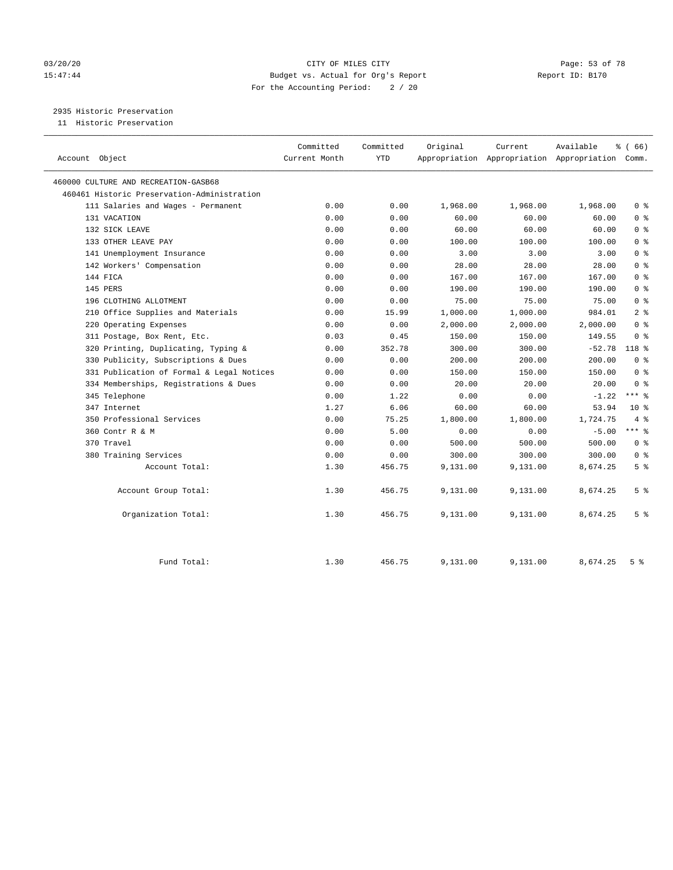# 03/20/20 Page: 53 of 78 15:47:44 Budget vs. Actual for Org's Report Report ID: B170 For the Accounting Period: 2 / 20

2935 Historic Preservation

11 Historic Preservation

| Account Object                              | Committed<br>Current Month | Committed<br><b>YTD</b> | Original | Current  | Available<br>Appropriation Appropriation Appropriation Comm. | % (66)         |
|---------------------------------------------|----------------------------|-------------------------|----------|----------|--------------------------------------------------------------|----------------|
| 460000 CULTURE AND RECREATION-GASB68        |                            |                         |          |          |                                                              |                |
| 460461 Historic Preservation-Administration |                            |                         |          |          |                                                              |                |
| 111 Salaries and Wages - Permanent          | 0.00                       | 0.00                    | 1,968.00 | 1,968.00 | 1,968.00                                                     | 0 <sup>8</sup> |
| 131 VACATION                                | 0.00                       | 0.00                    | 60.00    | 60.00    | 60.00                                                        | 0 <sup>8</sup> |
| 132 SICK LEAVE                              | 0.00                       | 0.00                    | 60.00    | 60.00    | 60.00                                                        | 0 <sup>8</sup> |
| 133 OTHER LEAVE PAY                         | 0.00                       | 0.00                    | 100.00   | 100.00   | 100.00                                                       | 0 <sup>8</sup> |
| 141 Unemployment Insurance                  | 0.00                       | 0.00                    | 3.00     | 3.00     | 3.00                                                         | 0 <sup>8</sup> |
| 142 Workers' Compensation                   | 0.00                       | 0.00                    | 28.00    | 28.00    | 28.00                                                        | 0 <sup>8</sup> |
| 144 FICA                                    | 0.00                       | 0.00                    | 167.00   | 167.00   | 167.00                                                       | 0 <sup>8</sup> |
| 145 PERS                                    | 0.00                       | 0.00                    | 190.00   | 190.00   | 190.00                                                       | 0 <sup>8</sup> |
| 196 CLOTHING ALLOTMENT                      | 0.00                       | 0.00                    | 75.00    | 75.00    | 75.00                                                        | 0 <sup>8</sup> |
| 210 Office Supplies and Materials           | 0.00                       | 15.99                   | 1,000.00 | 1,000.00 | 984.01                                                       | 2 <sup>8</sup> |
| 220 Operating Expenses                      | 0.00                       | 0.00                    | 2,000.00 | 2,000.00 | 2,000.00                                                     | 0 <sup>8</sup> |
| 311 Postage, Box Rent, Etc.                 | 0.03                       | 0.45                    | 150.00   | 150.00   | 149.55                                                       | 0 <sup>8</sup> |
| 320 Printing, Duplicating, Typing &         | 0.00                       | 352.78                  | 300.00   | 300.00   | $-52.78$                                                     | 118 %          |
| 330 Publicity, Subscriptions & Dues         | 0.00                       | 0.00                    | 200.00   | 200.00   | 200.00                                                       | 0 <sup>8</sup> |
| 331 Publication of Formal & Legal Notices   | 0.00                       | 0.00                    | 150.00   | 150.00   | 150.00                                                       | 0 <sup>8</sup> |
| 334 Memberships, Registrations & Dues       | 0.00                       | 0.00                    | 20.00    | 20.00    | 20.00                                                        | 0 <sup>8</sup> |
| 345 Telephone                               | 0.00                       | 1.22                    | 0.00     | 0.00     | $-1.22$                                                      | $***$ $-$      |
| 347 Internet                                | 1.27                       | 6.06                    | 60.00    | 60.00    | 53.94                                                        | $10*$          |
| 350 Professional Services                   | 0.00                       | 75.25                   | 1,800.00 | 1,800.00 | 1,724.75                                                     | 4%             |
| 360 Contr R & M                             | 0.00                       | 5.00                    | 0.00     | 0.00     | $-5.00$                                                      | $***$ 8        |
| 370 Travel                                  | 0.00                       | 0.00                    | 500.00   | 500.00   | 500.00                                                       | 0 <sup>8</sup> |
| 380 Training Services                       | 0.00                       | 0.00                    | 300.00   | 300.00   | 300.00                                                       | 0 <sup>8</sup> |
| Account Total:                              | 1.30                       | 456.75                  | 9,131.00 | 9,131.00 | 8,674.25                                                     | 5 <sup>8</sup> |
| Account Group Total:                        | 1.30                       | 456.75                  | 9,131.00 | 9,131.00 | 8,674.25                                                     | 5 <sup>°</sup> |
| Organization Total:                         | 1.30                       | 456.75                  | 9,131.00 | 9,131.00 | 8,674.25                                                     | 5 <sup>°</sup> |
| Fund Total:                                 | 1.30                       | 456.75                  | 9,131.00 | 9,131.00 | 8,674.25                                                     | 5 <sup>8</sup> |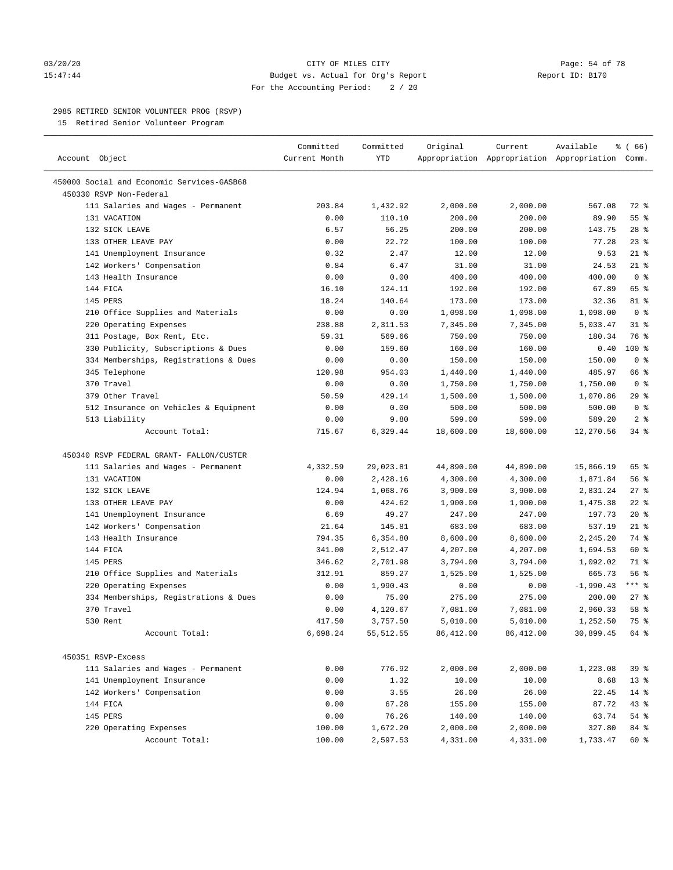### 03/20/20 CITY OF MILES CITY Page: 54 of 78 15:47:44 Budget vs. Actual for Org's Report Report ID: B170 For the Accounting Period: 2 / 20

————————————————————————————————————————————————————————————————————————————————————————————————————————————————————————————————————

# 2985 RETIRED SENIOR VOLUNTEER PROG (RSVP)

15 Retired Senior Volunteer Program

|                                            | Committed     | Committed  | Original  | Current                                         | Available   | % (66)         |
|--------------------------------------------|---------------|------------|-----------|-------------------------------------------------|-------------|----------------|
| Account Object                             | Current Month | YTD        |           | Appropriation Appropriation Appropriation Comm. |             |                |
| 450000 Social and Economic Services-GASB68 |               |            |           |                                                 |             |                |
| 450330 RSVP Non-Federal                    |               |            |           |                                                 |             |                |
| 111 Salaries and Wages - Permanent         | 203.84        | 1,432.92   | 2,000.00  | 2,000.00                                        | 567.08      | 72 %           |
| 131 VACATION                               | 0.00          | 110.10     | 200.00    | 200.00                                          | 89.90       | 55 %           |
| 132 SICK LEAVE                             | 6.57          | 56.25      | 200.00    | 200.00                                          | 143.75      | $28$ %         |
| 133 OTHER LEAVE PAY                        | 0.00          | 22.72      | 100.00    | 100.00                                          | 77.28       | $23$ %         |
| 141 Unemployment Insurance                 | 0.32          | 2.47       | 12.00     | 12.00                                           | 9.53        | $21$ %         |
| 142 Workers' Compensation                  | 0.84          | 6.47       | 31.00     | 31.00                                           | 24.53       | $21$ %         |
| 143 Health Insurance                       | 0.00          | 0.00       | 400.00    | 400.00                                          | 400.00      | 0 <sup>8</sup> |
| 144 FICA                                   | 16.10         | 124.11     | 192.00    | 192.00                                          | 67.89       | 65 %           |
| 145 PERS                                   | 18.24         | 140.64     | 173.00    | 173.00                                          | 32.36       | 81 %           |
| 210 Office Supplies and Materials          | 0.00          | 0.00       | 1,098.00  | 1,098.00                                        | 1,098.00    | 0 <sup>8</sup> |
|                                            | 238.88        | 2,311.53   | 7,345.00  | 7,345.00                                        | 5,033.47    | $31$ %         |
| 220 Operating Expenses                     | 59.31         | 569.66     |           | 750.00                                          | 180.34      | 76 %           |
| 311 Postage, Box Rent, Etc.                |               |            | 750.00    |                                                 |             |                |
| 330 Publicity, Subscriptions & Dues        | 0.00          | 159.60     | 160.00    | 160.00                                          | 0.40        | $100*$         |
| 334 Memberships, Registrations & Dues      | 0.00          | 0.00       | 150.00    | 150.00                                          | 150.00      | 0 <sup>8</sup> |
| 345 Telephone                              | 120.98        | 954.03     | 1,440.00  | 1,440.00                                        | 485.97      | 66 %           |
| 370 Travel                                 | 0.00          | 0.00       | 1,750.00  | 1,750.00                                        | 1,750.00    | 0 <sup>8</sup> |
| 379 Other Travel                           | 50.59         | 429.14     | 1,500.00  | 1,500.00                                        | 1,070.86    | 29%            |
| 512 Insurance on Vehicles & Equipment      | 0.00          | 0.00       | 500.00    | 500.00                                          | 500.00      | 0 <sup>8</sup> |
| 513 Liability                              | 0.00          | 9.80       | 599.00    | 599.00                                          | 589.20      | 2 <sup>°</sup> |
| Account Total:                             | 715.67        | 6,329.44   | 18,600.00 | 18,600.00                                       | 12,270.56   | 34 %           |
| 450340 RSVP FEDERAL GRANT- FALLON/CUSTER   |               |            |           |                                                 |             |                |
| 111 Salaries and Wages - Permanent         | 4,332.59      | 29,023.81  | 44,890.00 | 44,890.00                                       | 15,866.19   | 65 %           |
| 131 VACATION                               | 0.00          | 2,428.16   | 4,300.00  | 4,300.00                                        | 1,871.84    | 56%            |
| 132 SICK LEAVE                             | 124.94        | 1,068.76   | 3,900.00  | 3,900.00                                        | 2,831.24    | $27$ %         |
| 133 OTHER LEAVE PAY                        | 0.00          | 424.62     | 1,900.00  | 1,900.00                                        | 1,475.38    | $22$ %         |
| 141 Unemployment Insurance                 | 6.69          | 49.27      | 247.00    | 247.00                                          | 197.73      | $20*$          |
| 142 Workers' Compensation                  | 21.64         | 145.81     | 683.00    | 683.00                                          | 537.19      | $21$ %         |
| 143 Health Insurance                       | 794.35        | 6,354.80   | 8,600.00  | 8,600.00                                        | 2,245.20    | 74 %           |
| 144 FICA                                   | 341.00        | 2,512.47   | 4,207.00  | 4,207.00                                        | 1,694.53    | 60 %           |
| 145 PERS                                   | 346.62        | 2,701.98   | 3,794.00  | 3,794.00                                        | 1,092.02    | 71 %           |
| 210 Office Supplies and Materials          | 312.91        | 859.27     | 1,525.00  | 1,525.00                                        | 665.73      | 56%            |
| 220 Operating Expenses                     | 0.00          | 1,990.43   | 0.00      | 0.00                                            | $-1,990.43$ | $***$ $-$      |
| 334 Memberships, Registrations & Dues      | 0.00          | 75.00      | 275.00    | 275.00                                          | 200.00      | $27$ %         |
| 370 Travel                                 | 0.00          | 4,120.67   | 7,081.00  | 7,081.00                                        | 2,960.33    | 58 %           |
| 530 Rent                                   | 417.50        | 3,757.50   | 5,010.00  | 5,010.00                                        | 1,252.50    | 75 %           |
| Account Total:                             | 6,698.24      | 55, 512.55 | 86,412.00 | 86,412.00                                       | 30,899.45   | 64 %           |
|                                            |               |            |           |                                                 |             |                |
| 450351 RSVP-Excess                         |               |            |           |                                                 |             |                |
| 111 Salaries and Wages - Permanent         | 0.00          | 776.92     | 2,000.00  | 2,000.00                                        | 1,223.08    | 39%            |
| 141 Unemployment Insurance                 | 0.00          | 1.32       | 10.00     | 10.00                                           | 8.68        | $13*$          |
| 142 Workers' Compensation                  | 0.00          | 3.55       | 26.00     | 26.00                                           | 22.45       | $14$ %         |
| 144 FICA                                   | 0.00          | 67.28      | 155.00    | 155.00                                          | 87.72       | 43 %           |
| 145 PERS                                   | 0.00          | 76.26      | 140.00    | 140.00                                          | 63.74       | $54$ %         |
| 220 Operating Expenses                     | 100.00        | 1,672.20   | 2,000.00  | 2,000.00                                        | 327.80      | 84 %           |
| Account Total:                             | 100.00        | 2,597.53   | 4,331.00  | 4,331.00                                        | 1,733.47    | 60 %           |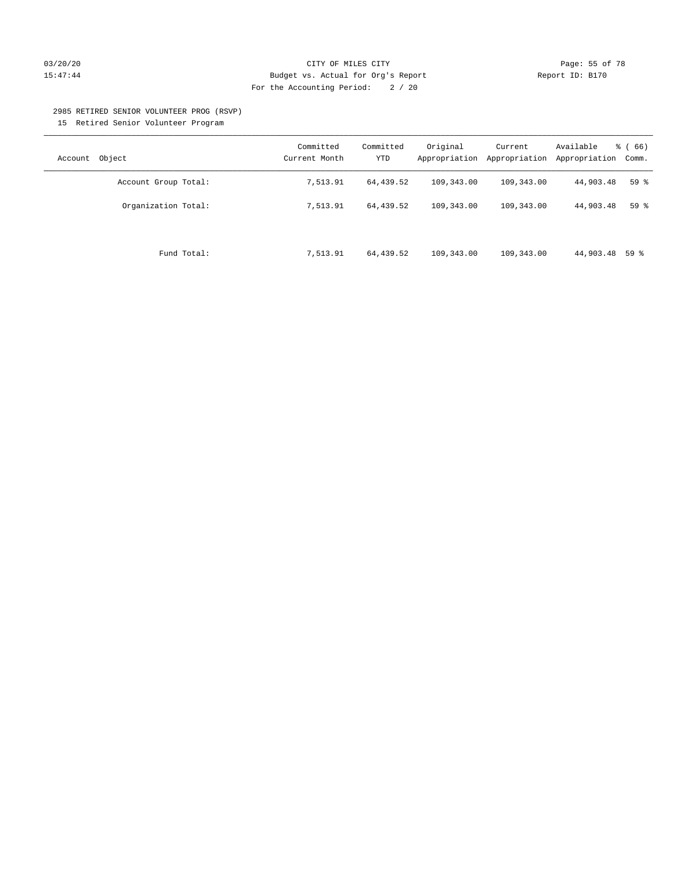# 03/20/20 **CITY OF MILES CITY CITY CITY Page: 55 of 78** 15:47:44 Budget vs. Actual for Org's Report Report ID: B170 For the Accounting Period: 2 / 20

#### 2985 RETIRED SENIOR VOLUNTEER PROG (RSVP)

15 Retired Senior Volunteer Program

| Object<br>Account    | Committed<br>Current Month | Committed<br><b>YTD</b> | Original<br>Appropriation | Current<br>Appropriation | Available<br>Appropriation | % (66)<br>Comm. |
|----------------------|----------------------------|-------------------------|---------------------------|--------------------------|----------------------------|-----------------|
| Account Group Total: | 7,513.91                   | 64,439.52               | 109,343.00                | 109,343.00               | 44,903.48                  | 59 <sup>°</sup> |
| Organization Total:  | 7,513.91                   | 64,439.52               | 109,343.00                | 109,343.00               | 44,903.48                  | 59%             |
| Fund Total:          | 7,513.91                   | 64,439.52               | 109,343.00                | 109,343.00               | 44,903.48 59 %             |                 |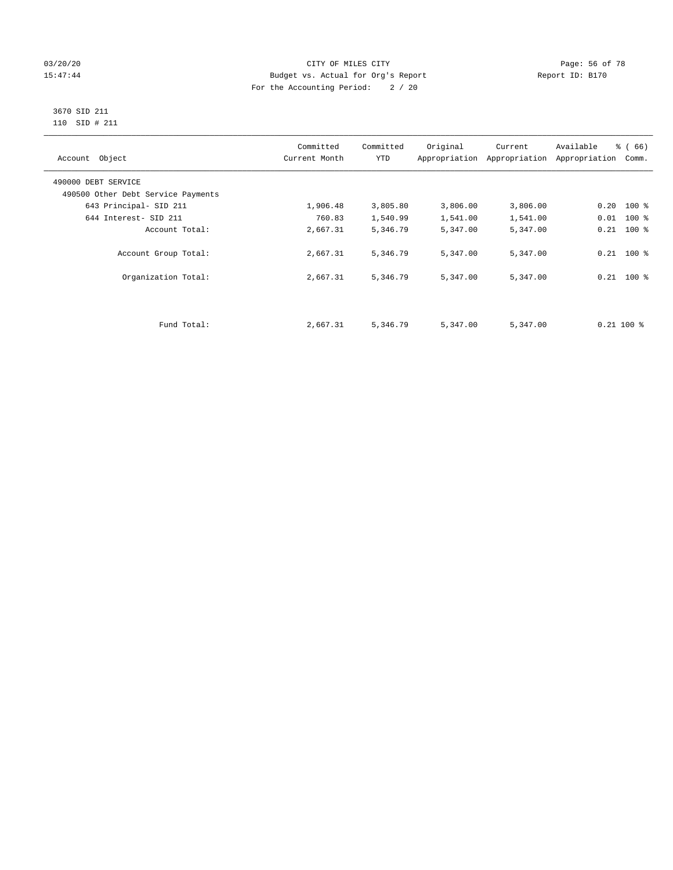# 03/20/20 Page: 56 of 78 15:47:44 Budget vs. Actual for Org's Report Report ID: B170 For the Accounting Period: 2 / 20

#### 3670 SID 211 110 SID # 211

| Account Object                     | Committed<br>Current Month | Committed<br><b>YTD</b> | Original | Current<br>Appropriation Appropriation | Available<br>Appropriation | % (66)<br>Comm. |
|------------------------------------|----------------------------|-------------------------|----------|----------------------------------------|----------------------------|-----------------|
| 490000 DEBT SERVICE                |                            |                         |          |                                        |                            |                 |
| 490500 Other Debt Service Payments |                            |                         |          |                                        |                            |                 |
| 643 Principal- SID 211             | 1,906.48                   | 3,805.80                | 3,806.00 | 3,806.00                               | $0.20$ 100 %               |                 |
| 644 Interest- SID 211              | 760.83                     | 1,540.99                | 1,541.00 | 1,541.00                               | $0.01$ 100 %               |                 |
| Account Total:                     | 2,667.31                   | 5,346.79                | 5,347.00 | 5,347.00                               | $0.21$ 100 %               |                 |
| Account Group Total:               | 2,667.31                   | 5,346.79                | 5,347.00 | 5,347.00                               | $0.21$ 100 %               |                 |
| Organization Total:                | 2,667.31                   | 5,346.79                | 5,347.00 | 5,347.00                               | $0.21$ 100 %               |                 |
|                                    |                            |                         |          |                                        |                            |                 |
| Fund Total:                        | 2,667.31                   | 5,346.79                | 5,347.00 | 5,347.00                               | $0.21$ 100 %               |                 |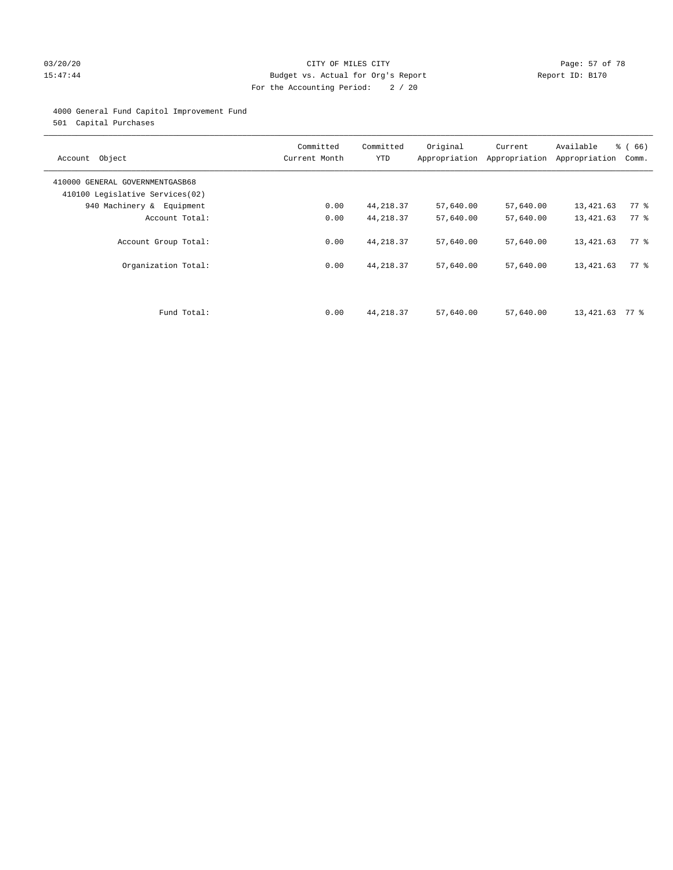# 03/20/20 Page: 57 of 78 15:47:44 Budget vs. Actual for Org's Report Report ID: B170 For the Accounting Period: 2 / 20

# 4000 General Fund Capitol Improvement Fund

501 Capital Purchases

| Account Object                                                     | Committed<br>Current Month | Committed<br><b>YTD</b>  | Original<br>Appropriation | Current<br>Appropriation | Available<br>Appropriation | % (66)<br>Comm.    |
|--------------------------------------------------------------------|----------------------------|--------------------------|---------------------------|--------------------------|----------------------------|--------------------|
| 410000 GENERAL GOVERNMENTGASB68<br>410100 Legislative Services(02) |                            |                          |                           |                          |                            |                    |
| 940 Machinery & Equipment                                          | 0.00                       | 44,218.37                | 57,640.00                 | 57,640.00                | 13,421.63                  | $77$ $\frac{6}{9}$ |
| Account Total:                                                     | 0.00                       | 44, 218.37               | 57,640.00                 | 57,640.00                | 13,421.63                  | 77 %               |
| Account Group Total:<br>Organization Total:                        | 0.00<br>0.00               | 44, 218.37<br>44, 218.37 | 57,640.00<br>57,640.00    | 57,640.00<br>57,640.00   | 13,421.63<br>13,421.63     | 77.8<br>77.8       |
| Fund Total:                                                        | 0.00                       | 44, 218.37               | 57,640.00                 | 57,640.00                | 13,421.63                  | 77 %               |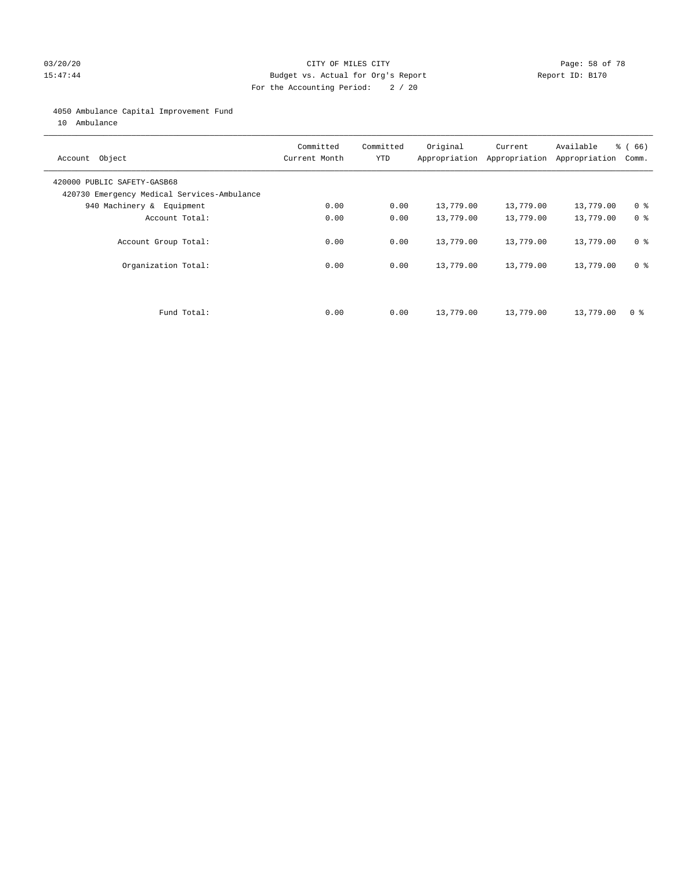# 03/20/20 Page: 58 of 78 15:47:44 Budget vs. Actual for Org's Report Report ID: B170 For the Accounting Period: 2 / 20

# 4050 Ambulance Capital Improvement Fund

10 Ambulance

| Account Object                                                             | Committed<br>Current Month | Committed<br><b>YTD</b> | Original  | Current<br>Appropriation Appropriation | Available<br>Appropriation | % (66)<br>Comm. |
|----------------------------------------------------------------------------|----------------------------|-------------------------|-----------|----------------------------------------|----------------------------|-----------------|
| 420000 PUBLIC SAFETY-GASB68<br>420730 Emergency Medical Services-Ambulance |                            |                         |           |                                        |                            |                 |
| 940 Machinery & Equipment                                                  | 0.00                       | 0.00                    | 13,779.00 | 13,779.00                              | 13,779.00                  | 0 <sup>8</sup>  |
| Account Total:                                                             | 0.00                       | 0.00                    | 13,779.00 | 13,779.00                              | 13,779.00                  | 0 <sup>8</sup>  |
| Account Group Total:                                                       | 0.00                       | 0.00                    | 13,779.00 | 13,779.00                              | 13,779.00                  | 0 <sup>8</sup>  |
| Organization Total:                                                        | 0.00                       | 0.00                    | 13,779.00 | 13,779.00                              | 13,779.00                  | 0 <sup>8</sup>  |
|                                                                            |                            |                         |           |                                        |                            |                 |
| Fund Total:                                                                | 0.00                       | 0.00                    | 13,779.00 | 13,779.00                              | 13,779.00                  | 0 %             |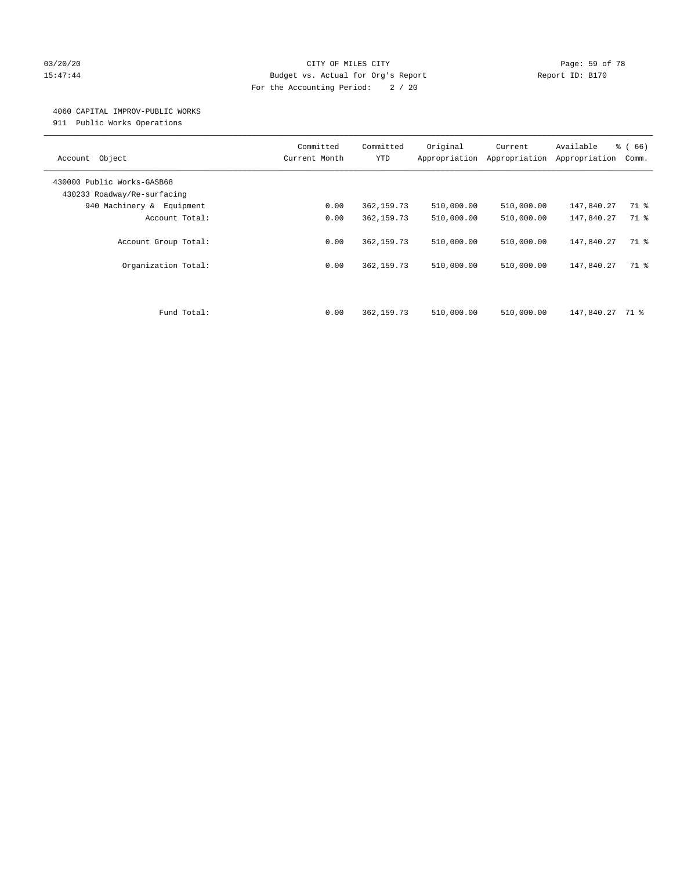# 03/20/20 Page: 59 of 78 15:47:44 Budget vs. Actual for Org's Report Report ID: B170 For the Accounting Period: 2 / 20

### 4060 CAPITAL IMPROV-PUBLIC WORKS

911 Public Works Operations

| Object<br>Account                                         | Committed<br>Current Month | Committed<br><b>YTD</b>   | Original<br>Appropriation | Current<br>Appropriation | Available<br>Appropriation | % (66)<br>Comm. |
|-----------------------------------------------------------|----------------------------|---------------------------|---------------------------|--------------------------|----------------------------|-----------------|
| 430000 Public Works-GASB68<br>430233 Roadway/Re-surfacing |                            |                           |                           |                          |                            |                 |
| 940 Machinery & Equipment                                 | 0.00                       | 362, 159.73               | 510,000.00                | 510,000.00               | 147,840.27                 | 71 %            |
| Account Total:                                            | 0.00                       | 362, 159.73               | 510,000.00                | 510,000.00               | 147,840.27                 | 71 %            |
| Account Group Total:<br>Organization Total:               | 0.00<br>0.00               | 362,159.73<br>362, 159.73 | 510,000.00<br>510,000.00  | 510,000.00<br>510,000.00 | 147,840.27<br>147,840.27   | 71 %<br>71 %    |
| Fund Total:                                               | 0.00                       | 362, 159.73               | 510,000.00                | 510,000.00               | 147,840.27                 | 71 %            |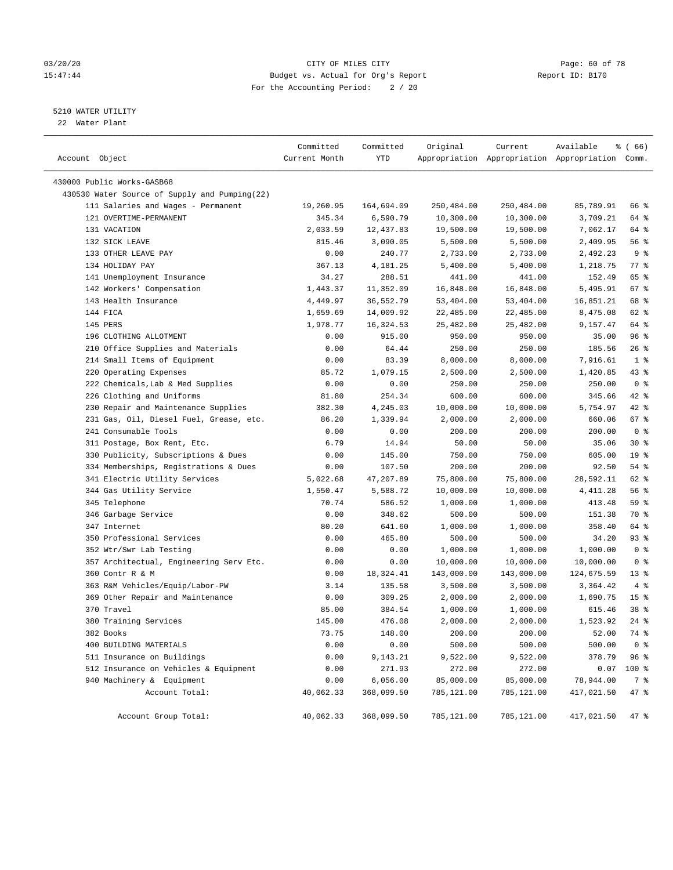# 03/20/20 Page: 60 of 78 15:47:44 Budget vs. Actual for Org's Report Report ID: B170 For the Accounting Period: 2 / 20

————————————————————————————————————————————————————————————————————————————————————————————————————————————————————————————————————

# 5210 WATER UTILITY

22 Water Plant

|                                               | Committed     | Committed  | Original   | Current    | Available                                       | % (66)          |
|-----------------------------------------------|---------------|------------|------------|------------|-------------------------------------------------|-----------------|
| Account Object                                | Current Month | YTD        |            |            | Appropriation Appropriation Appropriation Comm. |                 |
| 430000 Public Works-GASB68                    |               |            |            |            |                                                 |                 |
| 430530 Water Source of Supply and Pumping(22) |               |            |            |            |                                                 |                 |
| 111 Salaries and Wages - Permanent            | 19,260.95     | 164,694.09 | 250,484.00 | 250,484.00 | 85,789.91                                       | 66 %            |
| 121 OVERTIME-PERMANENT                        | 345.34        | 6,590.79   | 10,300.00  | 10,300.00  | 3,709.21                                        | 64 %            |
| 131 VACATION                                  | 2,033.59      | 12,437.83  | 19,500.00  | 19,500.00  | 7,062.17                                        | 64 %            |
| 132 SICK LEAVE                                | 815.46        | 3,090.05   | 5,500.00   | 5,500.00   | 2,409.95                                        | 56 %            |
| 133 OTHER LEAVE PAY                           | 0.00          | 240.77     | 2,733.00   | 2,733.00   | 2,492.23                                        | 9%              |
| 134 HOLIDAY PAY                               | 367.13        | 4,181.25   | 5,400.00   | 5,400.00   | 1,218.75                                        | $77$ $%$        |
| 141 Unemployment Insurance                    | 34.27         | 288.51     | 441.00     | 441.00     | 152.49                                          | 65 %            |
| 142 Workers' Compensation                     | 1,443.37      | 11,352.09  | 16,848.00  | 16,848.00  | 5,495.91                                        | 67%             |
| 143 Health Insurance                          | 4,449.97      | 36,552.79  | 53,404.00  | 53,404.00  | 16,851.21                                       | 68 %            |
| 144 FICA                                      | 1,659.69      | 14,009.92  | 22,485.00  | 22,485.00  | 8,475.08                                        | 62 %            |
| 145 PERS                                      | 1,978.77      | 16,324.53  | 25,482.00  | 25,482.00  | 9,157.47                                        | 64 %            |
| 196 CLOTHING ALLOTMENT                        | 0.00          | 915.00     | 950.00     | 950.00     | 35.00                                           | 96%             |
| 210 Office Supplies and Materials             | 0.00          | 64.44      | 250.00     | 250.00     | 185.56                                          | $26$ %          |
| 214 Small Items of Equipment                  | 0.00          | 83.39      | 8,000.00   | 8,000.00   | 7,916.61                                        | 1 <sup>8</sup>  |
| 220 Operating Expenses                        | 85.72         | 1,079.15   | 2,500.00   | 2,500.00   | 1,420.85                                        | 43 %            |
| 222 Chemicals, Lab & Med Supplies             | 0.00          | 0.00       | 250.00     | 250.00     | 250.00                                          | 0 <sup>8</sup>  |
| 226 Clothing and Uniforms                     | 81.80         | 254.34     | 600.00     | 600.00     | 345.66                                          | $42$ %          |
| 230 Repair and Maintenance Supplies           | 382.30        | 4,245.03   | 10,000.00  | 10,000.00  | 5,754.97                                        | $42$ %          |
| 231 Gas, Oil, Diesel Fuel, Grease, etc.       | 86.20         | 1,339.94   | 2,000.00   | 2,000.00   | 660.06                                          | 67 %            |
| 241 Consumable Tools                          | 0.00          | 0.00       | 200.00     | 200.00     | 200.00                                          | 0 <sup>8</sup>  |
| 311 Postage, Box Rent, Etc.                   | 6.79          | 14.94      | 50.00      | 50.00      | 35.06                                           | $30*$           |
| 330 Publicity, Subscriptions & Dues           | 0.00          | 145.00     | 750.00     | 750.00     | 605.00                                          | 19 <sup>°</sup> |
| 334 Memberships, Registrations & Dues         | 0.00          | 107.50     | 200.00     | 200.00     | 92.50                                           | $54$ %          |
| 341 Electric Utility Services                 | 5,022.68      | 47,207.89  | 75,800.00  | 75,800.00  | 28,592.11                                       | 62 %            |
| 344 Gas Utility Service                       | 1,550.47      | 5,588.72   | 10,000.00  | 10,000.00  | 4,411.28                                        | 56%             |
| 345 Telephone                                 | 70.74         | 586.52     | 1,000.00   | 1,000.00   | 413.48                                          | 59 %            |
| 346 Garbage Service                           | 0.00          | 348.62     | 500.00     | 500.00     | 151.38                                          | 70 %            |
| 347 Internet                                  | 80.20         | 641.60     | 1,000.00   | 1,000.00   | 358.40                                          | 64 %            |
| 350 Professional Services                     | 0.00          | 465.80     | 500.00     | 500.00     | 34.20                                           | 93 %            |
| 352 Wtr/Swr Lab Testing                       | 0.00          | 0.00       | 1,000.00   | 1,000.00   | 1,000.00                                        | 0 <sup>8</sup>  |
| 357 Architectual, Engineering Serv Etc.       | 0.00          | 0.00       | 10,000.00  | 10,000.00  | 10,000.00                                       | 0 <sup>8</sup>  |
| 360 Contr R & M                               | 0.00          | 18,324.41  | 143,000.00 | 143,000.00 | 124,675.59                                      | $13*$           |
| 363 R&M Vehicles/Equip/Labor-PW               | 3.14          | 135.58     | 3,500.00   | 3,500.00   | 3,364.42                                        | 4%              |
| 369 Other Repair and Maintenance              | 0.00          | 309.25     | 2,000.00   | 2,000.00   | 1,690.75                                        | 15 <sup>8</sup> |
| 370 Travel                                    | 85.00         | 384.54     | 1,000.00   | 1,000.00   | 615.46                                          | 38 <sup>8</sup> |
| 380 Training Services                         | 145.00        | 476.08     | 2,000.00   | 2,000.00   | 1,523.92                                        | $24$ %          |
| 382 Books                                     | 73.75         | 148.00     | 200.00     | 200.00     | 52.00                                           | 74 %            |
| 400 BUILDING MATERIALS                        | 0.00          | 0.00       | 500.00     | 500.00     | 500.00                                          | 0 <sup>8</sup>  |
| 511 Insurance on Buildings                    | 0.00          | 9,143.21   | 9,522.00   | 9,522.00   | 378.79                                          | 96%             |
| 512 Insurance on Vehicles & Equipment         | 0.00          | 271.93     | 272.00     | 272.00     | 0.07                                            | 100 %           |
| 940 Machinery & Equipment                     | 0.00          | 6,056.00   | 85,000.00  | 85,000.00  | 78,944.00                                       | 7 %             |
| Account Total:                                | 40,062.33     | 368,099.50 | 785,121.00 | 785,121.00 | 417,021.50                                      | 47 %            |
| Account Group Total:                          | 40,062.33     | 368,099.50 | 785,121.00 | 785,121.00 | 417,021.50                                      | 47 %            |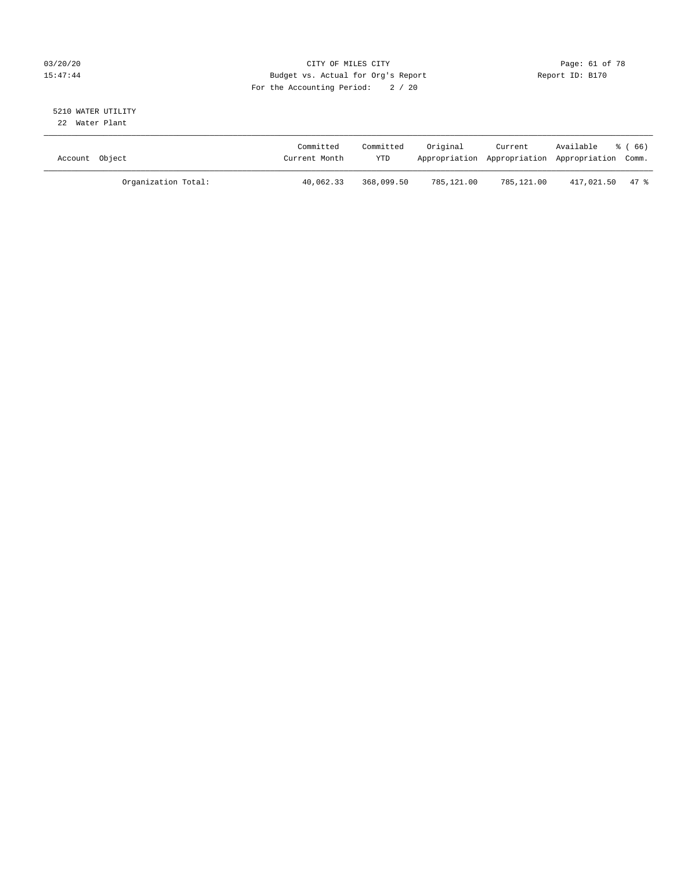# 03/20/20 Page: 61 of 78 15:47:44 Budget vs. Actual for Org's Report Report ID: B170 For the Accounting Period: 2 / 20

#### 5210 WATER UTILITY 22 Water Plant

| Account Object |                     | Committed<br>Current Month | Committed<br>YTD | Original   | Current    | Available<br>Appropriation Appropriation Appropriation Comm. | ී (66) |
|----------------|---------------------|----------------------------|------------------|------------|------------|--------------------------------------------------------------|--------|
|                | Organization Total: | 40,062.33                  | 368,099.50       | 785,121.00 | 785,121.00 | 417,021.50 47 %                                              |        |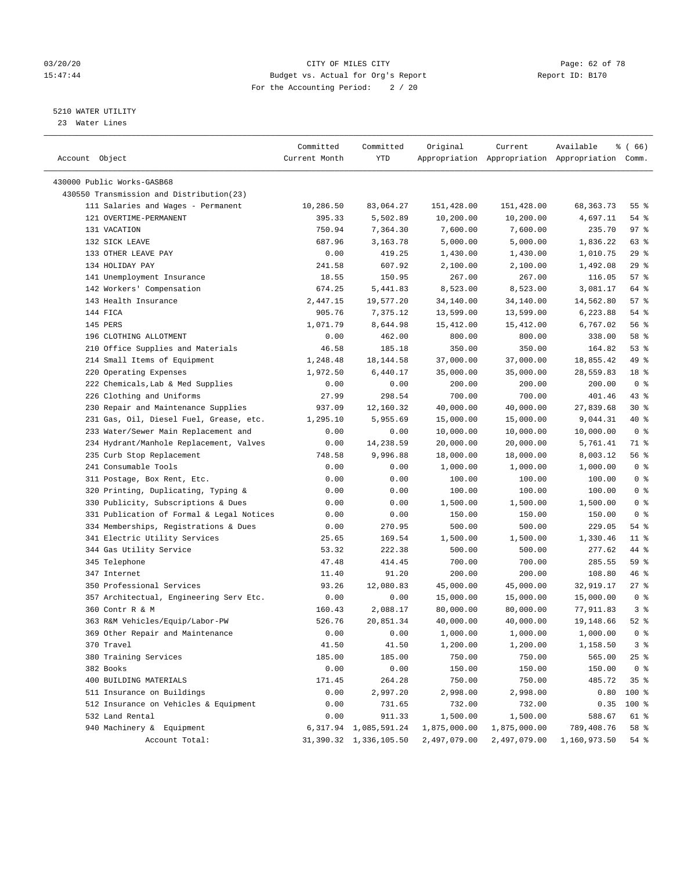# 03/20/20 Page: 62 of 78 15:47:44 Budget vs. Actual for Org's Report Report ID: B170 For the Accounting Period: 2 / 20

————————————————————————————————————————————————————————————————————————————————————————————————————————————————————————————————————

# 5210 WATER UTILITY

23 Water Lines

|                                                          | Committed      | Committed                | Original     | Current            | Available                                       | % (66)         |
|----------------------------------------------------------|----------------|--------------------------|--------------|--------------------|-------------------------------------------------|----------------|
| Account Object                                           | Current Month  | YTD                      |              |                    | Appropriation Appropriation Appropriation Comm. |                |
|                                                          |                |                          |              |                    |                                                 |                |
| 430000 Public Works-GASB68                               |                |                          |              |                    |                                                 |                |
| 430550 Transmission and Distribution(23)                 |                |                          |              |                    |                                                 |                |
| 111 Salaries and Wages - Permanent                       | 10,286.50      | 83,064.27                | 151,428.00   | 151,428.00         | 68, 363. 73                                     | 55 %           |
| 121 OVERTIME-PERMANENT                                   | 395.33         | 5,502.89                 | 10,200.00    | 10,200.00          | 4,697.11                                        | $54$ %         |
| 131 VACATION                                             | 750.94         | 7,364.30                 | 7,600.00     | 7,600.00           | 235.70                                          | 97%            |
| 132 SICK LEAVE                                           | 687.96         | 3,163.78                 | 5,000.00     | 5,000.00           | 1,836.22                                        | 63 %           |
| 133 OTHER LEAVE PAY                                      | 0.00           | 419.25                   | 1,430.00     | 1,430.00           | 1,010.75                                        | 29%            |
| 134 HOLIDAY PAY                                          | 241.58         | 607.92                   | 2,100.00     | 2,100.00           | 1,492.08                                        | $29$ %         |
| 141 Unemployment Insurance                               | 18.55          | 150.95                   | 267.00       | 267.00             | 116.05                                          | 57%            |
| 142 Workers' Compensation                                | 674.25         | 5,441.83                 | 8,523.00     | 8,523.00           | 3,081.17                                        | 64 %           |
| 143 Health Insurance                                     | 2,447.15       | 19,577.20                | 34,140.00    | 34,140.00          | 14,562.80                                       | 57%            |
| 144 FICA                                                 | 905.76         | 7,375.12                 | 13,599.00    | 13,599.00          | 6,223.88                                        | $54$ %         |
| 145 PERS                                                 | 1,071.79       | 8,644.98                 | 15,412.00    | 15,412.00          | 6,767.02                                        | 56%            |
| 196 CLOTHING ALLOTMENT                                   | 0.00           | 462.00                   | 800.00       | 800.00             | 338.00                                          | 58 %           |
| 210 Office Supplies and Materials                        | 46.58          | 185.18                   | 350.00       | 350.00             | 164.82                                          | 53%            |
| 214 Small Items of Equipment                             | 1,248.48       | 18, 144.58               | 37,000.00    | 37,000.00          | 18,855.42                                       | 49 %           |
| 220 Operating Expenses                                   | 1,972.50       | 6,440.17                 | 35,000.00    | 35,000.00          | 28,559.83                                       | 18 %           |
| 222 Chemicals, Lab & Med Supplies                        | 0.00           | 0.00                     | 200.00       | 200.00             | 200.00                                          | 0 <sup>8</sup> |
| 226 Clothing and Uniforms                                | 27.99          | 298.54                   | 700.00       | 700.00             | 401.46                                          | 43 %           |
| 230 Repair and Maintenance Supplies                      | 937.09         | 12,160.32                | 40,000.00    | 40,000.00          | 27,839.68                                       | $30*$          |
| 231 Gas, Oil, Diesel Fuel, Grease, etc.                  | 1,295.10       | 5,955.69                 | 15,000.00    | 15,000.00          | 9,044.31                                        | 40 %           |
| 233 Water/Sewer Main Replacement and                     | 0.00           | 0.00                     | 10,000.00    | 10,000.00          | 10,000.00                                       | 0 <sup>8</sup> |
| 234 Hydrant/Manhole Replacement, Valves                  | 0.00           | 14,238.59                | 20,000.00    | 20,000.00          | 5,761.41                                        | 71 %           |
| 235 Curb Stop Replacement                                | 748.58         | 9,996.88                 | 18,000.00    | 18,000.00          | 8,003.12                                        | 56 %           |
| 241 Consumable Tools                                     | 0.00           | 0.00                     | 1,000.00     | 1,000.00           | 1,000.00                                        | 0 <sup>8</sup> |
| 311 Postage, Box Rent, Etc.                              | 0.00           | 0.00                     | 100.00       | 100.00             | 100.00                                          | 0 <sup>8</sup> |
| 320 Printing, Duplicating, Typing &                      | 0.00           | 0.00                     | 100.00       | 100.00             | 100.00                                          | 0 <sup>8</sup> |
| 330 Publicity, Subscriptions & Dues                      | 0.00           | 0.00                     | 1,500.00     | 1,500.00           | 1,500.00                                        | 0 <sup>8</sup> |
| 331 Publication of Formal & Legal Notices                | 0.00           | 0.00                     | 150.00       | 150.00             | 150.00                                          | 0 <sup>8</sup> |
| 334 Memberships, Registrations & Dues                    | 0.00           | 270.95                   | 500.00       | 500.00             | 229.05                                          | 54 %           |
| 341 Electric Utility Services                            | 25.65          | 169.54                   | 1,500.00     | 1,500.00           | 1,330.46                                        | $11$ %         |
| 344 Gas Utility Service                                  | 53.32          | 222.38                   | 500.00       | 500.00             | 277.62                                          | 44 %           |
| 345 Telephone                                            | 47.48          | 414.45                   | 700.00       | 700.00             | 285.55                                          | 59 %           |
| 347 Internet                                             | 11.40          | 91.20                    | 200.00       | 200.00             | 108.80                                          | 46 %           |
| 350 Professional Services                                | 93.26          | 12,080.83                | 45,000.00    | 45,000.00          | 32,919.17                                       | $27$ %         |
| 357 Architectual, Engineering Serv Etc.                  | 0.00           | 0.00                     | 15,000.00    | 15,000.00          | 15,000.00                                       | 0 <sup>8</sup> |
| 360 Contr R & M                                          | 160.43         | 2,088.17                 | 80,000.00    | 80,000.00          | 77,911.83                                       | 3%             |
| 363 R&M Vehicles/Equip/Labor-PW                          | 526.76         | 20,851.34                | 40,000.00    | 40,000.00          | 19,148.66                                       | $52$ $%$       |
| 369 Other Repair and Maintenance                         | 0.00           | 0.00                     | 1,000.00     | 1,000.00           | 1,000.00                                        | 0 <sup>8</sup> |
| 370 Travel                                               | 41.50          | 41.50                    | 1,200.00     | 1,200.00           | 1,158.50                                        | 3%             |
| 380 Training Services                                    | 185.00         | 185.00                   | 750.00       | 750.00             | 565.00                                          | $25$ %         |
| 382 Books                                                | 0.00           | 0.00                     | 150.00       | 150.00             | 150.00                                          | 0 <sup>8</sup> |
| 400 BUILDING MATERIALS                                   |                |                          | 750.00       |                    |                                                 |                |
| 511 Insurance on Buildings                               | 171.45<br>0.00 | 264.28<br>2,997.20       | 2,998.00     | 750.00<br>2,998.00 | 485.72<br>0.80                                  | 35%<br>100 %   |
|                                                          |                |                          |              |                    |                                                 |                |
| 512 Insurance on Vehicles & Equipment<br>532 Land Rental | 0.00           | 731.65                   | 732.00       | 732.00             | 0.35                                            | 100 %          |
|                                                          | 0.00           | 911.33                   | 1,500.00     | 1,500.00           | 588.67                                          | 61 %           |
| 940 Machinery & Equipment                                |                | 6, 317.94 1, 085, 591.24 | 1,875,000.00 | 1,875,000.00       | 789,408.76                                      | 58 %           |
| Account Total:                                           |                | 31,390.32 1,336,105.50   | 2,497,079.00 | 2,497,079.00       | 1,160,973.50                                    | 54 %           |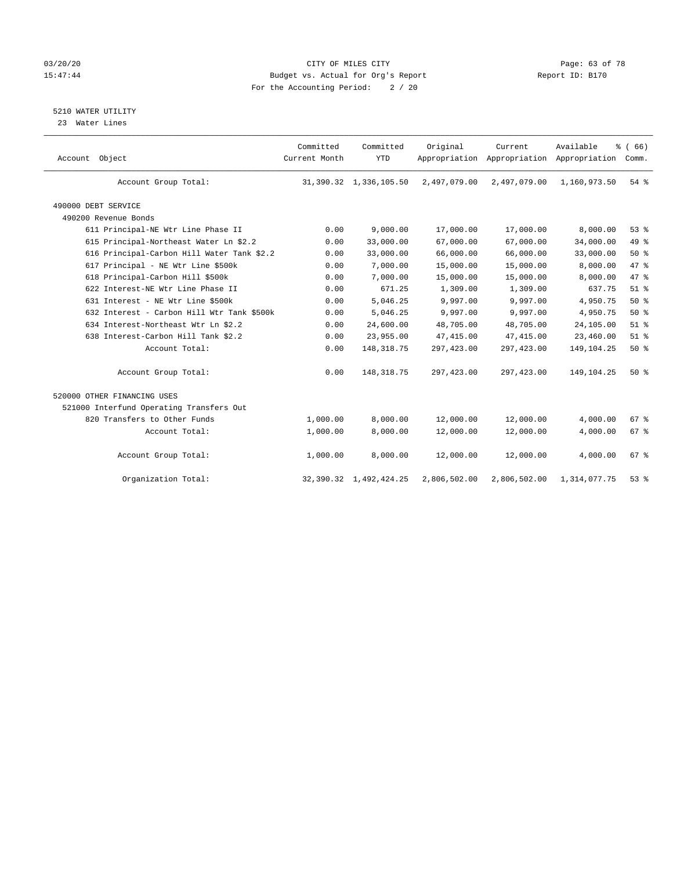# 03/20/20 Page: 63 of 78 15:47:44 Budget vs. Actual for Org's Report Report ID: B170 For the Accounting Period: 2 / 20

5210 WATER UTILITY

23 Water Lines

| Account Object                             | Committed<br>Current Month | Committed<br><b>YTD</b>     | Original     | Current<br>Appropriation Appropriation Appropriation | Available    | % (66)<br>Comm. |  |
|--------------------------------------------|----------------------------|-----------------------------|--------------|------------------------------------------------------|--------------|-----------------|--|
| Account Group Total:                       |                            | 31, 390.32 1, 336, 105.50   | 2,497,079.00 | 2,497,079.00                                         | 1,160,973.50 | 54 %            |  |
| 490000 DEBT SERVICE                        |                            |                             |              |                                                      |              |                 |  |
| 490200 Revenue Bonds                       |                            |                             |              |                                                      |              |                 |  |
| 611 Principal-NE Wtr Line Phase II         | 0.00                       | 9,000.00                    | 17,000.00    | 17,000.00                                            | 8,000.00     | 53%             |  |
| 615 Principal-Northeast Water Ln \$2.2     | 0.00                       | 33,000.00                   | 67,000.00    | 67,000.00                                            | 34,000.00    | 49 %            |  |
| 616 Principal-Carbon Hill Water Tank \$2.2 | 0.00                       | 33,000.00                   | 66,000.00    | 66,000.00                                            | 33,000.00    | 50%             |  |
| 617 Principal - NE Wtr Line \$500k         | 0.00                       | 7,000.00                    | 15,000.00    | 15,000.00                                            | 8,000.00     | 47.8            |  |
| 618 Principal-Carbon Hill \$500k           | 0.00                       | 7,000.00                    | 15,000.00    | 15,000.00                                            | 8,000.00     | 47 %            |  |
| 622 Interest-NE Wtr Line Phase II          | 0.00                       | 671.25                      | 1,309.00     | 1,309.00                                             | 637.75       | $51$ $%$        |  |
| 631 Interest - NE Wtr Line \$500k          | 0.00                       | 5,046.25                    | 9,997.00     | 9,997.00                                             | 4,950.75     | 50%             |  |
| 632 Interest - Carbon Hill Wtr Tank \$500k | 0.00                       | 5,046.25                    | 9,997.00     | 9,997.00                                             | 4,950.75     | $50*$           |  |
| 634 Interest-Northeast Wtr Ln \$2.2        | 0.00                       | 24,600.00                   | 48,705.00    | 48,705.00                                            | 24,105.00    | $51$ %          |  |
| 638 Interest-Carbon Hill Tank \$2.2        | 0.00                       | 23,955.00                   | 47, 415.00   | 47, 415.00                                           | 23,460.00    | $51$ %          |  |
| Account Total:                             | 0.00                       | 148, 318.75                 | 297,423.00   | 297, 423.00                                          | 149, 104. 25 | 50%             |  |
| Account Group Total:                       | 0.00                       | 148, 318.75                 | 297,423.00   | 297, 423.00                                          | 149,104.25   | 50%             |  |
| 520000 OTHER FINANCING USES                |                            |                             |              |                                                      |              |                 |  |
| 521000 Interfund Operating Transfers Out   |                            |                             |              |                                                      |              |                 |  |
| 820 Transfers to Other Funds               | 1,000.00                   | 8,000.00                    | 12,000.00    | 12,000.00                                            | 4,000.00     | 67 <sup>8</sup> |  |
| Account Total:                             | 1,000.00                   | 8,000.00                    | 12,000.00    | 12,000.00                                            | 4,000.00     | 67%             |  |
| Account Group Total:                       | 1,000.00                   | 8,000.00                    | 12,000.00    | 12,000.00                                            | 4,000.00     | 67 <sup>8</sup> |  |
| Organization Total:                        |                            | 32, 390. 32 1, 492, 424. 25 | 2,806,502.00 | 2,806,502.00                                         | 1,314,077.75 | $53$ $%$        |  |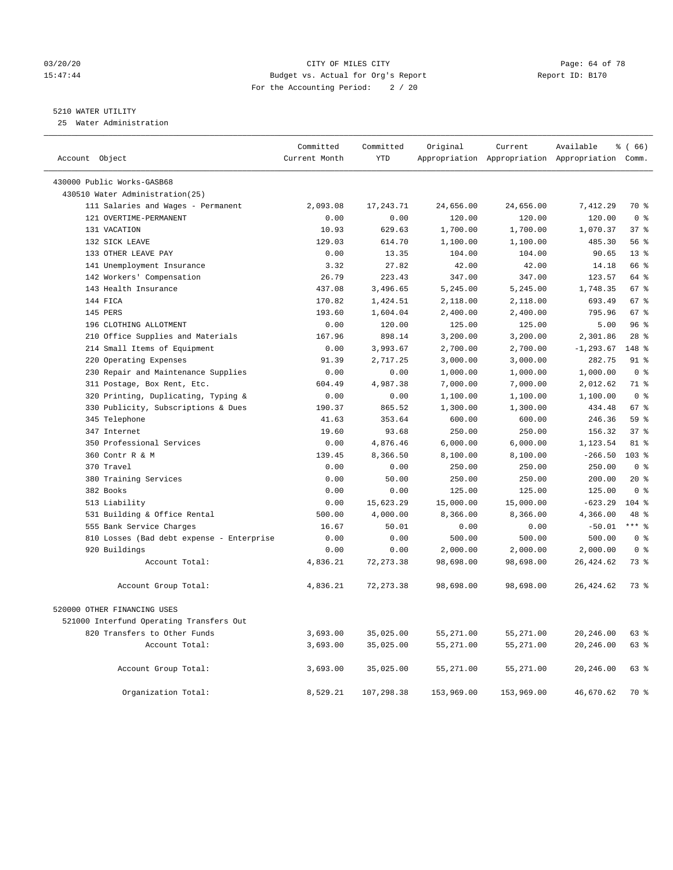# 03/20/20 Page: 64 of 78 15:47:44 Budget vs. Actual for Org's Report Report ID: B170 For the Accounting Period: 2 / 20

————————————————————————————————————————————————————————————————————————————————————————————————————————————————————————————————————

# 5210 WATER UTILITY

25 Water Administration

| Account Object                                                             | Committed<br>Current Month | Committed<br><b>YTD</b> | Original           | Current            | Available<br>Appropriation Appropriation Appropriation Comm. | % (66)                 |
|----------------------------------------------------------------------------|----------------------------|-------------------------|--------------------|--------------------|--------------------------------------------------------------|------------------------|
|                                                                            |                            |                         |                    |                    |                                                              |                        |
| 430000 Public Works-GASB68                                                 |                            |                         |                    |                    |                                                              |                        |
| 430510 Water Administration(25)                                            |                            |                         |                    |                    |                                                              |                        |
| 111 Salaries and Wages - Permanent                                         | 2,093.08                   | 17,243.71               | 24,656.00          | 24,656.00          | 7,412.29                                                     | 70 %                   |
| 121 OVERTIME-PERMANENT                                                     | 0.00                       | 0.00                    | 120.00             | 120.00             | 120.00                                                       | 0 <sup>8</sup>         |
| 131 VACATION                                                               | 10.93                      | 629.63                  | 1,700.00           | 1,700.00           | 1,070.37                                                     | 37%                    |
| 132 SICK LEAVE                                                             | 129.03                     | 614.70                  | 1,100.00           | 1,100.00           | 485.30                                                       | 56%                    |
| 133 OTHER LEAVE PAY                                                        | 0.00                       | 13.35                   | 104.00             | 104.00             | 90.65                                                        | $13*$                  |
| 141 Unemployment Insurance                                                 | 3.32                       | 27.82                   | 42.00              | 42.00              | 14.18                                                        | 66 %                   |
| 142 Workers' Compensation                                                  | 26.79                      | 223.43                  | 347.00             | 347.00             | 123.57                                                       | 64 %                   |
| 143 Health Insurance                                                       | 437.08                     | 3,496.65                | 5,245.00           | 5,245.00           | 1,748.35                                                     | 67 <sup>°</sup>        |
| 144 FICA                                                                   | 170.82                     | 1,424.51                | 2,118.00           | 2,118.00           | 693.49                                                       | 67 %                   |
| 145 PERS                                                                   | 193.60                     | 1,604.04                | 2,400.00           | 2,400.00           | 795.96                                                       | 67 %                   |
| 196 CLOTHING ALLOTMENT                                                     | 0.00                       | 120.00                  | 125.00             | 125.00             | 5.00                                                         | 96%                    |
| 210 Office Supplies and Materials                                          | 167.96                     | 898.14                  | 3,200.00           | 3,200.00           | 2,301.86                                                     | $28$ %                 |
| 214 Small Items of Equipment                                               | 0.00                       | 3,993.67                | 2,700.00           | 2,700.00           | $-1, 293.67$                                                 | 148 %                  |
| 220 Operating Expenses                                                     | 91.39                      | 2,717.25                | 3,000.00           | 3,000.00           | 282.75                                                       | 91 %<br>0 <sup>8</sup> |
| 230 Repair and Maintenance Supplies                                        | 0.00                       | 0.00                    | 1,000.00           | 1,000.00           | 1,000.00                                                     |                        |
| 311 Postage, Box Rent, Etc.                                                | 604.49                     | 4,987.38                | 7,000.00           | 7,000.00           | 2,012.62                                                     | 71 %<br>0 <sup>8</sup> |
| 320 Printing, Duplicating, Typing &<br>330 Publicity, Subscriptions & Dues | 0.00<br>190.37             | 0.00<br>865.52          | 1,100.00           | 1,100.00           | 1,100.00<br>434.48                                           | 67 %                   |
| 345 Telephone                                                              |                            | 353.64                  | 1,300.00           | 1,300.00           | 246.36                                                       | 59 %                   |
| 347 Internet                                                               | 41.63                      |                         | 600.00             | 600.00             |                                                              | 37%                    |
|                                                                            | 19.60                      | 93.68<br>4,876.46       | 250.00<br>6,000.00 | 250.00<br>6,000.00 | 156.32<br>1,123.54                                           | 81 %                   |
| 350 Professional Services<br>360 Contr R & M                               | 0.00<br>139.45             | 8,366.50                | 8,100.00           | 8,100.00           | $-266.50$                                                    | 103 %                  |
| 370 Travel                                                                 | 0.00                       | 0.00                    | 250.00             | 250.00             | 250.00                                                       | 0 <sup>8</sup>         |
| 380 Training Services                                                      | 0.00                       | 50.00                   | 250.00             | 250.00             | 200.00                                                       | $20*$                  |
| 382 Books                                                                  | 0.00                       | 0.00                    | 125.00             | 125.00             | 125.00                                                       | 0 <sup>8</sup>         |
| 513 Liability                                                              | 0.00                       | 15,623.29               | 15,000.00          | 15,000.00          | $-623.29$                                                    | $104$ %                |
| 531 Building & Office Rental                                               | 500.00                     | 4,000.00                | 8,366.00           | 8,366.00           | 4,366.00                                                     | 48 %                   |
| 555 Bank Service Charges                                                   | 16.67                      | 50.01                   | 0.00               | 0.00               | $-50.01$                                                     | $***$ $%$              |
| 810 Losses (Bad debt expense - Enterprise                                  | 0.00                       | 0.00                    | 500.00             | 500.00             | 500.00                                                       | 0 <sup>8</sup>         |
| 920 Buildings                                                              | 0.00                       | 0.00                    | 2,000.00           | 2,000.00           | 2,000.00                                                     | 0 <sup>8</sup>         |
| Account Total:                                                             | 4,836.21                   | 72, 273.38              | 98,698.00          | 98,698.00          | 26,424.62                                                    | 73 %                   |
|                                                                            |                            |                         |                    |                    |                                                              |                        |
| Account Group Total:                                                       | 4,836.21                   | 72, 273.38              | 98,698.00          | 98,698.00          | 26, 424.62                                                   | 73 %                   |
| 520000 OTHER FINANCING USES                                                |                            |                         |                    |                    |                                                              |                        |
| 521000 Interfund Operating Transfers Out                                   |                            |                         |                    |                    |                                                              |                        |
| 820 Transfers to Other Funds                                               | 3,693.00                   | 35,025.00               | 55,271.00          | 55,271.00          | 20,246.00                                                    | 63 %                   |
| Account Total:                                                             | 3,693.00                   | 35,025.00               | 55,271.00          | 55,271.00          | 20,246.00                                                    | 63 %                   |
| Account Group Total:                                                       | 3,693.00                   | 35,025.00               | 55,271.00          | 55,271.00          | 20,246.00                                                    | 63 %                   |
| Organization Total:                                                        | 8,529.21                   | 107,298.38              | 153,969.00         | 153,969.00         | 46,670.62                                                    | 70 %                   |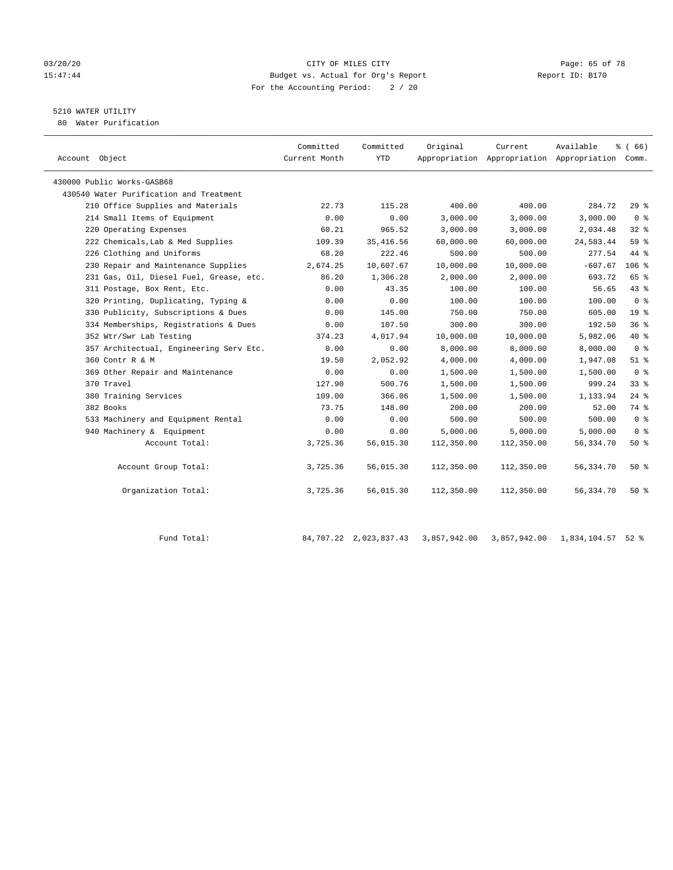# 03/20/20 Page: 65 of 78 15:47:44 Budget vs. Actual for Org's Report Report ID: B170 For the Accounting Period: 2 / 20

# 5210 WATER UTILITY

80 Water Purification

| Account Object                          | Committed<br>Current Month | Committed<br><b>YTD</b> | Original   | Current<br>Appropriation Appropriation Appropriation Comm. | Available   | % (66)          |
|-----------------------------------------|----------------------------|-------------------------|------------|------------------------------------------------------------|-------------|-----------------|
| 430000 Public Works-GASB68              |                            |                         |            |                                                            |             |                 |
| 430540 Water Purification and Treatment |                            |                         |            |                                                            |             |                 |
| 210 Office Supplies and Materials       | 22.73                      | 115.28                  | 400.00     | 400.00                                                     | 284.72      | 29%             |
| 214 Small Items of Equipment            | 0.00                       | 0.00                    | 3,000.00   | 3,000.00                                                   | 3,000.00    | 0 <sup>8</sup>  |
| 220 Operating Expenses                  | 60.21                      | 965.52                  | 3,000.00   | 3,000.00                                                   | 2,034.48    | 328             |
| 222 Chemicals, Lab & Med Supplies       | 109.39                     | 35, 416.56              | 60,000.00  | 60,000.00                                                  | 24,583.44   | 59%             |
| 226 Clothing and Uniforms               | 68.20                      | 222.46                  | 500.00     | 500.00                                                     | 277.54      | 44 %            |
| 230 Repair and Maintenance Supplies     | 2,674.25                   | 10,607.67               | 10,000.00  | 10,000.00                                                  | $-607.67$   | $106$ %         |
| 231 Gas, Oil, Diesel Fuel, Grease, etc. | 86.20                      | 1,306.28                | 2,000.00   | 2,000.00                                                   | 693.72      | 65 %            |
| 311 Postage, Box Rent, Etc.             | 0.00                       | 43.35                   | 100.00     | 100.00                                                     | 56.65       | 43 %            |
| 320 Printing, Duplicating, Typing &     | 0.00                       | 0.00                    | 100.00     | 100.00                                                     | 100.00      | 0 <sup>8</sup>  |
| 330 Publicity, Subscriptions & Dues     | 0.00                       | 145.00                  | 750.00     | 750.00                                                     | 605.00      | 19 <sup>°</sup> |
| 334 Memberships, Registrations & Dues   | 0.00                       | 107.50                  | 300.00     | 300.00                                                     | 192.50      | 36%             |
| 352 Wtr/Swr Lab Testing                 | 374.23                     | 4,017.94                | 10,000.00  | 10,000.00                                                  | 5,982.06    | 40 %            |
| 357 Architectual, Engineering Serv Etc. | 0.00                       | 0.00                    | 8,000.00   | 8,000.00                                                   | 8,000.00    | 0 <sup>8</sup>  |
| 360 Contr R & M                         | 19.50                      | 2,052.92                | 4,000.00   | 4,000.00                                                   | 1,947.08    | $51$ $%$        |
| 369 Other Repair and Maintenance        | 0.00                       | 0.00                    | 1,500.00   | 1,500.00                                                   | 1,500.00    | 0 <sup>8</sup>  |
| 370 Travel                              | 127.90                     | 500.76                  | 1,500.00   | 1,500.00                                                   | 999.24      | 33 <sup>8</sup> |
| 380 Training Services                   | 109.00                     | 366.06                  | 1,500.00   | 1,500.00                                                   | 1,133.94    | $24$ %          |
| 382 Books                               | 73.75                      | 148.00                  | 200.00     | 200.00                                                     | 52.00       | 74 %            |
| 533 Machinery and Equipment Rental      | 0.00                       | 0.00                    | 500.00     | 500.00                                                     | 500.00      | 0 <sup>8</sup>  |
| 940 Machinery & Equipment               | 0.00                       | 0.00                    | 5,000.00   | 5,000.00                                                   | 5,000.00    | 0 <sup>8</sup>  |
| Account Total:                          | 3,725.36                   | 56,015.30               | 112,350.00 | 112,350.00                                                 | 56,334.70   | 50%             |
| Account Group Total:                    | 3,725.36                   | 56,015.30               | 112,350.00 | 112,350.00                                                 | 56, 334. 70 | $50*$           |
| Organization Total:                     | 3,725.36                   | 56,015.30               | 112,350.00 | 112,350.00                                                 | 56, 334. 70 | $50*$           |

Fund Total: 84,707.22 2,023,837.43 3,857,942.00 3,857,942.00 1,834,104.57 52 %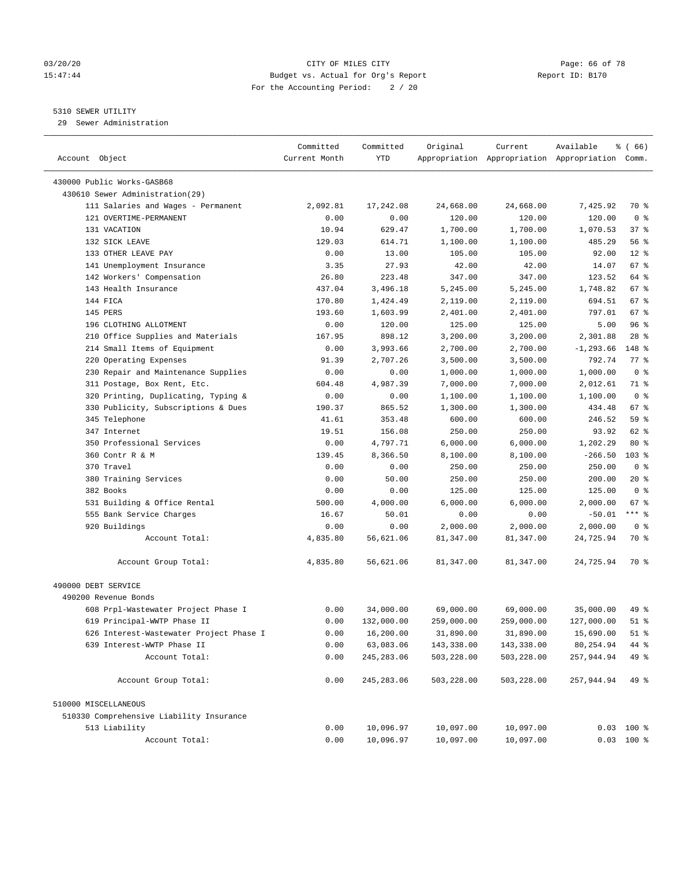### 03/20/20 CITY OF MILES CITY Page: 66 of 78 15:47:44 Budget vs. Actual for Org's Report Report ID: B170 For the Accounting Period: 2 / 20

————————————————————————————————————————————————————————————————————————————————————————————————————————————————————————————————————

# 5310 SEWER UTILITY

29 Sewer Administration

|                                          | Committed     | Committed   | Original   | Current    | Available                                       | ៖ ( 66)            |
|------------------------------------------|---------------|-------------|------------|------------|-------------------------------------------------|--------------------|
| Account Object                           | Current Month | YTD         |            |            | Appropriation Appropriation Appropriation Comm. |                    |
| 430000 Public Works-GASB68               |               |             |            |            |                                                 |                    |
| 430610 Sewer Administration(29)          |               |             |            |            |                                                 |                    |
| 111 Salaries and Wages - Permanent       | 2,092.81      | 17,242.08   | 24,668.00  | 24,668.00  | 7,425.92                                        | 70 %               |
| 121 OVERTIME-PERMANENT                   | 0.00          | 0.00        | 120.00     | 120.00     | 120.00                                          | 0 <sup>8</sup>     |
| 131 VACATION                             | 10.94         | 629.47      | 1,700.00   | 1,700.00   | 1,070.53                                        | 37 %               |
| 132 SICK LEAVE                           | 129.03        | 614.71      | 1,100.00   | 1,100.00   | 485.29                                          | 56%                |
| 133 OTHER LEAVE PAY                      | 0.00          | 13.00       | 105.00     | 105.00     | 92.00                                           | $12*$              |
| 141 Unemployment Insurance               | 3.35          | 27.93       | 42.00      | 42.00      | 14.07                                           | $67$ %             |
| 142 Workers' Compensation                | 26.80         | 223.48      | 347.00     | 347.00     | 123.52                                          | 64 %               |
| 143 Health Insurance                     | 437.04        | 3,496.18    | 5,245.00   | 5,245.00   | 1,748.82                                        | 67 %               |
| 144 FICA                                 | 170.80        | 1,424.49    | 2,119.00   | 2,119.00   | 694.51                                          | $67$ %             |
| 145 PERS                                 | 193.60        | 1,603.99    | 2,401.00   | 2,401.00   | 797.01                                          | 67 %               |
| 196 CLOTHING ALLOTMENT                   | 0.00          | 120.00      | 125.00     | 125.00     | 5.00                                            | 96%                |
| 210 Office Supplies and Materials        | 167.95        | 898.12      | 3,200.00   | 3,200.00   | 2,301.88                                        | $28$ %             |
| 214 Small Items of Equipment             | 0.00          | 3,993.66    | 2,700.00   | 2,700.00   | $-1, 293.66$                                    | 148 %              |
| 220 Operating Expenses                   | 91.39         | 2,707.26    | 3,500.00   | 3,500.00   | 792.74                                          | $77$ $\frac{6}{9}$ |
| 230 Repair and Maintenance Supplies      | 0.00          | 0.00        | 1,000.00   | 1,000.00   | 1,000.00                                        | 0 <sup>8</sup>     |
| 311 Postage, Box Rent, Etc.              | 604.48        | 4,987.39    | 7,000.00   | 7,000.00   | 2,012.61                                        | 71 %               |
| 320 Printing, Duplicating, Typing &      | 0.00          | 0.00        | 1,100.00   | 1,100.00   | 1,100.00                                        | 0 <sup>8</sup>     |
| 330 Publicity, Subscriptions & Dues      | 190.37        | 865.52      | 1,300.00   | 1,300.00   | 434.48                                          | 67 %               |
| 345 Telephone                            | 41.61         | 353.48      | 600.00     | 600.00     | 246.52                                          | 59 %               |
| 347 Internet                             | 19.51         | 156.08      | 250.00     | 250.00     | 93.92                                           | 62 %               |
| 350 Professional Services                | 0.00          | 4,797.71    | 6,000.00   | 6,000.00   | 1,202.29                                        | $80*$              |
| 360 Contr R & M                          | 139.45        | 8,366.50    | 8,100.00   | 8,100.00   | $-266.50$                                       | $103$ %            |
| 370 Travel                               | 0.00          | 0.00        | 250.00     | 250.00     | 250.00                                          | 0 <sup>8</sup>     |
| 380 Training Services                    | 0.00          | 50.00       | 250.00     | 250.00     | 200.00                                          | $20*$              |
| 382 Books                                | 0.00          | 0.00        | 125.00     | 125.00     | 125.00                                          | 0 <sup>8</sup>     |
| 531 Building & Office Rental             | 500.00        | 4,000.00    | 6,000.00   | 6,000.00   | 2,000.00                                        | $67$ %             |
| 555 Bank Service Charges                 | 16.67         | 50.01       | 0.00       | 0.00       | $-50.01$                                        | $***$ $%$          |
| 920 Buildings                            | 0.00          | 0.00        | 2,000.00   | 2,000.00   | 2,000.00                                        | 0 <sup>8</sup>     |
| Account Total:                           | 4,835.80      | 56,621.06   | 81,347.00  | 81,347.00  | 24,725.94                                       | 70 %               |
|                                          |               |             |            |            |                                                 |                    |
| Account Group Total:                     | 4,835.80      | 56,621.06   | 81,347.00  | 81,347.00  | 24,725.94                                       | 70 %               |
| 490000 DEBT SERVICE                      |               |             |            |            |                                                 |                    |
| 490200 Revenue Bonds                     |               |             |            |            |                                                 |                    |
| 608 Prpl-Wastewater Project Phase I      | 0.00          | 34,000.00   | 69,000.00  | 69,000.00  | 35,000.00                                       | 49 %               |
| 619 Principal-WWTP Phase II              | 0.00          | 132,000.00  | 259,000.00 | 259,000.00 | 127,000.00                                      | 51 %               |
| 626 Interest-Wastewater Project Phase I  | 0.00          | 16,200.00   | 31,890.00  | 31,890.00  | 15,690.00                                       | $51$ %             |
| 639 Interest-WWTP Phase II               | 0.00          | 63,083.06   | 143,338.00 | 143,338.00 | 80,254.94                                       | 44 %               |
| Account Total:                           | 0.00          | 245, 283.06 | 503,228.00 | 503,228.00 | 257,944.94                                      | 49 %               |
| Account Group Total:                     | 0.00          | 245, 283.06 | 503,228.00 | 503,228.00 | 257,944.94                                      | 49 %               |
| 510000 MISCELLANEOUS                     |               |             |            |            |                                                 |                    |
| 510330 Comprehensive Liability Insurance |               |             |            |            |                                                 |                    |
| 513 Liability                            | 0.00          | 10,096.97   | 10,097.00  | 10,097.00  |                                                 | $0.03$ 100 %       |
| Account Total:                           | 0.00          | 10,096.97   | 10,097.00  | 10,097.00  |                                                 | $0.03$ 100 %       |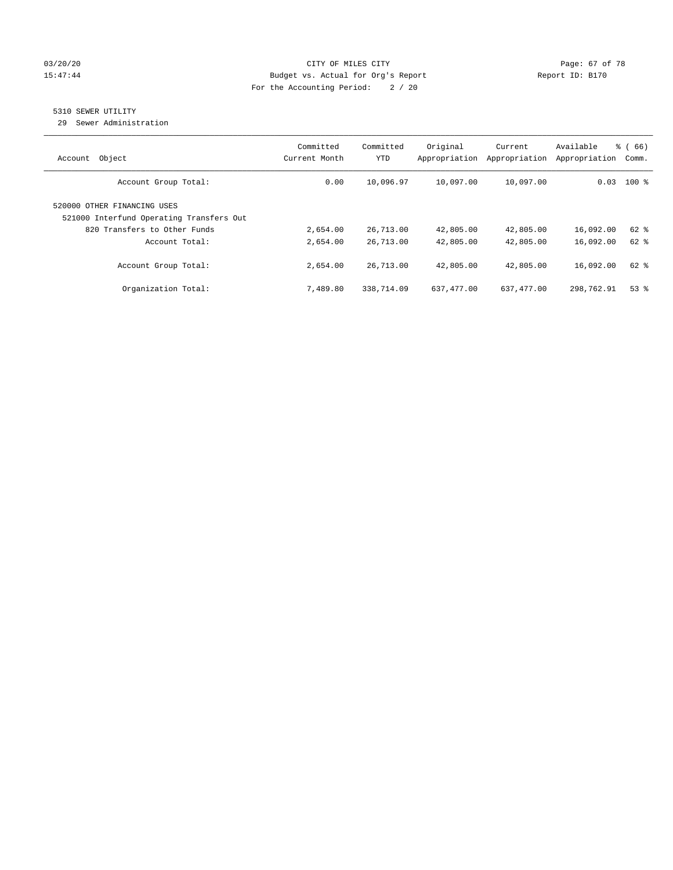# 03/20/20 Page: 67 of 78 15:47:44 Budget vs. Actual for Org's Report Report ID: B170 For the Accounting Period: 2 / 20

# 5310 SEWER UTILITY

29 Sewer Administration

| Object<br>Account                                                                                       | Committed<br>Current Month | Committed<br><b>YTD</b> | Original<br>Appropriation | Current<br>Appropriation | Available<br>Appropriation | % (66)<br>Comm. |
|---------------------------------------------------------------------------------------------------------|----------------------------|-------------------------|---------------------------|--------------------------|----------------------------|-----------------|
| Account Group Total:                                                                                    | 0.00                       | 10,096.97               | 10,097.00                 | 10,097.00                |                            | $0.03$ 100 %    |
| 520000 OTHER FINANCING USES<br>521000 Interfund Operating Transfers Out<br>820 Transfers to Other Funds | 2,654.00                   | 26,713.00               | 42,805.00                 | 42,805.00                | 16,092.00                  | $62$ $%$        |
| Account Total:                                                                                          | 2,654.00                   | 26,713.00               | 42,805.00                 | 42,805.00                | 16,092.00                  | $62$ $%$        |
| Account Group Total:                                                                                    | 2,654.00                   | 26,713.00               | 42,805.00                 | 42,805.00                | 16,092.00                  | $62$ $%$        |
| Organization Total:                                                                                     | 7,489.80                   | 338,714.09              | 637,477.00                | 637,477.00               | 298,762.91                 | $53$ $%$        |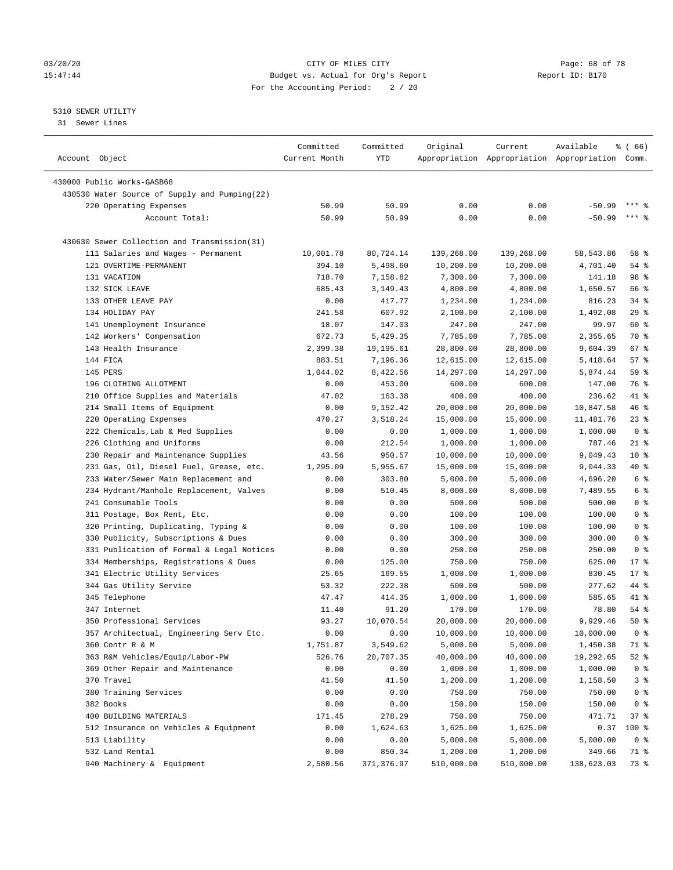# 03/20/20 CITY OF MILES CITY Page: 68 of 78 15:47:44 Budget vs. Actual for Org's Report Report ID: B170 For the Accounting Period: 2 / 20

————————————————————————————————————————————————————————————————————————————————————————————————————————————————————————————————————

# 5310 SEWER UTILITY

31 Sewer Lines

|                                               | Committed     | Committed     | Original           | Current                                         | Available          | <sub>ර</sub> ි (66)              |
|-----------------------------------------------|---------------|---------------|--------------------|-------------------------------------------------|--------------------|----------------------------------|
| Account Object                                | Current Month | YTD           |                    | Appropriation Appropriation Appropriation Comm. |                    |                                  |
| 430000 Public Works-GASB68                    |               |               |                    |                                                 |                    |                                  |
| 430530 Water Source of Supply and Pumping(22) |               |               |                    |                                                 |                    |                                  |
| 220 Operating Expenses                        | 50.99         | 50.99         | 0.00               | 0.00                                            | $-50.99$           | $***$ 2                          |
| Account Total:                                | 50.99         | 50.99         | 0.00               | 0.00                                            | $-50.99$           | $***$ $%$                        |
|                                               |               |               |                    |                                                 |                    |                                  |
| 430630 Sewer Collection and Transmission(31)  |               |               |                    |                                                 |                    |                                  |
| 111 Salaries and Wages - Permanent            | 10,001.78     | 80,724.14     | 139,268.00         | 139,268.00                                      | 58, 543.86         | 58 %                             |
| 121 OVERTIME-PERMANENT                        | 394.10        | 5,498.60      | 10,200.00          | 10,200.00                                       | 4,701.40           | $54$ %                           |
| 131 VACATION                                  | 718.70        | 7,158.82      | 7,300.00           | 7,300.00                                        | 141.18             | 98 %                             |
| 132 SICK LEAVE                                | 685.43        | 3,149.43      | 4,800.00           | 4,800.00                                        | 1,650.57           | 66 %                             |
| 133 OTHER LEAVE PAY                           | 0.00          | 417.77        | 1,234.00           | 1,234.00                                        | 816.23             | $34$ $%$                         |
| 134 HOLIDAY PAY                               | 241.58        | 607.92        | 2,100.00           | 2,100.00                                        | 1,492.08           | 29%                              |
| 141 Unemployment Insurance                    | 18.07         | 147.03        | 247.00             | 247.00                                          | 99.97              | 60 %                             |
| 142 Workers' Compensation                     | 672.73        | 5,429.35      | 7,785.00           | 7,785.00                                        | 2,355.65           | 70 %                             |
| 143 Health Insurance                          | 2,399.38      | 19,195.61     | 28,800.00          | 28,800.00                                       | 9,604.39           | $67$ %                           |
| 144 FICA                                      | 883.51        | 7,196.36      | 12,615.00          | 12,615.00                                       | 5,418.64           | 57%                              |
| 145 PERS                                      | 1,044.02      | 8,422.56      | 14,297.00          | 14,297.00                                       | 5,874.44           | 59 %                             |
| 196 CLOTHING ALLOTMENT                        | 0.00          | 453.00        | 600.00             | 600.00                                          | 147.00             | 76 %                             |
| 210 Office Supplies and Materials             | 47.02         | 163.38        | 400.00             | 400.00                                          | 236.62             | 41 %                             |
| 214 Small Items of Equipment                  | 0.00          | 9,152.42      | 20,000.00          | 20,000.00                                       | 10,847.58          | 46 %                             |
| 220 Operating Expenses                        | 470.27        | 3,518.24      | 15,000.00          | 15,000.00                                       | 11,481.76          | $23$ %                           |
| 222 Chemicals, Lab & Med Supplies             | 0.00          | 0.00          | 1,000.00           | 1,000.00                                        | 1,000.00           | 0 <sup>8</sup>                   |
| 226 Clothing and Uniforms                     | 0.00          | 212.54        | 1,000.00           | 1,000.00                                        | 787.46             | $21$ %                           |
| 230 Repair and Maintenance Supplies           | 43.56         | 950.57        | 10,000.00          | 10,000.00                                       | 9,049.43           | $10*$                            |
| 231 Gas, Oil, Diesel Fuel, Grease, etc.       | 1,295.09      | 5,955.67      | 15,000.00          | 15,000.00                                       | 9,044.33           | 40 %                             |
| 233 Water/Sewer Main Replacement and          | 0.00          | 303.80        | 5,000.00           | 5,000.00                                        | 4,696.20           | 6 %                              |
| 234 Hydrant/Manhole Replacement, Valves       | 0.00          | 510.45        | 8,000.00           | 8,000.00                                        | 7,489.55           | 6 %                              |
| 241 Consumable Tools                          | 0.00          | 0.00          | 500.00             | 500.00                                          | 500.00             | 0 <sup>8</sup>                   |
| 311 Postage, Box Rent, Etc.                   | 0.00          | 0.00          | 100.00             | 100.00                                          | 100.00             | 0 <sup>°</sup>                   |
| 320 Printing, Duplicating, Typing &           | 0.00          | 0.00          | 100.00             | 100.00                                          | 100.00             | 0 <sup>°</sup>                   |
| 330 Publicity, Subscriptions & Dues           | 0.00          | 0.00          | 300.00             | 300.00                                          | 300.00             | 0 <sup>8</sup>                   |
| 331 Publication of Formal & Legal Notices     | 0.00          | 0.00          | 250.00             | 250.00                                          | 250.00             | 0 <sup>8</sup>                   |
| 334 Memberships, Registrations & Dues         | 0.00          | 125.00        | 750.00             | 750.00                                          | 625.00             | $17*$                            |
| 341 Electric Utility Services                 | 25.65         | 169.55        | 1,000.00           | 1,000.00                                        | 830.45             | $17*$                            |
| 344 Gas Utility Service                       | 53.32         | 222.38        | 500.00             | 500.00                                          | 277.62             | 44 %                             |
| 345 Telephone                                 | 47.47         | 414.35        | 1,000.00           | 1,000.00                                        | 585.65             | 41 %                             |
| 347 Internet                                  | 11.40         | 91.20         | 170.00             | 170.00                                          | 78.80              | $54$ %                           |
| 350 Professional Services                     | 93.27         | 10,070.54     | 20,000.00          | 20,000.00                                       | 9,929.46           | 50%                              |
| 357 Architectual, Engineering Serv Etc.       | 0.00          | 0.00          | 10,000.00          | 10,000.00                                       | 10,000.00          | 0 <sup>8</sup>                   |
| 360 Contr R & M                               | 1,751.87      | 3,549.62      | 5,000.00           | 5,000.00                                        | 1,450.38           | 71 %                             |
| 363 R&M Vehicles/Equip/Labor-PW               | 526.76        | 20,707.35     | 40,000.00          | 40,000.00                                       | 19,292.65          | $52$ $%$                         |
|                                               |               |               |                    |                                                 |                    |                                  |
| 369 Other Repair and Maintenance              | 0.00          | 0.00          | 1,000.00           | 1,000.00                                        | 1,000.00           | 0 <sup>8</sup>                   |
| 370 Travel<br>380 Training Services           | 41.50<br>0.00 | 41.50<br>0.00 | 1,200.00<br>750.00 | 1,200.00<br>750.00                              | 1,158.50<br>750.00 | 3 <sup>°</sup><br>0 <sup>8</sup> |
|                                               |               |               |                    |                                                 |                    |                                  |
| 382 Books                                     | 0.00          | 0.00          | 150.00             | 150.00                                          | 150.00             | 0 <sup>8</sup>                   |
| 400 BUILDING MATERIALS                        | 171.45        | 278.29        | 750.00             | 750.00                                          | 471.71             | 37%                              |
| 512 Insurance on Vehicles & Equipment         | 0.00          | 1,624.63      | 1,625.00           | 1,625.00                                        | 0.37               | 100 %                            |
| 513 Liability                                 | 0.00          | 0.00          | 5,000.00           | 5,000.00                                        | 5,000.00           | 0 <sup>8</sup>                   |
| 532 Land Rental                               | 0.00          | 850.34        | 1,200.00           | 1,200.00                                        | 349.66             | 71 %                             |
| 940 Machinery & Equipment                     | 2,580.56      | 371,376.97    | 510,000.00         | 510,000.00                                      | 138,623.03         | 73 %                             |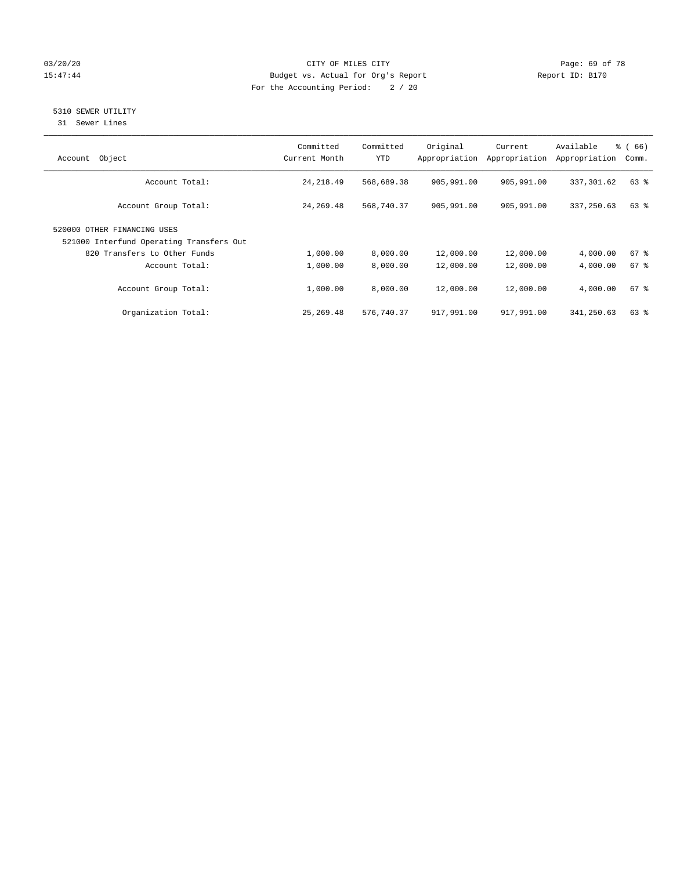# 03/20/20 **Page: 69 of 78** CITY OF MILES CITY **CITY** CITY **Page: 69 of 78** 15:47:44 Budget vs. Actual for Org's Report Report ID: B170 For the Accounting Period: 2 / 20

# 5310 SEWER UTILITY

31 Sewer Lines

| Object<br>Account                                                       | Committed<br>Current Month | Committed<br><b>YTD</b> | Original<br>Appropriation | Current<br>Appropriation | Available<br>Appropriation | % (66)<br>Comm. |
|-------------------------------------------------------------------------|----------------------------|-------------------------|---------------------------|--------------------------|----------------------------|-----------------|
| Account Total:                                                          | 24, 218.49                 | 568,689.38              | 905,991.00                | 905,991.00               | 337,301.62                 | 63 %            |
| Account Group Total:                                                    | 24, 269.48                 | 568,740.37              | 905,991.00                | 905,991.00               | 337,250.63                 | 63 %            |
| 520000 OTHER FINANCING USES<br>521000 Interfund Operating Transfers Out |                            |                         |                           |                          |                            |                 |
| 820 Transfers to Other Funds                                            | 1,000.00                   | 8,000.00                | 12,000.00                 | 12,000.00                | 4,000.00                   | $67$ $%$        |
| Account Total:                                                          | 1,000.00                   | 8,000.00                | 12,000.00                 | 12,000.00                | 4,000.00                   | 67 <sup>°</sup> |
| Account Group Total:                                                    | 1,000.00                   | 8,000.00                | 12,000.00                 | 12,000.00                | 4,000.00                   | $67$ $%$        |
| Organization Total:                                                     | 25,269.48                  | 576,740.37              | 917,991.00                | 917,991.00               | 341,250.63                 | $63$ $%$        |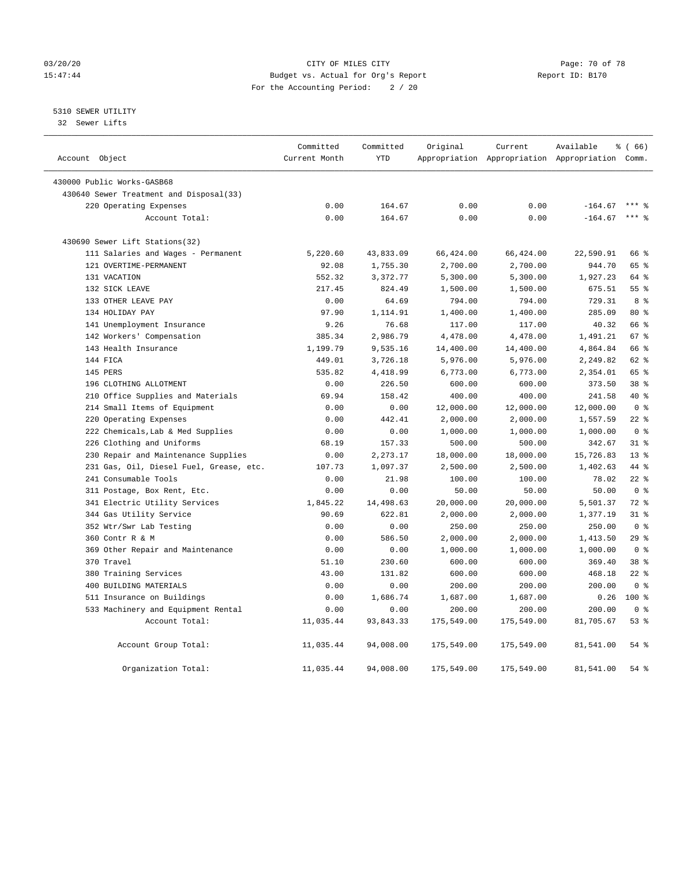# 03/20/20 Page: 70 of 78 15:47:44 Budget vs. Actual for Org's Report Report ID: B170 For the Accounting Period: 2 / 20

5310 SEWER UTILITY

32 Sewer Lifts

| Account Object |                                         | Committed<br>Current Month | Committed<br><b>YTD</b> | Original   | Current    | Available<br>Appropriation Appropriation Appropriation Comm. | % (66)          |
|----------------|-----------------------------------------|----------------------------|-------------------------|------------|------------|--------------------------------------------------------------|-----------------|
|                |                                         |                            |                         |            |            |                                                              |                 |
|                | 430000 Public Works-GASB68              |                            |                         |            |            |                                                              |                 |
|                | 430640 Sewer Treatment and Disposal(33) |                            |                         |            |            |                                                              |                 |
|                | 220 Operating Expenses                  | 0.00                       | 164.67                  | 0.00       | 0.00       | $-164.67$                                                    |                 |
|                | Account Total:                          | 0.00                       | 164.67                  | 0.00       | 0.00       | $-164.67$                                                    | $***$ $-$       |
|                | 430690 Sewer Lift Stations(32)          |                            |                         |            |            |                                                              |                 |
|                | 111 Salaries and Wages - Permanent      | 5,220.60                   | 43,833.09               | 66,424.00  | 66,424.00  | 22,590.91                                                    | 66 %            |
|                | 121 OVERTIME-PERMANENT                  | 92.08                      | 1,755.30                | 2,700.00   | 2,700.00   | 944.70                                                       | 65 %            |
|                | 131 VACATION                            | 552.32                     | 3,372.77                | 5,300.00   | 5,300.00   | 1,927.23                                                     | 64 %            |
|                | 132 SICK LEAVE                          | 217.45                     | 824.49                  | 1,500.00   | 1,500.00   | 675.51                                                       | 55%             |
|                | 133 OTHER LEAVE PAY                     | 0.00                       | 64.69                   | 794.00     | 794.00     | 729.31                                                       | 8 %             |
|                | 134 HOLIDAY PAY                         | 97.90                      | 1,114.91                | 1,400.00   | 1,400.00   | 285.09                                                       | 80 %            |
|                | 141 Unemployment Insurance              | 9.26                       | 76.68                   | 117.00     | 117.00     | 40.32                                                        | 66 %            |
|                | 142 Workers' Compensation               | 385.34                     | 2,986.79                | 4,478.00   | 4,478.00   | 1,491.21                                                     | 67 %            |
|                | 143 Health Insurance                    | 1,199.79                   | 9,535.16                | 14,400.00  | 14,400.00  | 4,864.84                                                     | 66 %            |
|                | 144 FICA                                | 449.01                     | 3,726.18                | 5,976.00   | 5,976.00   | 2,249.82                                                     | $62$ $%$        |
|                | 145 PERS                                | 535.82                     | 4,418.99                | 6,773.00   | 6,773.00   | 2,354.01                                                     | 65 %            |
|                | 196 CLOTHING ALLOTMENT                  | 0.00                       | 226.50                  | 600.00     | 600.00     | 373.50                                                       | 38 <sup>8</sup> |
|                | 210 Office Supplies and Materials       | 69.94                      | 158.42                  | 400.00     | 400.00     | 241.58                                                       | 40 %            |
|                | 214 Small Items of Equipment            | 0.00                       | 0.00                    | 12,000.00  | 12,000.00  | 12,000.00                                                    | 0 <sup>8</sup>  |
|                | 220 Operating Expenses                  | 0.00                       | 442.41                  | 2,000.00   | 2,000.00   | 1,557.59                                                     | $22$ %          |
|                | 222 Chemicals, Lab & Med Supplies       | 0.00                       | 0.00                    | 1,000.00   | 1,000.00   | 1,000.00                                                     | 0 <sup>8</sup>  |
|                | 226 Clothing and Uniforms               | 68.19                      | 157.33                  | 500.00     | 500.00     | 342.67                                                       | $31$ %          |
|                | 230 Repair and Maintenance Supplies     | 0.00                       | 2,273.17                | 18,000.00  | 18,000.00  | 15,726.83                                                    | 13 <sup>8</sup> |
|                | 231 Gas, Oil, Diesel Fuel, Grease, etc. | 107.73                     | 1,097.37                | 2,500.00   | 2,500.00   | 1,402.63                                                     | 44 %            |
|                | 241 Consumable Tools                    | 0.00                       | 21.98                   | 100.00     | 100.00     | 78.02                                                        | $22*$           |
|                | 311 Postage, Box Rent, Etc.             | 0.00                       | 0.00                    | 50.00      | 50.00      | 50.00                                                        | 0 <sup>8</sup>  |
|                | 341 Electric Utility Services           | 1,845.22                   | 14,498.63               | 20,000.00  | 20,000.00  | 5,501.37                                                     | 72 %            |
|                | 344 Gas Utility Service                 | 90.69                      | 622.81                  | 2,000.00   | 2,000.00   | 1,377.19                                                     | $31$ %          |
|                | 352 Wtr/Swr Lab Testing                 | 0.00                       | 0.00                    | 250.00     | 250.00     | 250.00                                                       | 0 <sup>8</sup>  |
|                | 360 Contr R & M                         | 0.00                       | 586.50                  | 2,000.00   | 2,000.00   | 1,413.50                                                     | 29%             |
|                | 369 Other Repair and Maintenance        | 0.00                       | 0.00                    | 1,000.00   | 1,000.00   | 1,000.00                                                     | 0 <sup>8</sup>  |
|                | 370 Travel                              | 51.10                      | 230.60                  | 600.00     | 600.00     | 369.40                                                       | 38 <sup>8</sup> |
|                | 380 Training Services                   | 43.00                      | 131.82                  | 600.00     | 600.00     | 468.18                                                       | $22$ %          |
|                | 400 BUILDING MATERIALS                  | 0.00                       | 0.00                    | 200.00     | 200.00     | 200.00                                                       | 0 <sup>8</sup>  |
|                | 511 Insurance on Buildings              | 0.00                       | 1,686.74                | 1,687.00   | 1,687.00   | 0.26                                                         | $100*$          |
|                | 533 Machinery and Equipment Rental      | 0.00                       | 0.00                    | 200.00     | 200.00     | 200.00                                                       | 0 <sup>8</sup>  |
|                | Account Total:                          | 11,035.44                  | 93,843.33               | 175,549.00 | 175,549.00 | 81,705.67                                                    | 53%             |
|                | Account Group Total:                    | 11,035.44                  | 94,008.00               | 175,549.00 | 175,549.00 | 81,541.00                                                    | $54$ %          |
|                | Organization Total:                     | 11,035.44                  | 94,008.00               | 175,549.00 | 175,549.00 | 81,541.00                                                    | 54%             |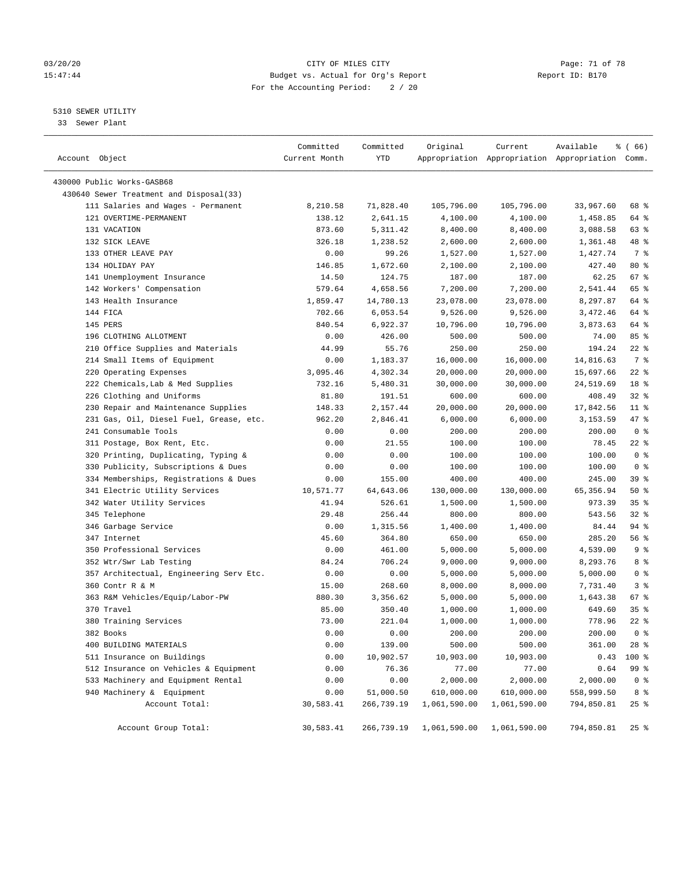# 03/20/20 Page: 71 of 78 15:47:44 Budget vs. Actual for Org's Report Report ID: B170 For the Accounting Period: 2 / 20

————————————————————————————————————————————————————————————————————————————————————————————————————————————————————————————————————

# 5310 SEWER UTILITY

33 Sewer Plant

| Account Object                          | Committed<br>Current Month | Committed<br>YTD | Original                | Current      | Available<br>Appropriation Appropriation Appropriation Comm. | <sub>ර</sub> ි (66) |
|-----------------------------------------|----------------------------|------------------|-------------------------|--------------|--------------------------------------------------------------|---------------------|
| 430000 Public Works-GASB68              |                            |                  |                         |              |                                                              |                     |
| 430640 Sewer Treatment and Disposal(33) |                            |                  |                         |              |                                                              |                     |
| 111 Salaries and Wages - Permanent      | 8,210.58                   | 71,828.40        | 105,796.00              | 105,796.00   | 33,967.60                                                    | 68 %                |
| 121 OVERTIME-PERMANENT                  | 138.12                     | 2,641.15         | 4,100.00                | 4,100.00     | 1,458.85                                                     | 64 %                |
| 131 VACATION                            | 873.60                     | 5,311.42         | 8,400.00                | 8,400.00     | 3,088.58                                                     | 63 %                |
| 132 SICK LEAVE                          | 326.18                     | 1,238.52         | 2,600.00                | 2,600.00     | 1,361.48                                                     | 48 %                |
| 133 OTHER LEAVE PAY                     | 0.00                       | 99.26            | 1,527.00                | 1,527.00     | 1,427.74                                                     | 7 %                 |
| 134 HOLIDAY PAY                         | 146.85                     | 1,672.60         | 2,100.00                | 2,100.00     | 427.40                                                       | $80*$               |
| 141 Unemployment Insurance              | 14.50                      | 124.75           | 187.00                  | 187.00       | 62.25                                                        | 67%                 |
| 142 Workers' Compensation               | 579.64                     | 4,658.56         | 7,200.00                | 7,200.00     | 2,541.44                                                     | 65 %                |
| 143 Health Insurance                    | 1,859.47                   | 14,780.13        | 23,078.00               | 23,078.00    | 8,297.87                                                     | 64 %                |
| 144 FICA                                | 702.66                     | 6,053.54         | 9,526.00                | 9,526.00     | 3,472.46                                                     | 64 %                |
| 145 PERS                                | 840.54                     | 6,922.37         | 10,796.00               | 10,796.00    | 3,873.63                                                     | 64 %                |
| 196 CLOTHING ALLOTMENT                  | 0.00                       | 426.00           | 500.00                  | 500.00       | 74.00                                                        | 85%                 |
| 210 Office Supplies and Materials       | 44.99                      | 55.76            | 250.00                  | 250.00       | 194.24                                                       | $22$ %              |
| 214 Small Items of Equipment            | 0.00                       | 1,183.37         | 16,000.00               | 16,000.00    | 14,816.63                                                    | 7 %                 |
| 220 Operating Expenses                  | 3,095.46                   | 4,302.34         | 20,000.00               | 20,000.00    | 15,697.66                                                    | $22$ %              |
| 222 Chemicals, Lab & Med Supplies       | 732.16                     | 5,480.31         | 30,000.00               | 30,000.00    | 24,519.69                                                    | 18 %                |
| 226 Clothing and Uniforms               | 81.80                      | 191.51           | 600.00                  | 600.00       | 408.49                                                       | $32$ $%$            |
| 230 Repair and Maintenance Supplies     | 148.33                     | 2,157.44         | 20,000.00               | 20,000.00    | 17,842.56                                                    | $11$ %              |
| 231 Gas, Oil, Diesel Fuel, Grease, etc. | 962.20                     | 2,846.41         | 6,000.00                | 6,000.00     | 3,153.59                                                     | 47 %                |
| 241 Consumable Tools                    | 0.00                       | 0.00             | 200.00                  | 200.00       | 200.00                                                       | 0 <sup>8</sup>      |
| 311 Postage, Box Rent, Etc.             | 0.00                       | 21.55            | 100.00                  | 100.00       | 78.45                                                        | $22$ %              |
| 320 Printing, Duplicating, Typing &     | 0.00                       | 0.00             | 100.00                  | 100.00       | 100.00                                                       | 0 <sup>8</sup>      |
| 330 Publicity, Subscriptions & Dues     | 0.00                       | 0.00             | 100.00                  | 100.00       | 100.00                                                       | 0 <sup>8</sup>      |
| 334 Memberships, Registrations & Dues   | 0.00                       | 155.00           | 400.00                  | 400.00       | 245.00                                                       | 39 %                |
| 341 Electric Utility Services           | 10,571.77                  | 64,643.06        | 130,000.00              | 130,000.00   | 65,356.94                                                    | 50%                 |
| 342 Water Utility Services              | 41.94                      | 526.61           | 1,500.00                | 1,500.00     | 973.39                                                       | 35%                 |
| 345 Telephone                           | 29.48                      | 256.44           | 800.00                  | 800.00       | 543.56                                                       | $32$ $%$            |
| 346 Garbage Service                     | 0.00                       | 1,315.56         | 1,400.00                | 1,400.00     | 84.44                                                        | 94 %                |
| 347 Internet                            | 45.60                      | 364.80           | 650.00                  | 650.00       | 285.20                                                       | 56 %                |
| 350 Professional Services               | 0.00                       | 461.00           | 5,000.00                | 5,000.00     | 4,539.00                                                     | 9 <sub>8</sub>      |
| 352 Wtr/Swr Lab Testing                 | 84.24                      | 706.24           | 9,000.00                | 9,000.00     | 8,293.76                                                     | 8 %                 |
| 357 Architectual, Engineering Serv Etc. | 0.00                       | 0.00             | 5,000.00                | 5,000.00     | 5,000.00                                                     | 0 <sup>8</sup>      |
| 360 Contr R & M                         | 15.00                      | 268.60           | 8,000.00                | 8,000.00     | 7,731.40                                                     | 3%                  |
| 363 R&M Vehicles/Equip/Labor-PW         | 880.30                     | 3,356.62         | 5,000.00                | 5,000.00     | 1,643.38                                                     | 67%                 |
| 370 Travel                              | 85.00                      | 350.40           | 1,000.00                | 1,000.00     | 649.60                                                       | 35%                 |
| 380 Training Services                   | 73.00                      | 221.04           | 1,000.00                | 1,000.00     | 778.96                                                       | $22$ %              |
| 382 Books                               | 0.00                       | 0.00             | 200.00                  | 200.00       | 200.00                                                       | 0 <sup>8</sup>      |
| 400 BUILDING MATERIALS                  | 0.00                       | 139.00           | 500.00                  | 500.00       | 361.00                                                       | 28 %                |
| 511 Insurance on Buildings              | 0.00                       | 10,902.57        | 10,903.00               | 10,903.00    | 0.43                                                         | 100 %               |
| 512 Insurance on Vehicles & Equipment   | 0.00                       | 76.36            | 77.00                   | 77.00        | 0.64                                                         | 99 %                |
| 533 Machinery and Equipment Rental      | 0.00                       | 0.00             | 2,000.00                | 2,000.00     | 2,000.00                                                     | 0 <sup>8</sup>      |
| 940 Machinery & Equipment               | 0.00                       | 51,000.50        | 610,000.00              | 610,000.00   | 558,999.50                                                   | 8 <sup>8</sup>      |
| Account Total:                          | 30,583.41                  | 266,739.19       | 1,061,590.00            | 1,061,590.00 | 794,850.81                                                   | $25$ %              |
|                                         |                            |                  |                         |              |                                                              |                     |
| Account Group Total:                    | 30,583.41                  |                  | 266,739.19 1,061,590.00 | 1,061,590.00 | 794,850.81                                                   | $25$ $\frac{6}{5}$  |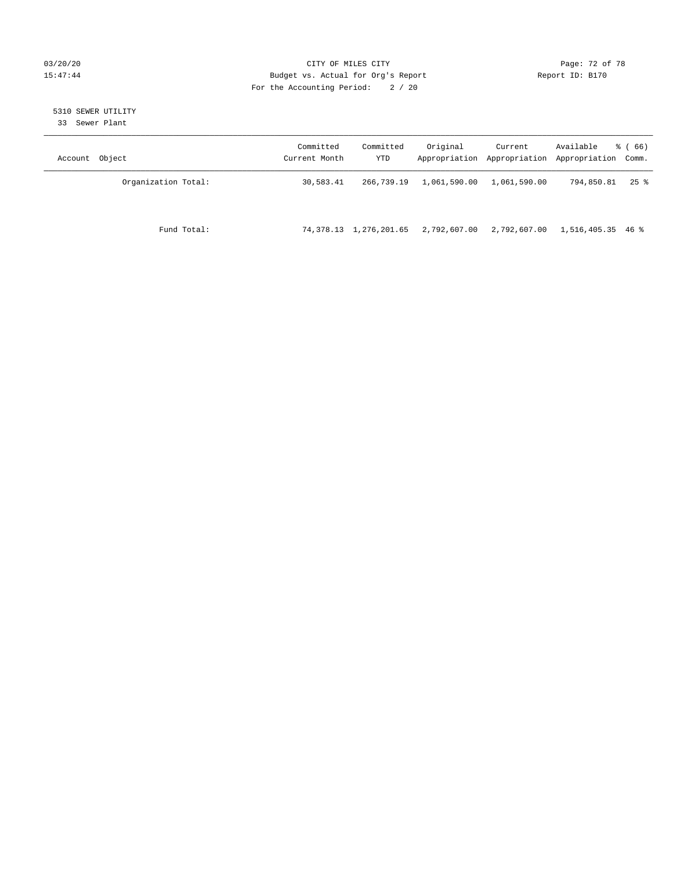# 03/20/20 Page: 72 of 78 15:47:44 Budget vs. Actual for Org's Report Report ID: B170 For the Accounting Period: 2 / 20

# 5310 SEWER UTILITY

33 Sewer Plant

| Account Object      | Committed<br>Current Month | Committed<br>YTD       | Original     | Current      | Available<br>Appropriation Appropriation Appropriation Comm. | <sub>ර</sub> ි (66) |
|---------------------|----------------------------|------------------------|--------------|--------------|--------------------------------------------------------------|---------------------|
| Organization Total: | 30,583.41                  | 266,739.19             | 1,061,590.00 | 1,061,590.00 | 794,850.81                                                   | $25$ %              |
| Fund Total:         |                            | 74,378.13 1,276,201.65 | 2,792,607.00 | 2,792,607.00 | 1,516,405.35 46 %                                            |                     |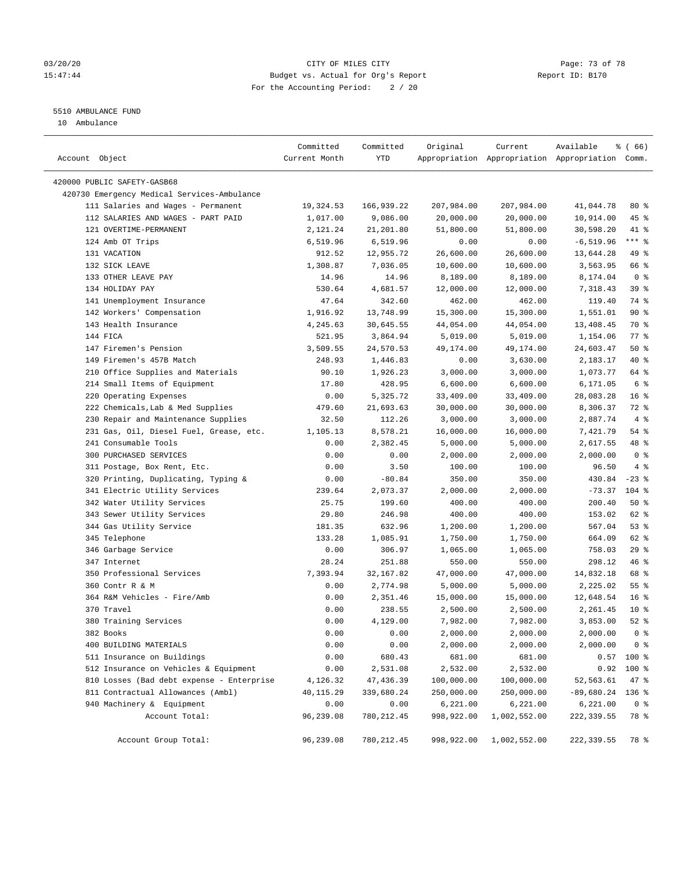### 03/20/20 Page: 73 of 78 15:47:44 Budget vs. Actual for Org's Report Report ID: B170 For the Accounting Period: 2 / 20

————————————————————————————————————————————————————————————————————————————————————————————————————————————————————————————————————

# 5510 AMBULANCE FUND

10 Ambulance

|                                                                          | Committed     | Committed   | Original   | Current      | Available                                       | <sub>ර</sub> ි (66) |
|--------------------------------------------------------------------------|---------------|-------------|------------|--------------|-------------------------------------------------|---------------------|
| Account Object                                                           | Current Month | YTD         |            |              | Appropriation Appropriation Appropriation Comm. |                     |
|                                                                          |               |             |            |              |                                                 |                     |
| 420000 PUBLIC SAFETY-GASB68                                              |               |             |            |              |                                                 |                     |
| 420730 Emergency Medical Services-Ambulance                              |               |             |            |              |                                                 |                     |
| 111 Salaries and Wages - Permanent<br>112 SALARIES AND WAGES - PART PAID | 19,324.53     | 166,939.22  | 207,984.00 | 207,984.00   | 41,044.78                                       | $80*$               |
|                                                                          | 1,017.00      | 9,086.00    | 20,000.00  | 20,000.00    | 10,914.00                                       | 45 %                |
| 121 OVERTIME-PERMANENT                                                   | 2,121.24      | 21,201.80   | 51,800.00  | 51,800.00    | 30,598.20                                       | 41 %                |
| 124 Amb OT Trips                                                         | 6,519.96      | 6,519.96    | 0.00       | 0.00         | $-6, 519.96$                                    | $***$ $_{8}$        |
| 131 VACATION                                                             | 912.52        | 12,955.72   | 26,600.00  | 26,600.00    | 13,644.28                                       | 49 %                |
| 132 SICK LEAVE                                                           | 1,308.87      | 7,036.05    | 10,600.00  | 10,600.00    | 3,563.95                                        | 66 %                |
| 133 OTHER LEAVE PAY                                                      | 14.96         | 14.96       | 8,189.00   | 8,189.00     | 8,174.04                                        | 0 <sup>8</sup>      |
| 134 HOLIDAY PAY                                                          | 530.64        | 4,681.57    | 12,000.00  | 12,000.00    | 7,318.43                                        | 39%                 |
| 141 Unemployment Insurance                                               | 47.64         | 342.60      | 462.00     | 462.00       | 119.40                                          | 74 %                |
| 142 Workers' Compensation                                                | 1,916.92      | 13,748.99   | 15,300.00  | 15,300.00    | 1,551.01                                        | 90%                 |
| 143 Health Insurance                                                     | 4,245.63      | 30,645.55   | 44,054.00  | 44,054.00    | 13,408.45                                       | 70 %                |
| 144 FICA                                                                 | 521.95        | 3,864.94    | 5,019.00   | 5,019.00     | 1,154.06                                        | $77$ $%$            |
| 147 Firemen's Pension                                                    | 3,509.55      | 24,570.53   | 49,174.00  | 49,174.00    | 24,603.47                                       | 50%                 |
| 149 Firemen's 457B Match                                                 | 248.93        | 1,446.83    | 0.00       | 3,630.00     | 2,183.17                                        | 40 %                |
| 210 Office Supplies and Materials                                        | 90.10         | 1,926.23    | 3,000.00   | 3,000.00     | 1,073.77                                        | 64 %                |
| 214 Small Items of Equipment                                             | 17.80         | 428.95      | 6,600.00   | 6,600.00     | 6,171.05                                        | 6 <sup>°</sup>      |
| 220 Operating Expenses                                                   | 0.00          | 5,325.72    | 33,409.00  | 33,409.00    | 28,083.28                                       | 16 <sup>8</sup>     |
| 222 Chemicals, Lab & Med Supplies                                        | 479.60        | 21,693.63   | 30,000.00  | 30,000.00    | 8,306.37                                        | 72 %                |
| 230 Repair and Maintenance Supplies                                      | 32.50         | 112.26      | 3,000.00   | 3,000.00     | 2,887.74                                        | 4%                  |
| 231 Gas, Oil, Diesel Fuel, Grease, etc.                                  | 1,105.13      | 8,578.21    | 16,000.00  | 16,000.00    | 7,421.79                                        | 54 %                |
| 241 Consumable Tools                                                     | 0.00          | 2,382.45    | 5,000.00   | 5,000.00     | 2,617.55                                        | 48 %                |
| 300 PURCHASED SERVICES                                                   | 0.00          | 0.00        | 2,000.00   | 2,000.00     | 2,000.00                                        | 0 <sup>8</sup>      |
| 311 Postage, Box Rent, Etc.                                              | 0.00          | 3.50        | 100.00     | 100.00       | 96.50                                           | 4%                  |
| 320 Printing, Duplicating, Typing &                                      | 0.00          | $-80.84$    | 350.00     | 350.00       | 430.84                                          | $-23$ %             |
| 341 Electric Utility Services                                            | 239.64        | 2,073.37    | 2,000.00   | 2,000.00     | $-73.37$                                        | $104$ %             |
| 342 Water Utility Services                                               | 25.75         | 199.60      | 400.00     | 400.00       | 200.40                                          | 50%                 |
| 343 Sewer Utility Services                                               | 29.80         | 246.98      | 400.00     | 400.00       | 153.02                                          | 62 %                |
| 344 Gas Utility Service                                                  | 181.35        | 632.96      | 1,200.00   | 1,200.00     | 567.04                                          | 53%                 |
| 345 Telephone                                                            | 133.28        | 1,085.91    | 1,750.00   | 1,750.00     | 664.09                                          | 62 %                |
| 346 Garbage Service                                                      | 0.00          | 306.97      | 1,065.00   | 1,065.00     | 758.03                                          | 29%                 |
| 347 Internet                                                             | 28.24         | 251.88      | 550.00     | 550.00       | 298.12                                          | 46 %                |
| 350 Professional Services                                                | 7,393.94      | 32,167.82   | 47,000.00  | 47,000.00    | 14,832.18                                       | 68 %                |
| 360 Contr R & M                                                          | 0.00          | 2,774.98    | 5,000.00   | 5,000.00     | 2,225.02                                        | $55$ $%$            |
| 364 R&M Vehicles - Fire/Amb                                              | 0.00          | 2,351.46    | 15,000.00  | 15,000.00    | 12,648.54                                       | 16 <sup>8</sup>     |
| 370 Travel                                                               | 0.00          | 238.55      | 2,500.00   | 2,500.00     | 2,261.45                                        | $10*$               |
| 380 Training Services                                                    | 0.00          | 4,129.00    | 7,982.00   | 7,982.00     | 3,853.00                                        | $52$ $%$            |
| 382 Books                                                                | 0.00          | 0.00        | 2,000.00   | 2,000.00     | 2,000.00                                        | 0 <sup>8</sup>      |
| 400 BUILDING MATERIALS                                                   | 0.00          | 0.00        | 2,000.00   | 2,000.00     | 2,000.00                                        | 0 <sup>8</sup>      |
| 511 Insurance on Buildings                                               | 0.00          | 680.43      | 681.00     | 681.00       |                                                 | $0.57$ 100 %        |
| 512 Insurance on Vehicles & Equipment                                    | 0.00          | 2,531.08    | 2,532.00   | 2,532.00     | 0.92                                            | 100 %               |
| 810 Losses (Bad debt expense - Enterprise                                | 4,126.32      | 47,436.39   | 100,000.00 | 100,000.00   | 52,563.61                                       | 47 %                |
| 811 Contractual Allowances (Ambl)                                        | 40,115.29     | 339,680.24  | 250,000.00 | 250,000.00   | $-89,680.24$ 136 %                              |                     |
| 940 Machinery & Equipment                                                | 0.00          | 0.00        | 6,221.00   | 6, 221.00    | 6,221.00                                        | 0 <sup>8</sup>      |
| Account Total:                                                           | 96,239.08     | 780, 212.45 | 998,922.00 | 1,002,552.00 | 222, 339.55                                     | 78 %                |
| Account Group Total:                                                     | 96,239.08     |             |            |              |                                                 |                     |
|                                                                          |               | 780, 212.45 | 998,922.00 | 1,002,552.00 | 222,339.55                                      | 78 %                |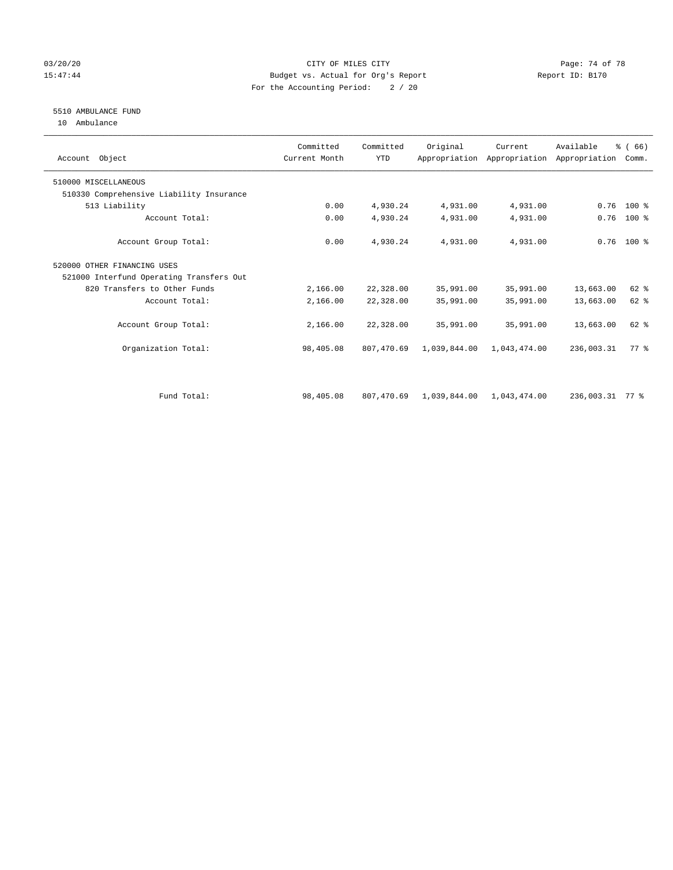### 03/20/20 Page: 74 of 78 15:47:44 Budget vs. Actual for Org's Report Report ID: B170 For the Accounting Period: 2 / 20

# 5510 AMBULANCE FUND

10 Ambulance

| Account Object                           | Committed<br>Current Month | Committed<br><b>YTD</b> | Original     | Current      | Available<br>Appropriation Appropriation Appropriation | % (66)<br>Comm. |  |
|------------------------------------------|----------------------------|-------------------------|--------------|--------------|--------------------------------------------------------|-----------------|--|
| 510000 MISCELLANEOUS                     |                            |                         |              |              |                                                        |                 |  |
| 510330 Comprehensive Liability Insurance |                            |                         |              |              |                                                        |                 |  |
| 513 Liability                            | 0.00                       | 4,930.24                | 4,931.00     | 4,931.00     | 0.76                                                   | $100*$          |  |
| Account Total:                           | 0.00                       | 4,930.24                | 4,931.00     | 4,931.00     | 0.76                                                   | $100$ %         |  |
| Account Group Total:                     | 0.00                       | 4,930.24                | 4,931.00     | 4,931.00     |                                                        | $0.76$ 100 %    |  |
| 520000 OTHER FINANCING USES              |                            |                         |              |              |                                                        |                 |  |
| 521000 Interfund Operating Transfers Out |                            |                         |              |              |                                                        |                 |  |
| 820 Transfers to Other Funds             | 2,166.00                   | 22,328.00               | 35,991.00    | 35,991.00    | 13,663.00                                              | 62 %            |  |
| Account Total:                           | 2,166.00                   | 22,328.00               | 35,991.00    | 35,991.00    | 13,663.00                                              | $62$ $%$        |  |
| Account Group Total:                     | 2,166.00                   | 22,328.00               | 35,991.00    | 35,991.00    | 13,663.00                                              | 62 %            |  |
| Organization Total:                      | 98,405.08                  | 807,470.69              | 1,039,844.00 | 1,043,474.00 | 236,003.31                                             | 77 %            |  |
|                                          |                            |                         |              |              |                                                        |                 |  |
| Fund Total:                              | 98,405.08                  | 807,470.69              | 1,039,844.00 | 1,043,474.00 | 236,003.31 77 %                                        |                 |  |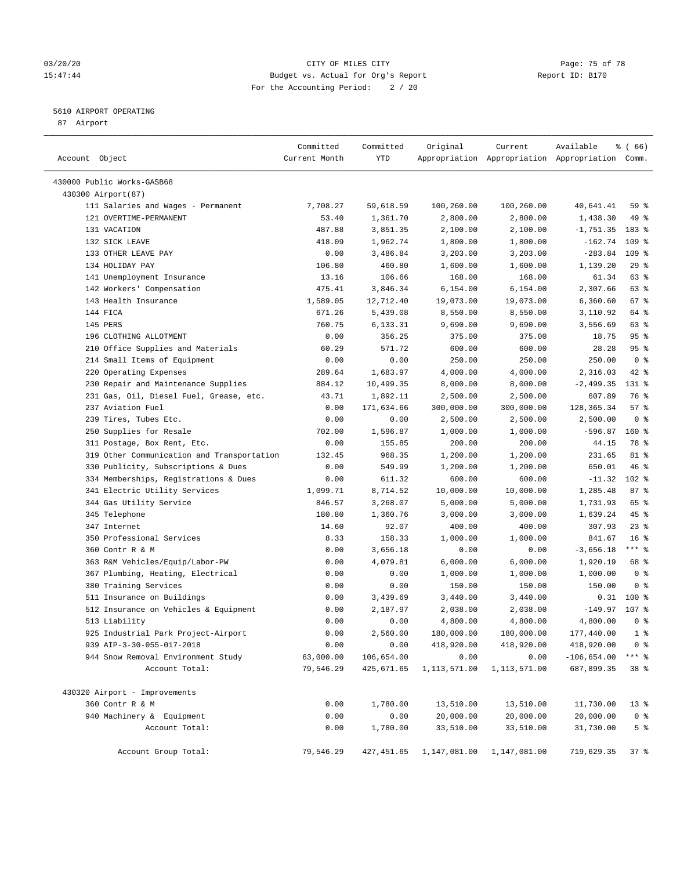### 03/20/20 Page: 75 of 78 15:47:44 Budget vs. Actual for Org's Report Report ID: B170 For the Accounting Period: 2 / 20

————————————————————————————————————————————————————————————————————————————————————————————————————————————————————————————————————

# 5610 AIRPORT OPERATING

87 Airport

| Account Object                             | Committed<br>Current Month | Committed<br>YTD | Original     | Current      | Available<br>Appropriation Appropriation Appropriation Comm. | 8 ( 66)         |
|--------------------------------------------|----------------------------|------------------|--------------|--------------|--------------------------------------------------------------|-----------------|
| 430000 Public Works-GASB68                 |                            |                  |              |              |                                                              |                 |
| 430300 Airport (87)                        |                            |                  |              |              |                                                              |                 |
| 111 Salaries and Wages - Permanent         | 7,708.27                   | 59,618.59        | 100,260.00   | 100,260.00   | 40,641.41                                                    | 59 %            |
| 121 OVERTIME-PERMANENT                     | 53.40                      | 1,361.70         | 2,800.00     | 2,800.00     | 1,438.30                                                     | 49 %            |
| 131 VACATION                               | 487.88                     | 3,851.35         | 2,100.00     | 2,100.00     | $-1,751.35$                                                  | 183 %           |
| 132 SICK LEAVE                             | 418.09                     | 1,962.74         | 1,800.00     | 1,800.00     | $-162.74$ 109 %                                              |                 |
| 133 OTHER LEAVE PAY                        | 0.00                       | 3,486.84         | 3,203.00     | 3,203.00     | $-283.84$ 109 %                                              |                 |
| 134 HOLIDAY PAY                            | 106.80                     | 460.80           | 1,600.00     | 1,600.00     | 1,139.20                                                     | 29%             |
| 141 Unemployment Insurance                 | 13.16                      | 106.66           | 168.00       | 168.00       | 61.34                                                        | 63 %            |
| 142 Workers' Compensation                  | 475.41                     | 3,846.34         | 6,154.00     | 6,154.00     | 2,307.66                                                     | 63 %            |
| 143 Health Insurance                       | 1,589.05                   | 12,712.40        | 19,073.00    | 19,073.00    | 6,360.60                                                     | 67%             |
| 144 FICA                                   | 671.26                     | 5,439.08         | 8,550.00     | 8,550.00     | 3,110.92                                                     | 64 %            |
| 145 PERS                                   | 760.75                     | 6,133.31         | 9,690.00     | 9,690.00     | 3,556.69                                                     | 63 %            |
| 196 CLOTHING ALLOTMENT                     | 0.00                       | 356.25           | 375.00       | 375.00       | 18.75                                                        | 95 <sub>8</sub> |
| 210 Office Supplies and Materials          | 60.29                      | 571.72           | 600.00       | 600.00       | 28.28                                                        | 95%             |
| 214 Small Items of Equipment               | 0.00                       | 0.00             | 250.00       | 250.00       | 250.00                                                       | 0 <sup>8</sup>  |
| 220 Operating Expenses                     | 289.64                     | 1,683.97         | 4,000.00     | 4,000.00     | 2,316.03                                                     | $42$ %          |
| 230 Repair and Maintenance Supplies        | 884.12                     | 10,499.35        | 8,000.00     | 8,000.00     | $-2,499.35$                                                  | $131*$          |
| 231 Gas, Oil, Diesel Fuel, Grease, etc.    | 43.71                      | 1,892.11         | 2,500.00     | 2,500.00     | 607.89                                                       | 76 %            |
| 237 Aviation Fuel                          | 0.00                       | 171,634.66       | 300,000.00   | 300,000.00   | 128, 365. 34                                                 | 57%             |
| 239 Tires, Tubes Etc.                      | 0.00                       | 0.00             | 2,500.00     | 2,500.00     | 2,500.00                                                     | 0 <sup>8</sup>  |
| 250 Supplies for Resale                    | 702.00                     | 1,596.87         | 1,000.00     | 1,000.00     | $-596.87$                                                    | $160*$          |
| 311 Postage, Box Rent, Etc.                | 0.00                       | 155.85           | 200.00       | 200.00       | 44.15                                                        | 78 %            |
| 319 Other Communication and Transportation | 132.45                     | 968.35           | 1,200.00     | 1,200.00     | 231.65                                                       | 81 %            |
| 330 Publicity, Subscriptions & Dues        | 0.00                       | 549.99           | 1,200.00     | 1,200.00     | 650.01                                                       | 46 %            |
| 334 Memberships, Registrations & Dues      | 0.00                       | 611.32           | 600.00       | 600.00       | $-11.32$                                                     | $102$ %         |
| 341 Electric Utility Services              | 1,099.71                   | 8,714.52         | 10,000.00    | 10,000.00    | 1,285.48                                                     | 87%             |
| 344 Gas Utility Service                    | 846.57                     | 3,268.07         | 5,000.00     | 5,000.00     | 1,731.93                                                     | 65 %            |
| 345 Telephone                              | 180.80                     | 1,360.76         | 3,000.00     | 3,000.00     | 1,639.24                                                     | 45 %            |
| 347 Internet                               | 14.60                      | 92.07            | 400.00       | 400.00       | 307.93                                                       | $23$ $%$        |
| 350 Professional Services                  | 8.33                       | 158.33           | 1,000.00     | 1,000.00     | 841.67                                                       | 16 <sup>8</sup> |
| 360 Contr R & M                            | 0.00                       | 3,656.18         | 0.00         | 0.00         | $-3,656.18$                                                  | $***$ $-$       |
| 363 R&M Vehicles/Equip/Labor-PW            | 0.00                       | 4,079.81         | 6,000.00     | 6,000.00     | 1,920.19                                                     | 68 %            |
| 367 Plumbing, Heating, Electrical          | 0.00                       | 0.00             | 1,000.00     | 1,000.00     | 1,000.00                                                     | 0 <sup>8</sup>  |
| 380 Training Services                      | 0.00                       | 0.00             | 150.00       | 150.00       | 150.00                                                       | 0 <sup>8</sup>  |
| 511 Insurance on Buildings                 | 0.00                       | 3,439.69         | 3,440.00     | 3,440.00     |                                                              | $0.31$ 100 %    |
| 512 Insurance on Vehicles & Equipment      | 0.00                       | 2,187.97         | 2,038.00     | 2,038.00     | $-149.97$ 107 %                                              |                 |
| 513 Liability                              | 0.00                       | 0.00             | 4,800.00     | 4,800.00     | 4,800.00                                                     | 0 <sup>8</sup>  |
| 925 Industrial Park Project-Airport        | 0.00                       | 2,560.00         | 180,000.00   | 180,000.00   | 177,440.00                                                   | 1 <sup>8</sup>  |
| 939 AIP-3-30-055-017-2018                  | 0.00                       | 0.00             | 418,920.00   | 418,920.00   | 418,920.00                                                   | 0 <sup>8</sup>  |
| 944 Snow Removal Environment Study         | 63,000.00                  | 106,654.00       | 0.00         | 0.00         | $-106,654.00$                                                | $***$ $_{8}$    |
| Account Total:                             | 79,546.29                  | 425,671.65       | 1,113,571.00 | 1,113,571.00 | 687,899.35                                                   | 38 %            |
| 430320 Airport - Improvements              |                            |                  |              |              |                                                              |                 |
| 360 Contr R & M                            | 0.00                       | 1,780.00         | 13,510.00    | 13,510.00    | 11,730.00                                                    | $13*$           |
| 940 Machinery & Equipment                  | 0.00                       | 0.00             | 20,000.00    | 20,000.00    | 20,000.00                                                    | 0 <sup>8</sup>  |
| Account Total:                             | 0.00                       | 1,780.00         | 33,510.00    | 33,510.00    | 31,730.00                                                    | 5 <sup>°</sup>  |
| Account Group Total:                       | 79,546.29                  | 427,451.65       | 1,147,081.00 | 1,147,081.00 | 719,629.35                                                   | 37%             |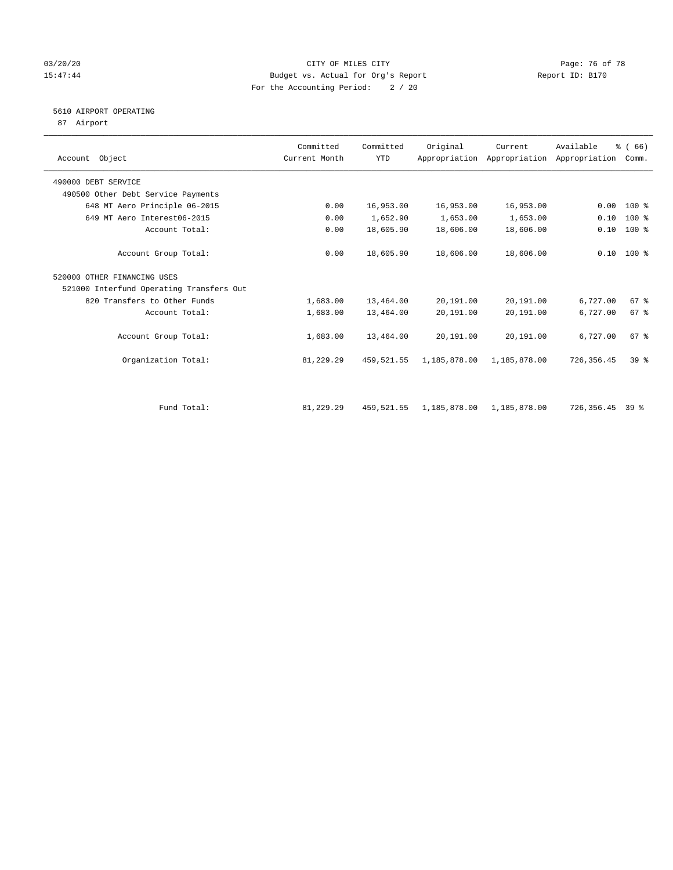### 03/20/20 Page: 76 of 78 15:47:44 Budget vs. Actual for Org's Report Report ID: B170 For the Accounting Period: 2 / 20

# 5610 AIRPORT OPERATING

87 Airport

| Account Object                           | Committed<br>Current Month | Committed<br><b>YTD</b> | Original     | Current<br>Appropriation Appropriation Appropriation | Available  | % (66)<br>Comm. |  |
|------------------------------------------|----------------------------|-------------------------|--------------|------------------------------------------------------|------------|-----------------|--|
| 490000 DEBT SERVICE                      |                            |                         |              |                                                      |            |                 |  |
| 490500 Other Debt Service Payments       |                            |                         |              |                                                      |            |                 |  |
| 648 MT Aero Principle 06-2015            | 0.00                       | 16,953.00               | 16,953.00    | 16,953.00                                            | 0.00       | $100*$          |  |
| 649 MT Aero Interest06-2015              | 0.00                       | 1,652.90                | 1,653.00     | 1,653.00                                             | 0.10       | $100$ %         |  |
| Account Total:                           | 0.00                       | 18,605.90               | 18,606.00    | 18,606.00                                            | 0.10       | $100$ %         |  |
| Account Group Total:                     | 0.00                       | 18,605.90               | 18,606.00    | 18,606.00                                            |            | $0.10$ 100 %    |  |
| 520000 OTHER FINANCING USES              |                            |                         |              |                                                      |            |                 |  |
| 521000 Interfund Operating Transfers Out |                            |                         |              |                                                      |            |                 |  |
| 820 Transfers to Other Funds             | 1,683.00                   | 13,464.00               | 20,191.00    | 20,191.00                                            | 6,727.00   | 67%             |  |
| Account Total:                           | 1,683.00                   | 13,464.00               | 20,191.00    | 20,191.00                                            | 6,727.00   | 67 <sup>8</sup> |  |
| Account Group Total:                     | 1,683.00                   | 13,464.00               | 20,191.00    | 20,191.00                                            | 6,727.00   | 67%             |  |
| Organization Total:                      | 81,229.29                  | 459,521.55              | 1,185,878.00 | 1,185,878.00                                         | 726,356.45 | $39*$           |  |
|                                          |                            |                         |              |                                                      |            |                 |  |
| Fund Total:                              | 81,229.29                  | 459,521.55              | 1,185,878.00 | 1,185,878.00                                         | 726,356.45 | 39 %            |  |